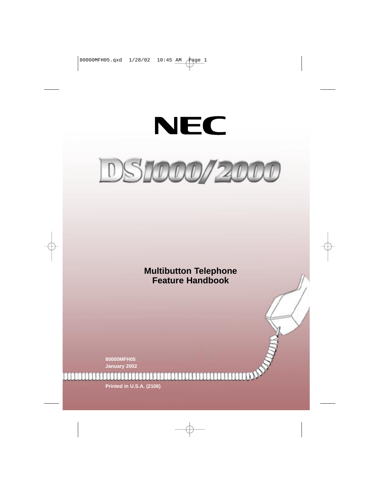# **NEC**



**Multibutton Telephone Feature Handbook**

**80000MFH05 January 2002 Printed in U.S.A. (2106)**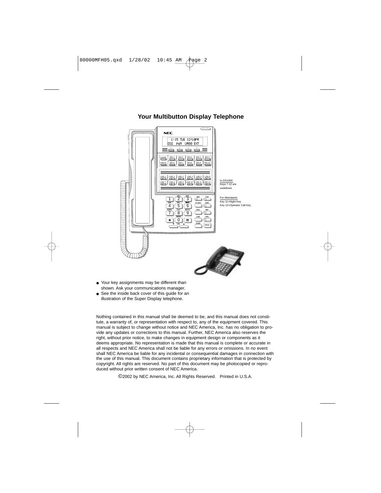

#### **Your Multibutton Display Telephone**

- Your key assignments may be different than shown. Ask your communications manager.
- See the inside back cover of this quide for an illustration of the Super Display telephone.

Nothing contained in this manual shall be deemed to be, and this manual does not constitute, a warranty of, or representation with respect to, any of the equipment covered. This manual is subject to change without notice and NEC America, Inc. has no obligation to provide any updates or corrections to this manual. Further, NEC America also reserves the right, without prior notice, to make changes in equipment design or components as it deems appropriate. No representation is made that this manual is complete or accurate in all respects and NEC America shall not be liable for any errors or omissions. In no event shall NEC America be liable for any incidental or consequential damages in connection with the use of this manual. This document contains proprietary information that is protected by copyright. All rights are reserved. No part of this document may be photocopied or reproduced without prior written consent of NEC America.

©2002 by NEC America, Inc. All Rights Reserved. Printed in U.S.A.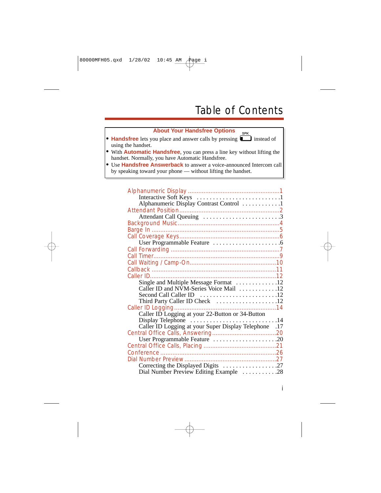SPK

#### **About Your Handsfree Options**

- **Handsfree** lets you place and answer calls by pressing instead of using the handset.
- With **Automatic Handsfree**, you can press a line key without lifting the handset. Normally, you have Automatic Handsfree.
- Use **Handsfree Answerback** to answer a voice-announced Intercom call by speaking toward your phone — without lifting the handset.

| Alphanumeric Display Contrast Control 1               |  |
|-------------------------------------------------------|--|
|                                                       |  |
|                                                       |  |
|                                                       |  |
|                                                       |  |
|                                                       |  |
|                                                       |  |
|                                                       |  |
|                                                       |  |
|                                                       |  |
|                                                       |  |
|                                                       |  |
| Single and Multiple Message Format 12                 |  |
| Caller ID and NVM-Series Voice Mail 12                |  |
| Second Call Caller ID 12                              |  |
|                                                       |  |
|                                                       |  |
| Caller ID Logging at your 22-Button or 34-Button      |  |
| Display Telephone 14                                  |  |
| Caller ID Logging at your Super Display Telephone .17 |  |
|                                                       |  |
| User Programmable Feature 20                          |  |
|                                                       |  |
|                                                       |  |
|                                                       |  |
| Correcting the Displayed Digits 27                    |  |
| Dial Number Preview Editing Example 28                |  |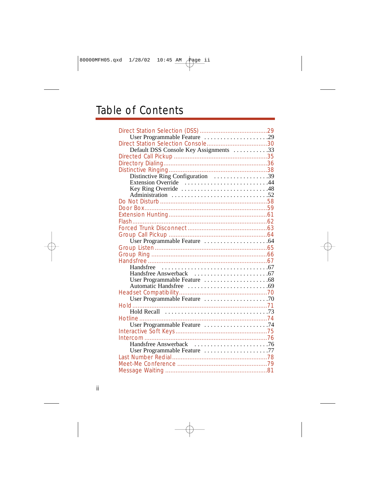### Table of Contents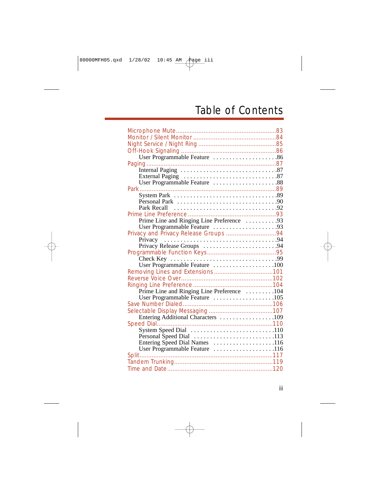| Prime Line and Ringing Line Preference 93                             |  |
|-----------------------------------------------------------------------|--|
| User Programmable Feature 93                                          |  |
|                                                                       |  |
|                                                                       |  |
| Privacy Release Groups 94                                             |  |
|                                                                       |  |
|                                                                       |  |
| User Programmable Feature 100                                         |  |
|                                                                       |  |
|                                                                       |  |
|                                                                       |  |
| Prime Line and Ringing Line Preference 104                            |  |
| User Programmable Feature 105                                         |  |
|                                                                       |  |
|                                                                       |  |
| Entering Additional Characters 109                                    |  |
|                                                                       |  |
| System Speed Dial<br>Personal Speed Dial<br>113                       |  |
|                                                                       |  |
| Entering Speed Dial Names<br>User Programmable Feature<br>116<br>2016 |  |
|                                                                       |  |
|                                                                       |  |
|                                                                       |  |
|                                                                       |  |
|                                                                       |  |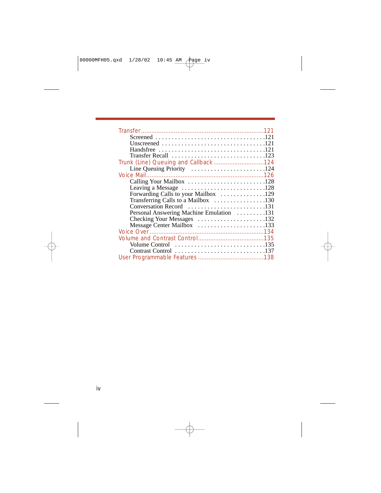| Transfer Recall 123                                                |  |
|--------------------------------------------------------------------|--|
|                                                                    |  |
| Line Queuing Priority 124                                          |  |
|                                                                    |  |
| Calling Your Mailbox 128                                           |  |
| Leaving a Message 128                                              |  |
| Forwarding Calls to your Mailbox 129                               |  |
| Transferring Calls to a Mailbox 130                                |  |
| Conversation Record 131                                            |  |
| Personal Answering Machine Emulation 131                           |  |
|                                                                    |  |
| Message Center Mailbox 133                                         |  |
|                                                                    |  |
|                                                                    |  |
| Volume Control $\dots\dots\dots\dots\dots\dots\dots\dots\dots 135$ |  |
|                                                                    |  |
|                                                                    |  |

and the control of the control of the control of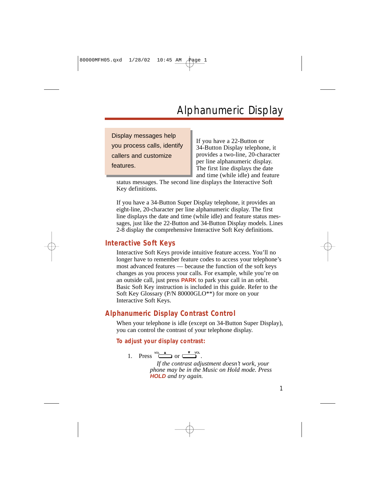### Alphanumeric Display

Display messages help you process calls, identify callers and customize features.

If you have a 22-Button or 34-Button Display telephone, it provides a two-line, 20-character per line alphanumeric display. The first line displays the date and time (while idle) and feature

status messages. The second line displays the Interactive Soft Key definitions.

If you have a 34-Button Super Display telephone, it provides an eight-line, 20-character per line alphanumeric display. The first line displays the date and time (while idle) and feature status messages, just like the 22-Button and 34-Button Display models. Lines 2-8 display the comprehensive Interactive Soft Key definitions.

#### **Interactive Soft Keys**

Interactive Soft Keys provide intuitive feature access. You'll no longer have to remember feature codes to access your telephone's most advanced features — because the function of the soft keys changes as you process your calls. For example, while you're on an outside call, just press **PARK** to park your call in an orbit. Basic Soft Key instruction is included in this guide. Refer to the Soft Key Glossary (P/N 80000GLO\*\*) for more on your Interactive Soft Keys.

#### **Alphanumeric Display Contrast Control**

When your telephone is idle (except on 34-Button Super Display), you can control the contrast of your telephone display.

#### **To adjust your display contrast:**

1. Press or .

*If the contrast adjustment doesn't work, your phone may be in the Music on Hold mode. Press* **HOLD** *and try again.*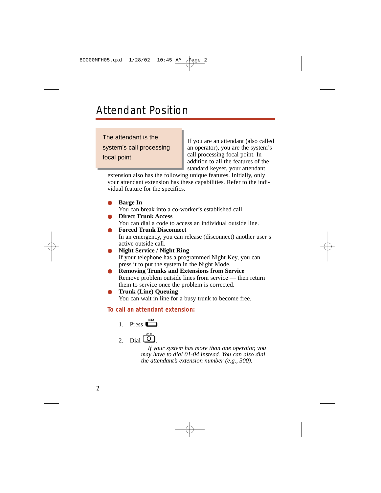### Attendant Position

The attendant is the system's call processing focal point.

If you are an attendant (also called an operator), you are the system's call processing focal point. In addition to all the features of the standard keyset, your attendant

extension also has the following unique features. Initially, only your attendant extension has these capabilities. Refer to the individual feature for the specifics.

● **Barge In** You can break into a co-worker's established call. ● **Direct Trunk Access** You can dial a code to access an individual outside line. ● **Forced Trunk Disconnect** In an emergency, you can release (disconnect) another user's active outside call. ● **Night Service / Night Ring** If your telephone has a programmed Night Key, you can press it to put the system in the Night Mode. ● **Removing Trunks and Extensions from Service** Remove problem outside lines from service — then return them to service once the problem is corrected. ● **Trunk (Line) Queuing** You can wait in line for a busy trunk to become free.

#### **To call an attendant extension:**

1. Press 
$$
\square
$$

2. Dial  $\overline{[0]}$ 

*If your system has more than one operator, you may have to dial 01-04 instead. You can also dial the attendant's extension number (e.g., 300).*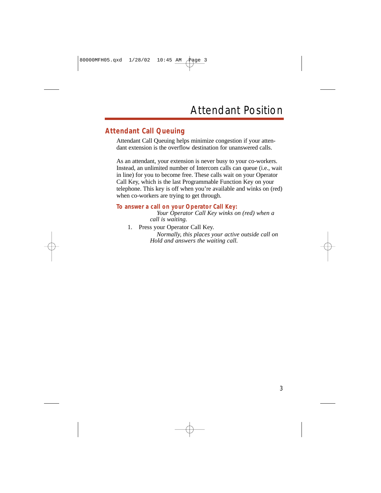### **Attendant Call Queuing**

Attendant Call Queuing helps minimize congestion if your attendant extension is the overflow destination for unanswered calls.

As an attendant, your extension is never busy to your co-workers. Instead, an unlimited number of Intercom calls can queue (i.e., wait in line) for you to become free. These calls wait on your Operator Call Key, which is the last Programmable Function Key on your telephone. This key is off when you're available and winks on (red) when co-workers are trying to get through.

#### **To answer a call on your Operator Call Key:**

*Your Operator Call Key winks on (red) when a call is waiting.*

1. Press your Operator Call Key.

*Normally, this places your active outside call on Hold and answers the waiting call.*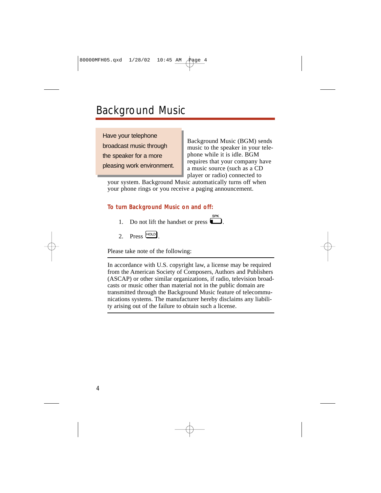### Background Music

Have your telephone broadcast music through the speaker for a more pleasing work environment.

Background Music (BGM) sends music to the speaker in your telephone while it is idle. BGM requires that your company have a music source (such as a CD player or radio) connected to

your system. Background Music automatically turns off when your phone rings or you receive a paging announcement.

#### **To turn Background Music on and off:**

- 1. Do not lift the handset or press  $\Box$ .
- 2. Press  $HOD$

Please take note of the following:

In accordance with U.S. copyright law, a license may be required from the American Society of Composers, Authors and Publishers (ASCAP) or other similar organizations, if radio, television broadcasts or music other than material not in the public domain are transmitted through the Background Music feature of telecommunications systems. The manufacturer hereby disclaims any liability arising out of the failure to obtain such a license.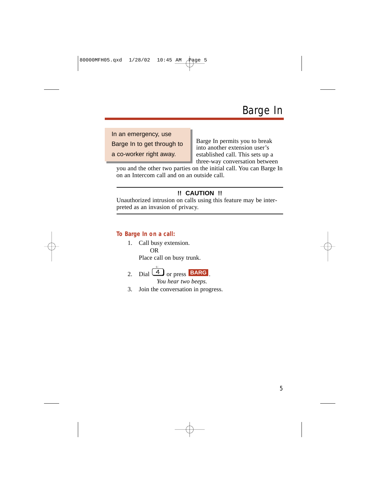In an emergency, use Barge In to get through to

a co-worker right away.

Barge In permits you to break into another extension user's established call. This sets up a three-way conversation between

you and the other two parties on the initial call. You can Barge In on an Intercom call and on an outside call.

#### **!! CAUTION !!**

Unauthorized intrusion on calls using this feature may be interpreted as an invasion of privacy.

#### **To Barge In on a call:**

- 1. Call busy extension. OR Place call on busy trunk.
- 2. Dial <sup>4</sup> or press **BARG**. *You hear two beeps.*
- 3. Join the conversation in progress.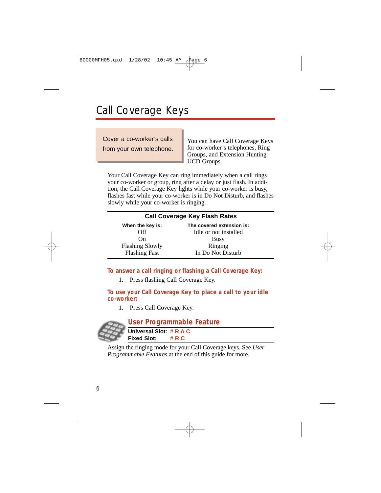### Call Coverage Keys

Cover a co-worker's calls

from your own telephone.

You can have Call Coverage Keys for co-worker's telephones, Ring Groups, and Extension Hunting UCD Groups.

Your Call Coverage Key can ring immediately when a call rings your co-worker or group, ring after a delay or just flash. In addition, the Call Coverage Key lights while your co-worker is busy, flashes fast while your co-worker is in Do Not Disturb, and flashes slowly while your co-worker is ringing.

#### **Call Coverage Key Flash Rates**

| When the key is:       | The covered extension is: |
|------------------------|---------------------------|
| Off                    | Idle or not installed     |
| On.                    | Busy                      |
| <b>Flashing Slowly</b> | Ringing                   |
| <b>Flashing Fast</b>   | In Do Not Disturb         |

**To answer a call ringing or flashing a Call Coverage Key:**

1. Press flashing Call Coverage Key.

**To use your Call Coverage Key to place a call to your idle co-worker:**

1. Press Call Coverage Key.



#### **User Programmable Feature**

**Universal Slot: # R A C Fixed Slot: # R C**

Assign the ringing mode for your Call Coverage keys. See *User Programmable Features* at the end of this guide for more.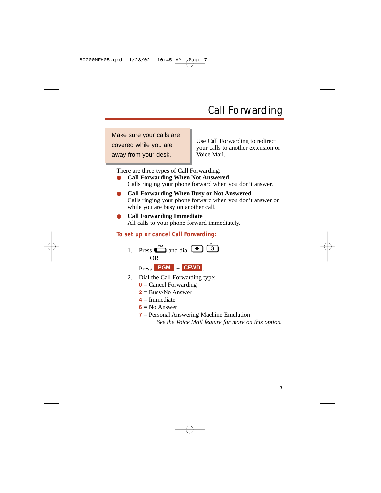### Call Forwarding

Make sure your calls are covered while you are away from your desk.

Use Call Forwarding to redirect your calls to another extension or Voice Mail.

There are three types of Call Forwarding:

- **Call Forwarding When Not Answered** Calls ringing your phone forward when you don't answer.
- **Call Forwarding When Busy or Not Answered** Calls ringing your phone forward when you don't answer or while you are busy on another call.

**Call Forwarding Immediate** All calls to your phone forward immediately.

#### **To set up or cancel Call Forwarding:**

| <b>ICM</b><br>Press $\Box$ and dial $\rightarrow$ 3<br>OR |  |
|-----------------------------------------------------------|--|
| $Press$ PGM $+$ CFWD                                      |  |

- 2. Dial the Call Forwarding type:
	- **0** = Cancel Forwarding
	- **2** = Busy/No Answer
	- **4** = Immediate
	- $6 = No$  Answer
	- **7** = Personal Answering Machine Emulation

*See the Voice Mail feature for more on this option.*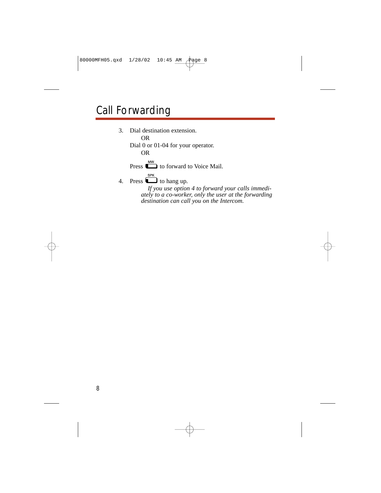### Call Forwarding

3. Dial destination extension. OR Dial 0 or 01-04 for your operator. OR Press  $\sum_{n=1}^{\text{MW}}$  to forward to Voice Mail. SPK 4. Press  $\Box$  to hang up. *If you use option 4 to forward your calls immediately to a co-worker, only the user at the forwarding destination can call you on the Intercom.*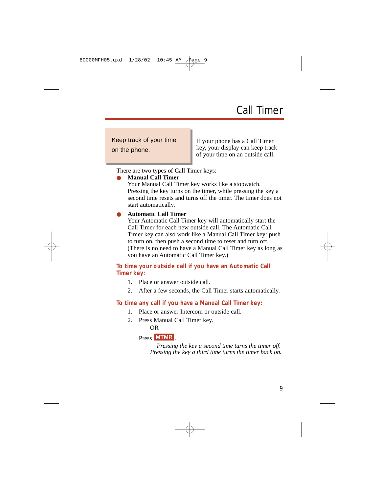### Call Timer

 $\mathbf{S}$  and  $\mathbf{S}$  are particular to the party of  $\mathbf{S}$ telephone meeting of the state of the state of the state of the state of the state of the state of the state of the state of the state of the state of the state of the state of the state of the state of the state of the st with leaving the office of the office. Keep track of your time on the phone.

If your phone has a Call Timer key, your display can keep track of your time on an outside call.

There are two types of Call Timer keys:

#### ● **Manual Call Timer**

Your Manual Call Timer key works like a stopwatch. Pressing the key turns on the timer, while pressing the key a second time resets and turns off the timer. The timer does not start automatically.

#### ● **Automatic Call Timer**

Your Automatic Call Timer key will automatically start the Call Timer for each new outside call. The Automatic Call Timer key can also work like a Manual Call Timer key: push to turn on, then push a second time to reset and turn off. (There is no need to have a Manual Call Timer key as long as you have an Automatic Call Timer key.)

#### **To time your outside call if you have an Automatic Call Timer key:**

- 1. Place or answer outside call.
- 2. After a few seconds, the Call Timer starts automatically.

#### **To time any call if you have a Manual Call Timer key:**

- 1. Place or answer Intercom or outside call.
- 2. Press Manual Call Timer key.

OR

### Press MTMR

*Pressing the key a second time turns the timer off. Pressing the key a third time turns the timer back on.*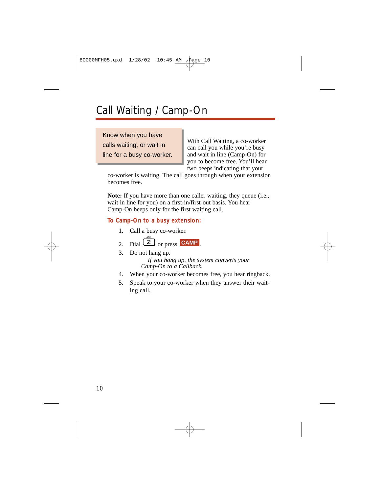### Call Waiting / Camp-On

Know when you have calls waiting, or wait in line for a busy co-worker.

With Call Waiting, a co-worker can call you while you're busy and wait in line (Camp-On) for you to become free. You'll hear two beeps indicating that your

co-worker is waiting. The call goes through when your extension becomes free.

**Note:** If you have more than one caller waiting, they queue (i.e., wait in line for you) on a first-in/first-out basis. You hear Camp-On beeps only for the first waiting call.

#### **To Camp-On to a busy extension:**

- 1. Call a busy co-worker.
- 2. Dial  $\boxed{2}$  or press **CAMP**.
- 3. Do not hang up. *If you hang up, the system converts your Camp-On to a Callback.*
- 4. When your co-worker becomes free, you hear ringback.
- 5. Speak to your co-worker when they answer their waiting call.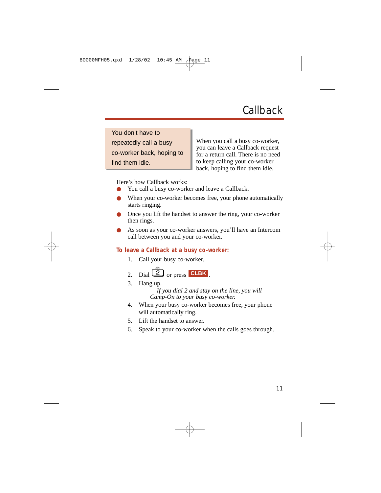You don't have to repeatedly call a busy co-worker back, hoping to find them idle.

When you call a busy co-worker, you can leave a Callback request for a return call. There is no need to keep calling your co-worker back, hoping to find them idle.

Here's how Callback works:

- You call a busy co-worker and leave a Callback.
- When your co-worker becomes free, your phone automatically starts ringing.
- Once you lift the handset to answer the ring, your co-worker then rings.
- As soon as your co-worker answers, you'll have an Intercom call between you and your co-worker.

#### **To leave a Callback at a busy co-worker:**

- 1. Call your busy co-worker.
- 2. Dial  $\boxed{2}$  or press **CLBK**.
- 3. Hang up.

*If you dial 2 and stay on the line, you will Camp-On to your busy co-worker.*

- 4. When your busy co-worker becomes free, your phone will automatically ring.
- 5. Lift the handset to answer.
- 6. Speak to your co-worker when the calls goes through.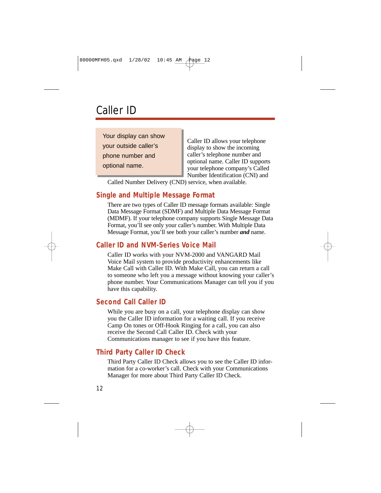### Caller ID

Your display can show your outside caller's phone number and optional name.

Caller ID allows your telephone display to show the incoming caller's telephone number and optional name. Caller ID supports your telephone company's Called Number Identification (CNI) and

Called Number Delivery (CND) service, when available.

#### **Single and Multiple Message Format**

There are two types of Caller ID message formats available: Single Data Message Format (SDMF) and Multiple Data Message Format (MDMF). If your telephone company supports Single Message Data Format, you'll see only your caller's number. With Multiple Data Message Format, you'll see both your caller's number *and* name.

#### **Caller ID and NVM-Series Voice Mail**

Caller ID works with your NVM-2000 and VANGARD Mail Voice Mail system to provide productivity enhancements like Make Call with Caller ID. With Make Call, you can return a call to someone who left you a message without knowing your caller's phone number. Your Communications Manager can tell you if you have this capability.

#### **Second Call Caller ID**

While you are busy on a call, your telephone display can show you the Caller ID information for a waiting call. If you receive Camp On tones or Off-Hook Ringing for a call, you can also receive the Second Call Caller ID. Check with your Communications manager to see if you have this feature.

#### **Third Party Caller ID Check**

Third Party Caller ID Check allows you to see the Caller ID information for a co-worker's call. Check with your Communications Manager for more about Third Party Caller ID Check.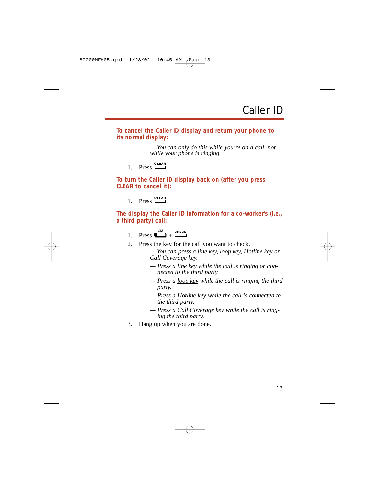**To cancel the Caller ID display and return your phone to its normal display:**

> *You can only do this while you're on a call, not while your phone is ringing.*

 $1.$  Press  $\overline{\phantom{0}}$ .

**To turn the Caller ID display back on (after you press CLEAR to cancel it):**

 $1$  Press  $\overline{\phantom{a}}$   $0$  LEAR

**The display the Caller ID information for a co-worker's (i.e., a third party) call:**

- $1.$  Press  $\Box$  +  $\Box$
- 2. Press the key for the call you want to check. *You can press a line key, loop key, Hotline key or Call Coverage key.*
	- *Press a line key while the call is ringing or connected to the third party.*
	- *Press a loop key while the call is ringing the third party.*
	- *Press a Hotline key while the call is connected to the third party.*
	- *Press a Call Coverage key while the call is ringing the third party.*
- 3. Hang up when you are done.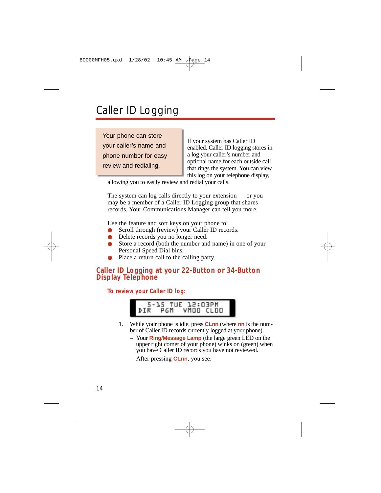## Caller ID Logging

Your phone can store your caller's name and phone number for easy review and redialing.

If your system has Caller ID enabled, Caller ID logging stores in a log your caller's number and optional name for each outside call that rings the system. You can view this log on your telephone display,

allowing you to easily review and redial your calls.

The system can log calls directly to your extension — or you may be a member of a Caller ID Logging group that shares records. Your Communications Manager can tell you more.

Use the feature and soft keys on your phone to:

- Scroll through (review) your Caller ID records.
- Delete records you no longer need.
- Store a record (both the number and name) in one of your Personal Speed Dial bins.
- Place a return call to the calling party.

#### **Caller ID Logging at your 22-Button or 34-Button Display Telephone**

**To review your Caller ID log:**



- 1. While your phone is idle, press **CLnn** (where **nn** is the number of Caller ID records currently logged at your phone).
	- Your **Ring/Message Lamp** (the large green LED on the upper right corner of your phone) winks on (green) when you have Caller ID records you have not reviewed.
	- After pressing **CLnn**, you see: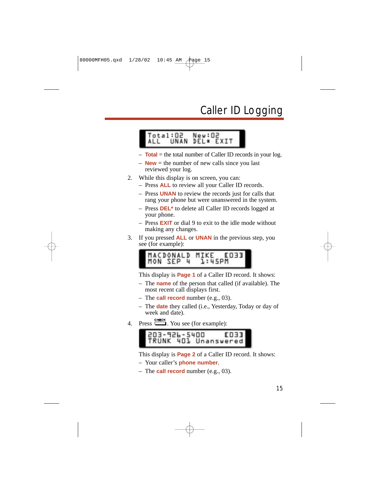#### New: DZ<br>DEL\* EXIT  $otsa1:02$ **HNAN**  $A11$

- **Total** = the total number of Caller ID records in your log.
- $-$  **New** = the number of new calls since you last reviewed your log.
- 2. While this display is on screen, you can:
	- Press **ALL** to review all your Caller ID records.
	- Press **UNAN** to review the records just for calls that rang your phone but were unanswered in the system.
	- Press **DEL\*** to delete all Caller ID records logged at your phone.
	- Press **EXIT** or dial 9 to exit to the idle mode without making any changes.
- 3. If you pressed **ALL** or **UNAN** in the previous step, you see (for example):



This display is **Page 1** of a Caller ID record. It shows:

- The **name** of the person that called (if available). The most recent call displays first.
- The **call record** number (e.g., 03).
- The **date** they called (i.e., Yesterday, Today or day of week and date).
- 4. Press  $\overline{\phantom{a}}$ . You see (for example):



This display is **Page 2** of a Caller ID record. It shows:

- Your caller's **phone number**.
- The **call record** number (e.g., 03).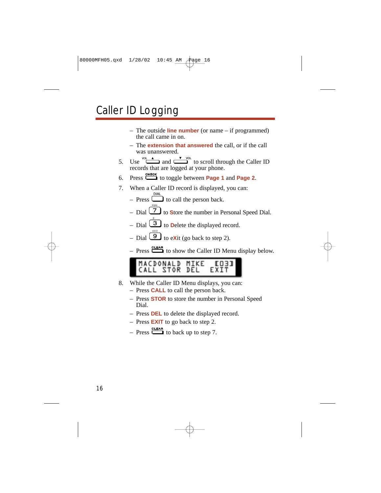### Caller ID Logging

- The outside **line number** (or name if programmed) the call came in on.
- The **extension that answered** the call, or if the call was unanswered.
- 5. Use and  $\Box$  to scroll through the Caller ID records that are logged at your phone.
- 6. Press to toggle between **Page 1** and **Page 2**.
- 7. When a Caller ID record is displayed, you can:
	- Press  $\Box$  to call the person back.
	- Dial  $\boxed{7}$  to **S**tore the number in Personal Speed Dial.
	- Dial  $\boxed{3}$  to **D**elete the displayed record.
	- $-$  Dial  $\boxed{9}$  to eXit (go back to step 2).
	- Press  $\frac{\text{CIEAR}}{\text{I}}$  to show the Caller ID Menu display below.



- 8. While the Caller ID Menu displays, you can:
	- Press **CALL** to call the person back.
	- Press **STOR** to store the number in Personal Speed Dial.
	- Press **DEL** to delete the displayed record.
	- Press **EXIT** to go back to step 2.
	- Press  $\frac{\text{cLEAR}}{\text{cLEAR}}$  to back up to step 7.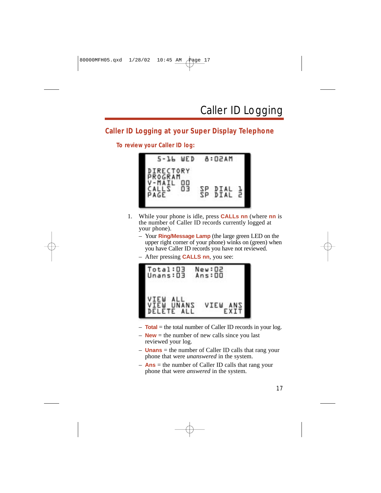### **Caller ID Logging at your Super Display Telephone**

#### **To review your Caller ID log:**



- 1. While your phone is idle, press **CALLs nn** (where **nn** is the number of Caller ID records currently logged at your phone).
	- Your **Ring/Message Lamp** (the large green LED on the upper right corner of your phone) winks on (green) when you have Caller ID records you have not reviewed.
	- After pressing **CALLS nn**, you see:



- **Total** = the total number of Caller ID records in your log.
- $-$  **New** = the number of new calls since you last reviewed your log.
- **Unans** = the number of Caller ID calls that rang your phone that were *unanswered* in the system.
- **Ans** = the number of Caller ID calls that rang your phone that were *answered* in the system.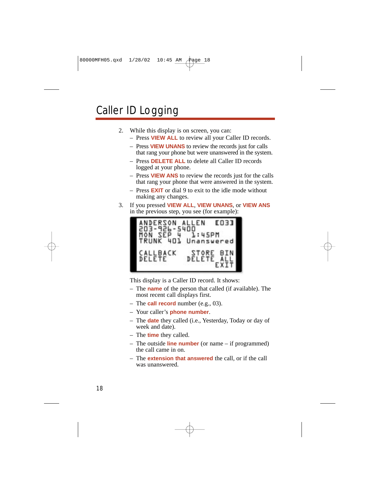### Caller ID Logging

- 2. While this display is on screen, you can:
	- Press **VIEW ALL** to review all your Caller ID records.
	- Press **VIEW UNANS** to review the records just for calls that rang your phone but were unanswered in the system.
	- Press **DELETE ALL** to delete all Caller ID records logged at your phone.
	- Press **VIEW ANS** to review the records just for the calls that rang your phone that were answered in the system.
	- Press **EXIT** or dial 9 to exit to the idle mode without making any changes.
- 3. If you pressed **VIEW ALL**, **VIEW UNANS**, or **VIEW ANS** in the previous step, you see (for example):



This display is a Caller ID record. It shows:

- The **name** of the person that called (if available). The most recent call displays first.
- The **call record** number (e.g., 03).
- Your caller's **phone number**.
- The **date** they called (i.e., Yesterday, Today or day of week and date).
- The **time** they called.
- The outside **line number** (or name if programmed) the call came in on.
- The **extension that answered** the call, or if the call was unanswered.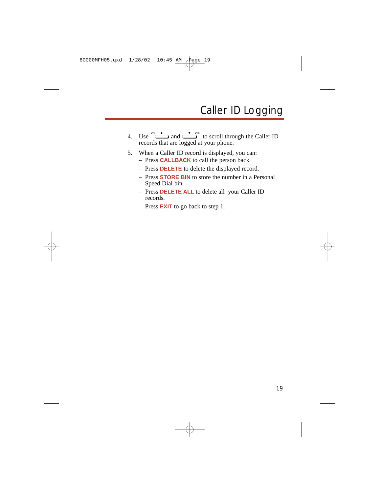## Caller ID Logging

- 4. Use  $\overline{\phantom{a}}^{\text{vol}}$  and  $\overline{\phantom{a}}^{\text{vol}}$  to scroll through the Caller ID records that are logged at your phone.
- 5. When a Caller ID record is displayed, you can:
	- Press **CALLBACK** to call the person back.
	- Press **DELETE** to delete the displayed record.
	- Press **STORE BIN** to store the number in a Personal Speed Dial bin.
	- Press **DELETE ALL** to delete all your Caller ID records.
	- Press **EXIT** to go back to step 1.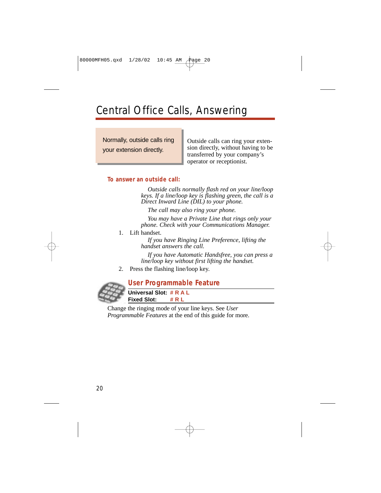### Central Office Calls, Answering

Set up a multiple-party telephone meeting without leaving the office. Normally, outside calls ring your extension directly.

Outside calls can ring your extension directly, without having to be transferred by your company's operator or receptionist.

#### **To answer an outside call:**

*Outside calls normally flash red on your line/loop keys. If a line/loop key is flashing green, the call is a Direct Inward Line (DIL) to your phone.*

*The call may also ring your phone.*

*You may have a Private Line that rings only your phone. Check with your Communications Manager.*

1. Lift handset.

*If you have Ringing Line Preference, lifting the handset answers the call.*

*If you have Automatic Handsfree, you can press a line/loop key without first lifting the handset.*

2. Press the flashing line/loop key.



Change the ringing mode of your line keys. See *User Programmable Features* at the end of this guide for more.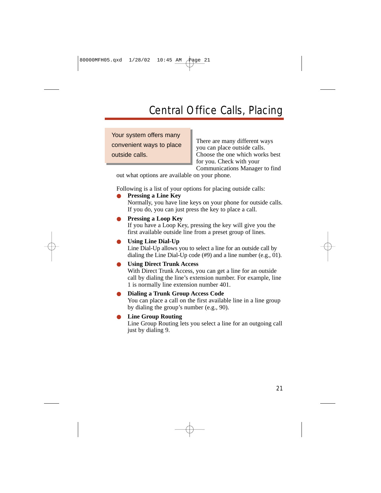### Central Office Calls, Placing

Your system offers many convenient ways to place outside calls. The other the office

There are many different ways you can place outside calls. Choose the one which works best for you. Check with your Communications Manager to find

out what options are available on your phone.

Following is a list of your options for placing outside calls:

#### ● **Pressing a Line Key**

Normally, you have line keys on your phone for outside calls. If you do, you can just press the key to place a call.

#### **Pressing a Loop Key**

If you have a Loop Key, pressing the key will give you the first available outside line from a preset group of lines.

#### Using Line Dial-Up

Line Dial-Up allows you to select a line for an outside call by dialing the Line Dial-Up code (#9) and a line number (e.g., 01).

#### **Using Direct Trunk Access**

With Direct Trunk Access, you can get a line for an outside call by dialing the line's extension number. For example, line 1 is normally line extension number 401.

#### **Dialing a Trunk Group Access Code**

You can place a call on the first available line in a line group by dialing the group's number (e.g., 90).

#### **Line Group Routing**

Line Group Routing lets you select a line for an outgoing call just by dialing 9.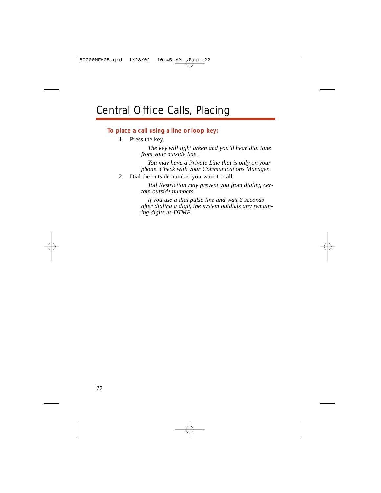### Central Office Calls, Placing

#### **To place a call using a line or loop key:**

1. Press the key.

*The key will light green and you'll hear dial tone from your outside line.*

*You may have a Private Line that is only on your phone. Check with your Communications Manager.*

2. Dial the outside number you want to call.

*Toll Restriction may prevent you from dialing certain outside numbers.*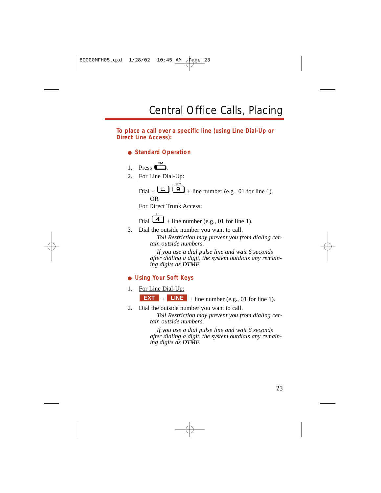**To place a call over a specific line (using Line Dial-Up or Direct Line Access):**

- **Standard Operation**
- 1. Press  $\Box$
- 2. For Line Dial-Up:

 $Dial + \frac{\pi}{\sqrt{2}}$   $\left( \frac{9}{2} \right)$  + line number (e.g., 01 for line 1). OR

For Direct Trunk Access:

Dial  $\left(4\right)$  + line number (e.g., 01 for line 1).

3. Dial the outside number you want to call.

*Toll Restriction may prevent you from dialing certain outside numbers.*

*If you use a dial pulse line and wait 6 seconds after dialing a digit, the system outdials any remaining digits as DTMF.*

#### ● **Using Your Soft Keys**

1. For Line Dial-Up:

**EXT**  $+$  **LINE**  $+$  line number (e.g., 01 for line 1).

2. Dial the outside number you want to call.

*Toll Restriction may prevent you from dialing certain outside numbers.*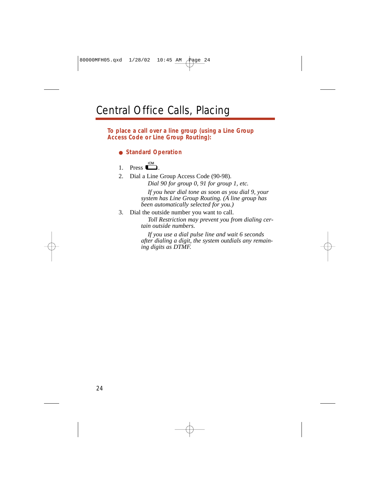### Central Office Calls, Placing

#### **To place a call over a line group (using a Line Group Access Code or Line Group Routing):**

#### ● **Standard Operation**

- 1. Press  $\overline{\phantom{a}}^{\text{ICM}}$ .
- 2. Dial a Line Group Access Code (90-98).

*Dial 90 for group 0, 91 for group 1, etc.*

*If you hear dial tone as soon as you dial 9, your system has Line Group Routing. (A line group has been automatically selected for you.)*

3. Dial the outside number you want to call.

*Toll Restriction may prevent you from dialing certain outside numbers.*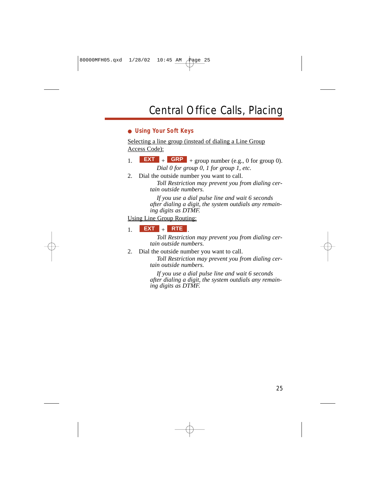#### ● **Using Your Soft Keys**

Selecting a line group (instead of dialing a Line Group Access Code):

- 1. **EXT**  $+$  **GRP**  $+$  group number (e.g., 0 for group 0). *Dial 0 for group 0, 1 for group 1, etc.*
- 2. Dial the outside number you want to call.

*Toll Restriction may prevent you from dialing certain outside numbers.*

*If you use a dial pulse line and wait 6 seconds after dialing a digit, the system outdials any remaining digits as DTMF.*

Using Line Group Routing:

#### 1. + . **EXT RTE**

*Toll Restriction may prevent you from dialing certain outside numbers.*

2. Dial the outside number you want to call.

*Toll Restriction may prevent you from dialing certain outside numbers.*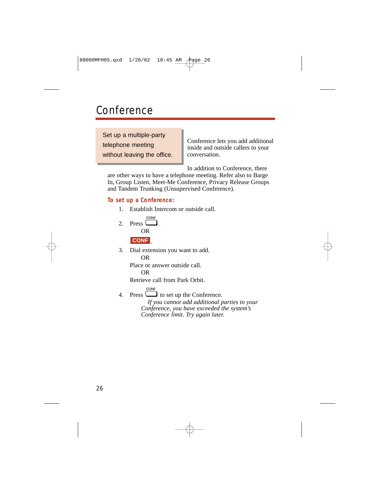### **Conference**

Set up a multiple-party telephone meeting without leaving the office.

Conference lets you add additional inside and outside callers to your conversation.

In addition to Conference, there

are other ways to have a telephone meeting. Refer also to Barge In, Group Listen, Meet-Me Conference, Privacy Release Groups and Tandem Trunking (Unsupervised Conference).

#### **To set up a Conference:**

- 1. Establish Intercom or outside call.
- 2. Press  $\Box$ OR . **CONF**
- 3. Dial extension you want to add. OR

Place or answer outside call.

OR

Retrieve call from Park Orbit.

4. Press  $\Box$  to set up the Conference.

*If you cannot add additional parties to your Conference, you have exceeded the system's Conference limit. Try again later.*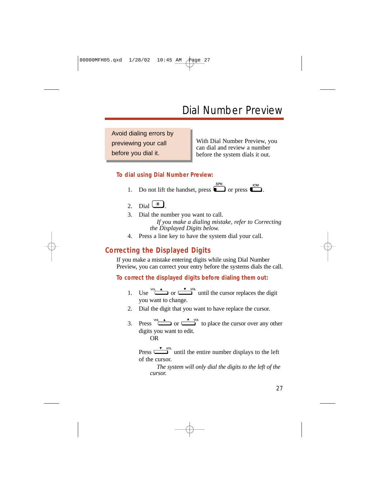### Dial Number Preview

Avoid dialing errors by previewing your call before you dial it.

With Dial Number Preview, you can dial and review a number before the system dials it out.

#### **To dial using Dial Number Preview:**

1. Do not lift the handset, press  $\sum_{n=1}^{\text{SFR}}$  or press  $\sum_{n=1}^{\text{ICM}}$ .

2. Data 
$$
\boxed{\times}
$$

- 3. Dial the number you want to call. *If you make a dialing mistake, refer to Correcting the Displayed Digits below.*
- 4. Press a line key to have the system dial your call.

#### **Correcting the Displayed Digits**

If you make a mistake entering digits while using Dial Number Preview, you can correct your entry before the systems dials the call.

#### **To correct the displayed digits before dialing them out:**

- 1. Use  $\sum_{n=1}^{\infty}$  or  $\sum_{n=1}^{\infty}$  until the cursor replaces the digit you want to change.
- 2. Dial the digit that you want to have replace the cursor.
- 3. Press  $\overline{\phantom{a}}^{\text{vol}}$  or  $\overline{\phantom{a}}^{\text{vol}}$  to place the cursor over any other digits you want to edit.

OR

Press  $\sum_{n=1}^{\infty}$  until the entire number displays to the left of the cursor.

*The system will only dial the digits to the left of the cursor.*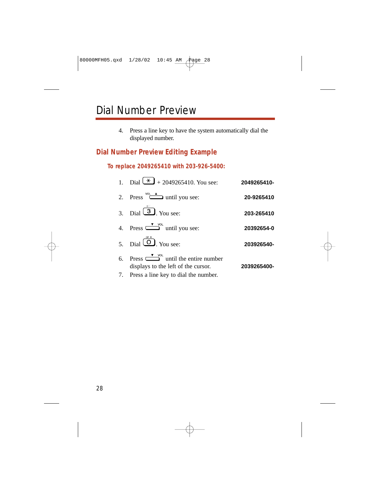### Dial Number Preview

4. Press a line key to have the system automatically dial the displayed number.

#### **Dial Number Preview Editing Example**

**To replace 2049265410 with 203-926-5400:**

| 1. Dial $\left(\frac{\star}{2}\right)$ + 2049265410. You see:                                 | 2049265410- |
|-----------------------------------------------------------------------------------------------|-------------|
| 2. Press $\sqrt[10]{\phantom{1}}$ until you see:                                              | 20-9265410  |
| 3. Dial $\boxed{3}$ . You see:                                                                | 203-265410  |
| 4. Press $\sum_{n=1}^{\infty}$ until you see:                                                 | 20392654-0  |
| 5. Dial $\overline{\textcircled{O}}$ . You see:                                               | 203926540-  |
| 6. Press $\sum_{n=1}^{\infty}$ until the entire number<br>displays to the left of the cursor. | 2039265400- |
| 7. Press a line key to dial the number.                                                       |             |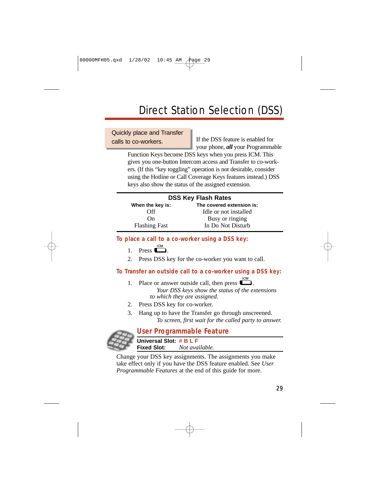Quickly place and Transfer calls to co-workers.

If the DSS feature is enabled for your phone, *all* your Programmable

Function Keys become DSS keys when you press ICM. This gives you one-button Intercom access and Transfer to co-workers. (If this "key toggling" operation is not desirable, consider using the Hotline or Call Coverage Keys features instead.) DSS keys also show the status of the assigned extension.

| <b>DSS Key Flash Rates</b> |                           |  |  |
|----------------------------|---------------------------|--|--|
| When the key is:           | The covered extension is: |  |  |
| Off                        | Idle or not installed     |  |  |
| On.                        | Busy or ringing           |  |  |
| <b>Flashing Fast</b>       | In Do Not Disturb         |  |  |

#### **To place a call to a co-worker using a DSS key:**

- 1 Press  $\Box$
- 2. Press DSS key for the co-worker you want to call.

#### **To Transfer an outside call to a co-worker using a DSS key:**

- 1. Place or answer outside call, then press  $\Box$ . *Your DSS keys show the status of the extensions to which they are assigned.*
- 2. Press DSS key for co-worker.
- 3. Hang up to have the Transfer go through unscreened. *To screen, first wait for the called party to answer.*



#### **User Programmable Feature**

**Universal Slot: # B L F Fixed Slot:** *Not available.*

Change your DSS key assignments. The assignments you make take effect only if you have the DSS feature enabled. See *User Programmable Features* at the end of this guide for more.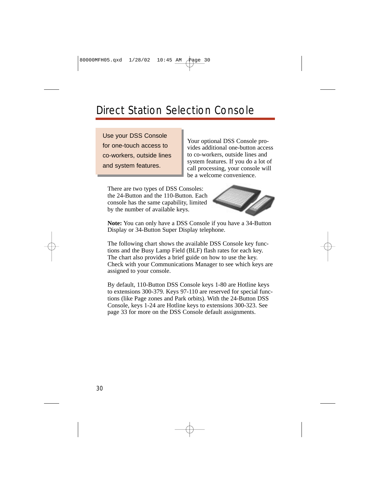### Direct Station Selection Console

Use your DSS Console for one-touch access to co-workers, outside lines and system features.

Your optional DSS Console provides additional one-button access to co-workers, outside lines and system features. If you do a lot of call processing, your console will be a welcome convenience.

There are two types of DSS Consoles: the 24-Button and the 110-Button. Each console has the same capability, limited by the number of available keys.



**Note:** You can only have a DSS Console if you have a 34-Button Display or 34-Button Super Display telephone.

The following chart shows the available DSS Console key functions and the Busy Lamp Field (BLF) flash rates for each key. The chart also provides a brief guide on how to use the key. Check with your Communications Manager to see which keys are assigned to your console.

By default, 110-Button DSS Console keys 1-80 are Hotline keys to extensions 300-379. Keys 97-110 are reserved for special functions (like Page zones and Park orbits). With the 24-Button DSS Console, keys 1-24 are Hotline keys to extensions 300-323. See page 33 for more on the DSS Console default assignments.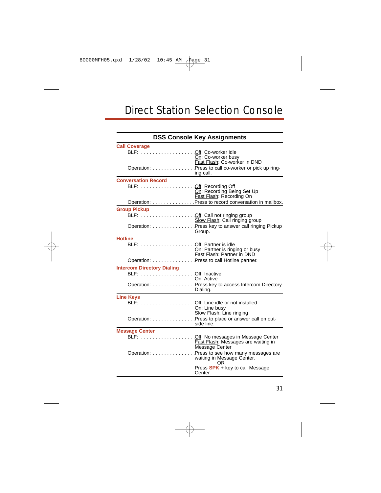| <b>DSS Console Key Assignments</b> |                                                                                    |  |
|------------------------------------|------------------------------------------------------------------------------------|--|
| <b>Call Coverage</b>               |                                                                                    |  |
|                                    | On: Co-worker busy<br>Fast Flash: Co-worker in DND                                 |  |
|                                    | Operation: Press to call co-worker or pick up ring-<br>ing call.                   |  |
| <b>Conversation Record</b>         |                                                                                    |  |
|                                    | On: Recording Being Set Up<br>Fast Flash: Recording On                             |  |
|                                    | Operation: Press to record conversation in mailbox.                                |  |
| <b>Group Pickup</b>                |                                                                                    |  |
|                                    | Slow Flash: Call ringing group                                                     |  |
|                                    | Operation:  Press key to answer call ringing Pickup<br>Group.                      |  |
| <b>Hotline</b>                     |                                                                                    |  |
| BLF: Off: Partner is idle          | On: Partner is ringing or busy<br>Fast Flash: Partner in DND                       |  |
|                                    | Operation: Press to call Hotline partner.                                          |  |
| <b>Intercom Directory Dialing</b>  |                                                                                    |  |
|                                    | On: Active                                                                         |  |
|                                    | Operation: Press key to access Intercom Directory<br>Dialing.                      |  |
| <b>Line Keys</b>                   |                                                                                    |  |
|                                    | On: Line busy                                                                      |  |
|                                    | Slow Flash: Line ringing<br>Operation: Press to place or answer call on out-       |  |
|                                    | side line.                                                                         |  |
| <b>Message Center</b>              |                                                                                    |  |
|                                    | Fast Flash: Messages are waiting in<br>Message Center                              |  |
|                                    | Operation: Press to see how many messages are<br>waiting in Message Center.<br>OR. |  |
|                                    | Press SPK + key to call Message<br>Center.                                         |  |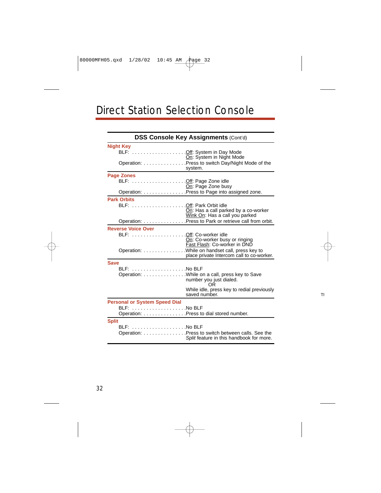| <b>DSS Console Key Assignments (Cont'd)</b> |                                                                                                |  |
|---------------------------------------------|------------------------------------------------------------------------------------------------|--|
| <b>Night Key</b>                            |                                                                                                |  |
|                                             | On: System in Night Mode                                                                       |  |
|                                             | Operation:  Press to switch Day/Night Mode of the<br>system.                                   |  |
| <b>Page Zones</b>                           |                                                                                                |  |
|                                             | On: Page Zone busy                                                                             |  |
|                                             | Operation: Press to Page into assigned zone.                                                   |  |
| <b>Park Orbits</b>                          |                                                                                                |  |
|                                             | On: Has a call parked by a co-worker<br>Wink On: Has a call you parked                         |  |
|                                             | Operation:  Press to Park or retrieve call from orbit.                                         |  |
| <b>Reverse Voice Over</b>                   |                                                                                                |  |
|                                             | On: Co-worker busy or ringing<br>Fast Flash: Co-worker in DND                                  |  |
|                                             | Operation: While on handset call, press key to<br>place private Intercom call to co-worker.    |  |
| <b>Save</b>                                 |                                                                                                |  |
|                                             |                                                                                                |  |
|                                             | Operation: While on a call, press key to Save<br>number you just dialed.<br>0R.                |  |
|                                             | While idle, press key to redial previously<br>saved number.                                    |  |
| <b>Personal or System Speed Dial</b>        |                                                                                                |  |
| Operation:  Press to dial stored number.    |                                                                                                |  |
| <b>Split</b>                                |                                                                                                |  |
|                                             | Operation:  Press to switch between calls. See the<br>Split feature in this handbook for more. |  |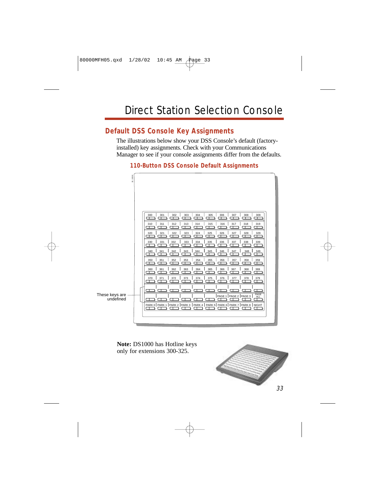### **Default DSS Console Key Assignments**

The illustrations below show your DSS Console's default (factoryinstalled) key assignments. Check with your Communications Manager to see if your console assignments differ from the defaults.



#### **110-Button DSS Console Default Assignments**

**Note:** DS1000 has Hotline keys only for extensions 300-325.

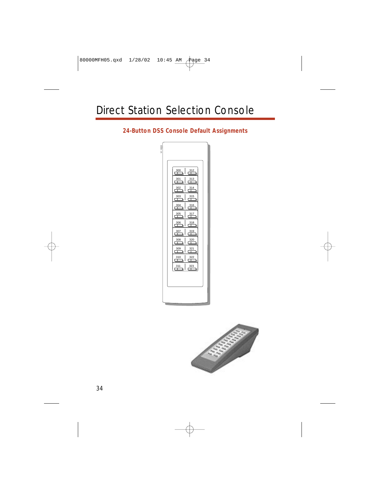### **24-Button DSS Console Default Assignments**



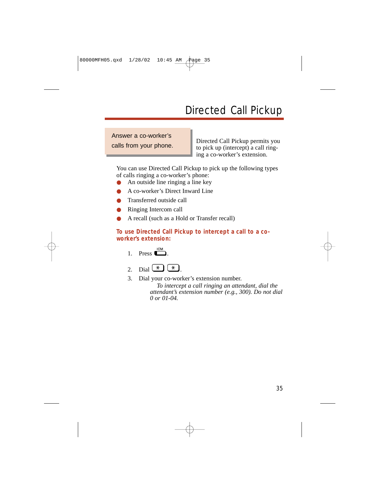# Directed Call Pickup

Answer a co-worker's calls from your phone.

Directed Call Pickup permits you to pick up (intercept) a call ringing a co-worker's extension.

You can use Directed Call Pickup to pick up the following types of calls ringing a co-worker's phone:

- An outside line ringing a line key
- A co-worker's Direct Inward Line
- Transferred outside call
- Ringing Intercom call
- A recall (such as a Hold or Transfer recall)

#### **To use Directed Call Pickup to intercept a call to a coworker's extension:**

1. Press 
$$
\Box
$$

2. Data 
$$
\rightarrow
$$
  $\rightarrow$   $\rightarrow$   $\rightarrow$ 

3. Dial your co-worker's extension number.

*To intercept a call ringing an attendant, dial the attendant's extension number (e.g., 300). Do not dial 0 or 01-04.*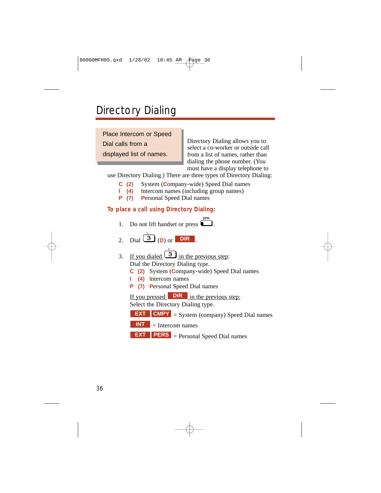# Directory Dialing

Place Intercom or Speed Dial calls from a displayed list of names.

Directory Dialing allows you to select a co-worker or outside call from a list of names, rather than dialing the phone number. (You must have a display telephone to

use Directory Dialing.) There are three types of Directory Dialing:

- **C (2)** System (**C**ompany-wide) Speed Dial names
- **I (4) I**ntercom names (including group names)
- **P (7) P**ersonal Speed Dial names

#### **To place a call using Directory Dialing:**

- 1. Do not lift handset or press  $\sum_{n=1}^{\text{SPK}}$ .
- 2. Dial  $\boxed{3}$  (D) or  $\boxed{DR}$ .
- 3. If you dialed  $\boxed{3}$  in the previous step: Dial the Directory Dialing type.
	- **C (2)** System (**C**ompany-wide) Speed Dial names
	- **(4)** Intercom names
	- **(7)** Personal Speed Dial names

If you pressed **DIR** in the previous step:

Select the Directory Dialing type.

**EXT CMPY** = System (company) Speed Dial names

- $=$  Intercom names **INT**
- **EXT PERS** = Personal Speed Dial names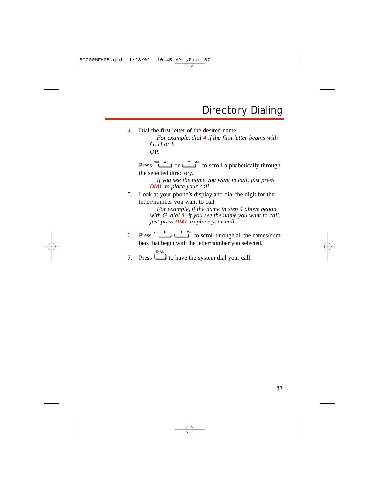4. Dial the first letter of the desired name. *For example, dial* **4** *if the first letter begins with G, H or I.* OR

Press  $\sqrt[10]{\begin{array}{c} \hline \mathbf{r} & \sqrt[10]{\begin{array}{c} \hline \mathbf{r} & \sqrt[10]{\begin{array}{c} \hline \mathbf{r} & \mathbf{r} \end{array}} \\ \hline \end{array}}}$  to scroll alphabetically through the selected directory.

*If you see the name you want to call, just press* **DIAL** *to place your call.*

5. Look at your phone's display and dial the digit for the letter/number you want to call.

> *For example, if the name in step 4 above began with G, dial* **1***. If you see the name you want to call, just press* **DIAL** *to place your call.*

- 6. Press  $\overline{\bigoplus_{k=1}^{\infty} \bigoplus_{k=1}^{\infty}}$  to scroll through all the names/numbers that begin with the letter/number you selected.
	-
- 7. Press  $\Box$  to have the system dial your call.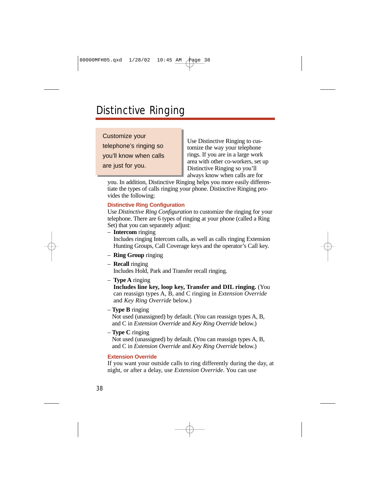# Distinctive Ringing

Customize your telephone's ringing so you'll know when calls are just for you.

Use Distinctive Ringing to customize the way your telephone rings. If you are in a large work area with other co-workers, set up Distinctive Ringing so you'll always know when calls are for

you. In addition, Distinctive Ringing helps you more easily differentiate the types of calls ringing your phone. Distinctive Ringing provides the following:

#### **Distinctive Ring Configuration**

Use *Distinctive Ring Configuration* to customize the ringing for your telephone. There are 6 types of ringing at your phone (called a Ring Set) that you can separately adjust:

– **Intercom** ringing Includes ringing Intercom calls, as well as calls ringing Extension Hunting Groups, Call Coverage keys and the operator's Call key.

- **Ring Group** ringing
- **Recall** ringing Includes Hold, Park and Transfer recall ringing.

#### – **Type A** ringing

**Includes line key, loop key, Transfer and DIL ringing.** (You can reassign types A, B, and C ringing in *Extension Override* and *Key Ring Override* below.)

– **Type B** ringing

Not used (unassigned) by default. (You can reassign types A, B, and C in *Extension Override* and *Key Ring Override* below.)

– **Type C** ringing

Not used (unassigned) by default. (You can reassign types A, B, and C in *Extension Override* and *Key Ring Override* below.)

#### **Extension Override**

If you want your outside calls to ring differently during the day, at night, or after a delay, use *Extension Override*. You can use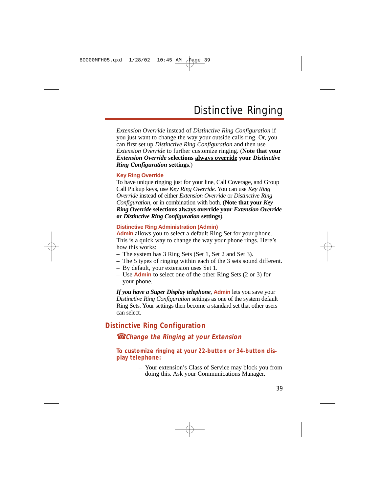*Extension Override* instead of *Distinctive Ring Configuration* if you just want to change the way your outside calls ring. Or, you can first set up *Distinctive Ring Configuration* and then use *Extension Override* to further customize ringing. (**Note that your** *Extension Override* **selections always override your** *Distinctive Ring Configuration* **settings**.)

#### **Key Ring Override**

To have unique ringing just for your line, Call Coverage, and Group Call Pickup keys, use *Key Ring Override*. You can use *Key Ring Override* instead of either *Extension Override* or *Distinctive Ring Configuration,* or in combination with both. (**Note that your** *Key Ring Override* **selections always override your** *Extension Override* **or** *Distinctive Ring Configuration* **settings**).

#### **Distinctive Ring Administration (Admin)**

**Admin** allows you to select a default Ring Set for your phone. This is a quick way to change the way your phone rings. Here's how this works:

- The system has 3 Ring Sets (Set 1, Set 2 and Set 3).
- The 5 types of ringing within each of the 3 sets sound different.
- By default, your extension uses Set 1.
- Use **Admin** to select one of the other Ring Sets (2 or 3) for your phone.

*If you have a Super Display telephone*, **Admin** lets you save your *Distinctive Ring Configuration* settings as one of the system default Ring Sets. Your settings then become a standard set that other users can select.

### **Distinctive Ring Configuration**

### ☎ **Change the Ringing at your Extension**

#### **To customize ringing at your 22-button or 34-button display telephone:**

– Your extension's Class of Service may block you from doing this. Ask your Communications Manager.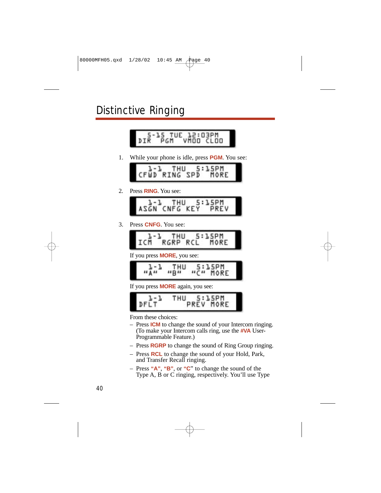# Distinctive Ringing



1. While your phone is idle, press **PGM**. You see:



2. Press **RING**. You see:



3. Press **CNFG**. You see:



If you press **MORE**, you see:

$$
\begin{array}{cccc}\n\cdot & \cdot & \cdot & \cdot & \cdot \\
\cdot & \cdot & \cdot & \cdot & \cdot \\
\cdot & \cdot & \cdot & \cdot & \cdot \\
\cdot & \cdot & \cdot & \cdot & \cdot\n\end{array}
$$

If you press **MORE** again, you see:



From these choices:

- Press **ICM** to change the sound of your Intercom ringing. (To make your Intercom calls ring, use the **#VA** User-Programmable Feature.)
- Press **RGRP** to change the sound of Ring Group ringing.
- Press **RCL** to change the sound of your Hold, Park, and Transfer Recall ringing.
- Press **"A"**, **"B"**, or **"C**" to change the sound of the Type A, B or C ringing, respectively. You'll use Type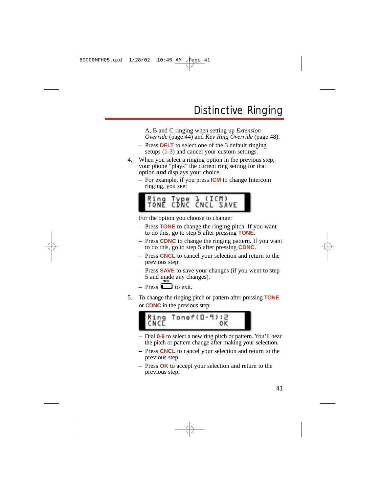A, B and C ringing when setting up *Extension Override* (page 44) and *Key Ring Override* (page 48).

- Press **DFLT** to select one of the 3 default ringing setups (1-3) and cancel your custom settings.
- 4. When you select a ringing option in the previous step, your phone "plays" the current ring setting for that option *and* displays your choice.
	- For example, if you press **ICM** to change Intercom ringing, you see:



For the option you choose to change:

- Press **TONE** to change the ringing pitch. If you want to do this, go to step 5 after pressing **TONE**.
- Press **CDNC** to change the ringing pattern. If you want to do this, go to step 5 after pressing **CDNC**.
- Press **CNCL** to cancel your selection and return to the previous step.
- Press **SAVE** to save your changes (if you went to step 5 and made any changes).

 $-$  Press  $\Box$  to exit.

5. To change the ringing pitch or pattern after pressing **TONE** or **CDNC** in the previous step:



- Dial **0-9** to select a new ring pitch or pattern. You'll hear the pitch or pattern change after making your selection.
- Press **CNCL** to cancel your selection and return to the previous step.
- Press **OK** to accept your selection and return to the previous step.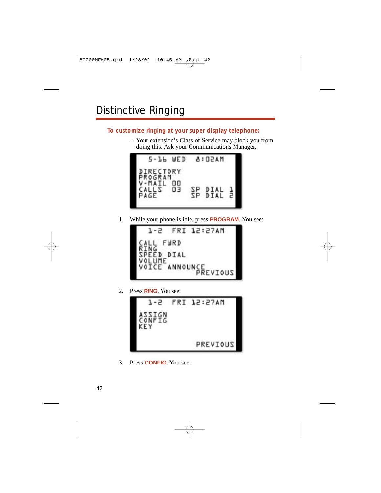#### **To customize ringing at your super display telephone:**

– Your extension's Class of Service may block you from doing this. Ask your Communications Manager.



1. While your phone is idle, press **PROGRAM**. You see:



2. Press **RING**. You see:



3. Press **CONFIG**. You see: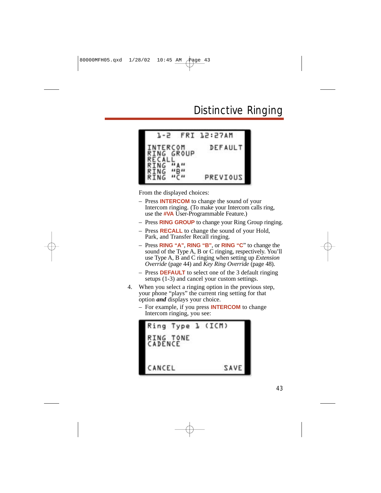

From the displayed choices:

- Press **INTERCOM** to change the sound of your Intercom ringing. (To make your Intercom calls ring, use the **#VA** User-Programmable Feature.)
- Press **RING GROUP** to change your Ring Group ringing.
- Press **RECALL** to change the sound of your Hold, Park, and Transfer Recall ringing.
- Press **RING "A"**, **RING "B"**, or **RING "C**" to change the sound of the Type A, B or C ringing, respectively. You'll use Type A, B and C ringing when setting up *Extension Override* (page 44) and *Key Ring Override* (page 48).
- Press **DEFAULT** to select one of the 3 default ringing setups (1-3) and cancel your custom settings.
- 4. When you select a ringing option in the previous step, your phone "plays" the current ring setting for that option *and* displays your choice.
	- For example, if you press **INTERCOM** to change Intercom ringing, you see:

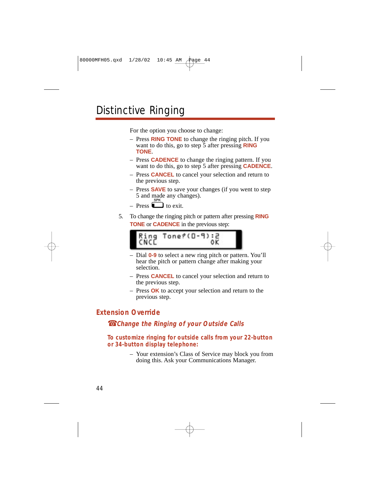# Distinctive Ringing

For the option you choose to change:

- Press **RING TONE** to change the ringing pitch. If you want to do this, go to step 5 after pressing **RING TONE**.
- Press **CADENCE** to change the ringing pattern. If you want to do this, go to step 5 after pressing **CADENCE**.
- Press **CANCEL** to cancel your selection and return to the previous step.
- Press **SAVE** to save your changes (if you went to step 5 and made any changes).
- $-$  Press  $\Box$  to exit.
- 5. To change the ringing pitch or pattern after pressing **RING TONE** or **CADENCE** in the previous step:



- Dial **0-9** to select a new ring pitch or pattern. You'll hear the pitch or pattern change after making your selection.
- Press **CANCEL** to cancel your selection and return to the previous step.
- Press **OK** to accept your selection and return to the previous step.

### **Extension Override**

### ☎ **Change the Ringing of your Outside Calls**

#### **To customize ringing for outside calls from your 22-button or 34-button display telephone:**

– Your extension's Class of Service may block you from doing this. Ask your Communications Manager.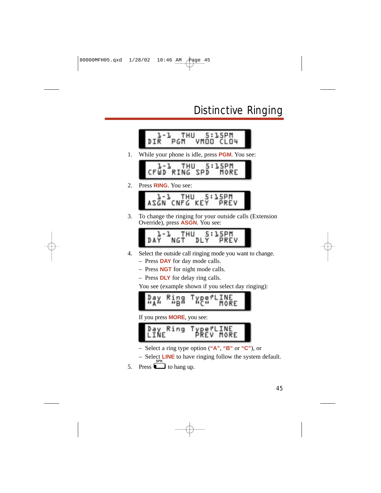# Distinctive Ringing



1. While your phone is idle, press **PGM**. You see:



2. Press **RING**. You see:



3. To change the ringing for your outside calls (Extension Override), press **ASGN**. You see:



- 4. Select the outside call ringing mode you want to change.
	- Press **DAY** for day mode calls.
	- Press **NGT** for night mode calls.
	- Press **DLY** for delay ring calls.

You see (example shown if you select day ringing):

$$
\mathbb{P}_{\mathsf{A}}^{\mathsf{a}} \mathbb{X} \overset{\mathsf{Ring}}{\longrightarrow} \mathbb{P}_{\mathsf{A}}^{\mathsf{a}} \mathbb{Y} \overset{\mathsf{Rag}}{\subset} \mathbb{P}_{\mathsf{A}}^{\mathsf{a}} \mathbb{Y} \overset{\mathsf{R}}{\subset} \mathbb{P}_{\mathsf{A}}^{\mathsf{a}}
$$

If you press **MORE**, you see:

- Select a ring type option (**"A"**, **"B"** or **"C"**), or
- Select **LINE** to have ringing follow the system default.
- 5. Press  $\Box$  to hang up.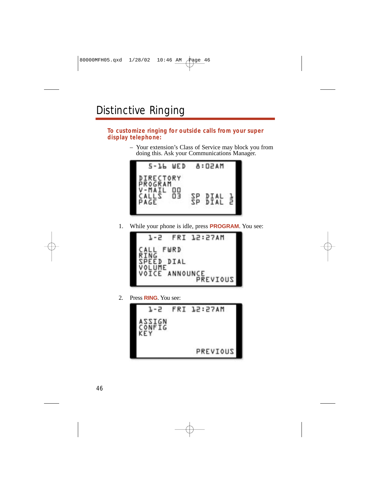#### **To customize ringing for outside calls from your super display telephone:**

– Your extension's Class of Service may block you from doing this. Ask your Communications Manager.



1. While your phone is idle, press **PROGRAM**. You see:



2. Press **RING**. You see:

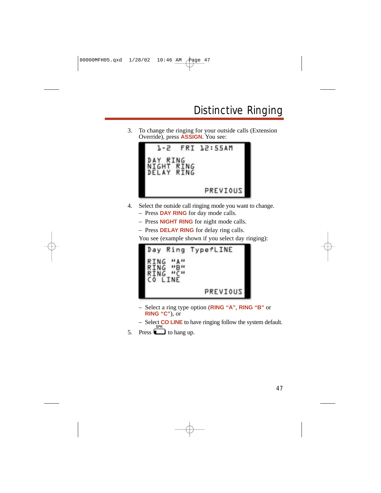3. To change the ringing for your outside calls (Extension Override), press **ASSIGN**. You see:



- 4. Select the outside call ringing mode you want to change.
	- Press **DAY RING** for day mode calls.
	- Press **NIGHT RING** for night mode calls.
	- Press **DELAY RING** for delay ring calls.

You see (example shown if you select day ringing):



- Select a ring type option (**RING "A"**, **RING "B"** or **RING "C"**), or
- Select **CO LINE** to have ringing follow the system default.
- 5. Press  $\Box$  to hang up.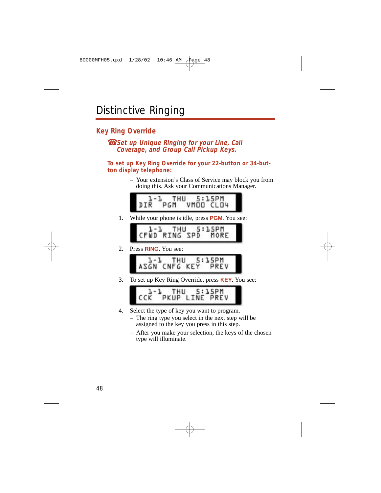### **Key Ring Override**

☎ **Set up Unique Ringing for your Line, Call Coverage, and Group Call Pickup Keys.**

**To set up Key Ring Override for your 22-button or 34-button display telephone:**

> – Your extension's Class of Service may block you from doing this. Ask your Communications Manager.



1. While your phone is idle, press **PGM**. You see:

 $5:J5PM$  $1 - 1$ THU CFWD RING SPD MORE

2. Press **RING**. You see:



3. To set up Key Ring Override, press **KEY**. You see:



- 4. Select the type of key you want to program.
	- The ring type you select in the next step will be assigned to the key you press in this step.
	- After you make your selection, the keys of the chosen type will illuminate.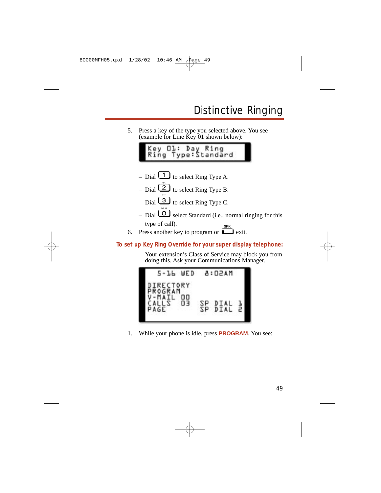5. Press a key of the type you selected above. You see (example for Line Key 01 shown below):

> ey Ol: Day Ring<br>ing Type:Standard Kev

- Dial  $\boxed{1}$  to select Ring Type A.
- Dial  $\boxed{2}$  to select Ring Type B.
- Dial  $\boxed{3}$  to select Ring Type C.
- Dial  $\boxed{\bigcirc}$  select Standard (i.e., normal ringing for this type of call).
- 6. Press another key to program or  $\Box$  exit.

#### **To set up Key Ring Override for your super display telephone:**

– Your extension's Class of Service may block you from doing this. Ask your Communications Manager.



1. While your phone is idle, press **PROGRAM**. You see: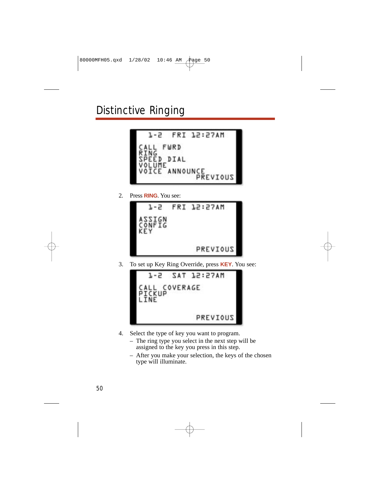### Distinctive Ringing



2. Press **RING**. You see:



3. To set up Key Ring Override, press **KEY**. You see:



- 4. Select the type of key you want to program.
	- The ring type you select in the next step will be assigned to the key you press in this step.
	- After you make your selection, the keys of the chosen type will illuminate.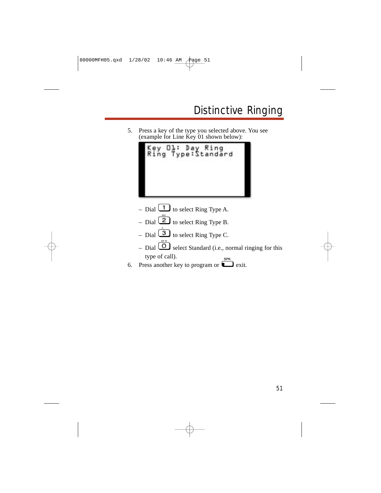5. Press a key of the type you selected above. You see (example for Line Key 01 shown below):



- Dial  $\overline{\bigcirc}$  select Standard (i.e., normal ringing for this type of call).
- 6. Press another key to program or  $\overline{\phantom{a}}$  exit.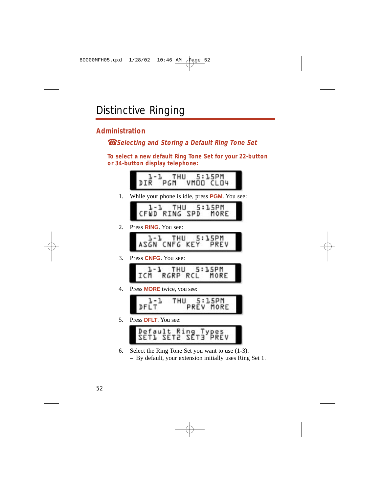### **Administration**

☎ **Selecting and Storing a Default Ring Tone Set**

**To select a new default Ring Tone Set for your 22-button or 34-button display telephone:**



5. Press **DFLT**. You see:



6. Select the Ring Tone Set you want to use (1-3). – By default, your extension initially uses Ring Set 1.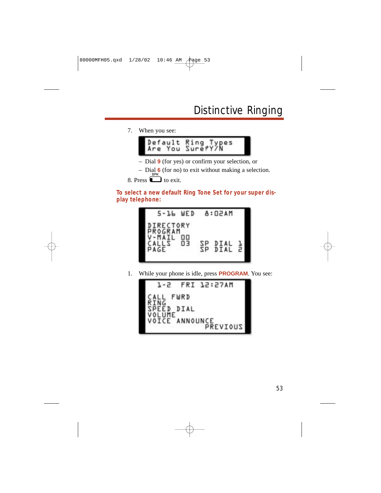7. When you see:



- Dial **9** (for yes) or confirm your selection, or
- Dial  $\frac{6}{s}$  (for no) to exit without making a selection.

8. Press 
$$
\bullet
$$
 to exit.

**To select a new default Ring Tone Set for your super display telephone:**



1. While your phone is idle, press **PROGRAM**. You see:

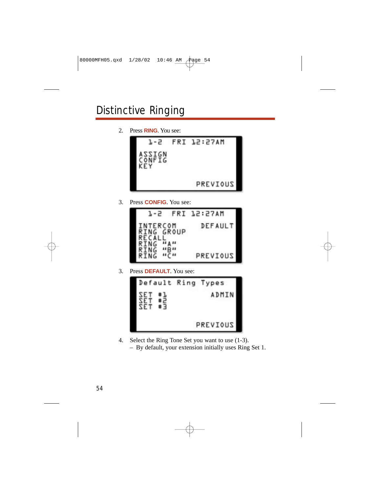# Distinctive Ringing

2. Press **RING**. You see:



3. Press **CONFIG**. You see:



3. Press **DEFAULT**. You see:



- 4. Select the Ring Tone Set you want to use (1-3).
	- By default, your extension initially uses Ring Set 1.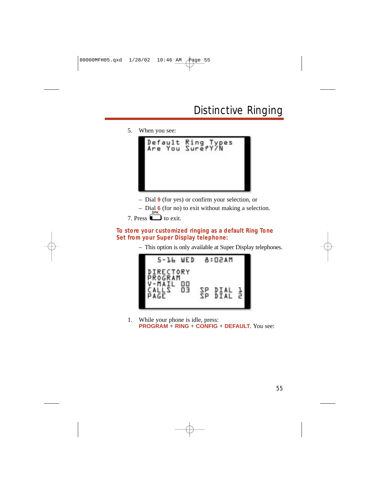5. When you see:



- Dial **9** (for yes) or confirm your selection, or
- Dial **6** (for no) to exit without making a selection.
- 7. Press  $\sum_{s \in K}$  to exit.

#### **To store your customized ringing as a default Ring Tone Set from your Super Display telephone:**

– This option is only available at Super Display telephones.



1. While your phone is idle, press: **PROGRAM** + **RING** + **CONFIG** + **DEFAULT**. You see: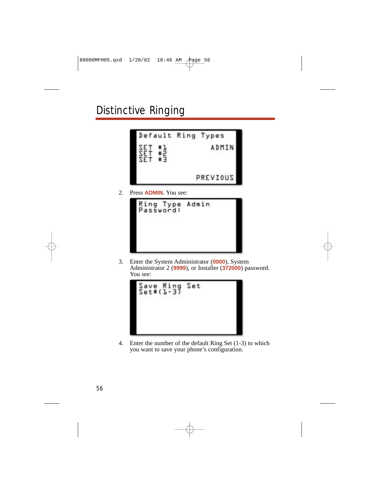# Distinctive Ringing



2. Press **ADMIN**. You see:



3. Enter the System Administrator (**0000**), System Administrator 2 (**9999**), or Installer (**372000**) password. You see:



4. Enter the number of the default Ring Set (1-3) to which you want to save your phone's configuration.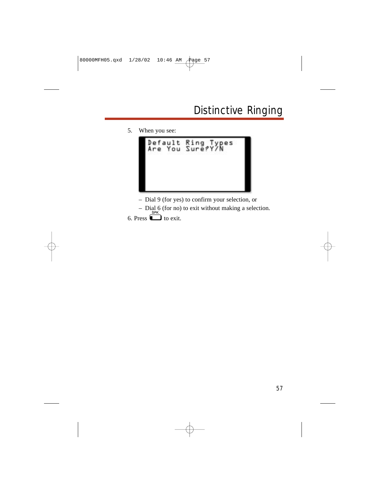5. When you see:



- Dial 9 (for yes) to confirm your selection, or
- Dial 6 (for no) to exit without making a selection.
- 6. Press  $\Box$  to exit.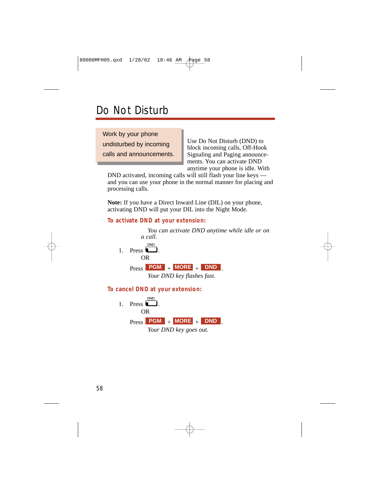# Do Not Disturb

Work by your phone undisturbed by incoming calls and announcements.

Use Do Not Disturb (DND) to block incoming calls, Off-Hook Signaling and Paging announcements. You can activate DND anytime your phone is idle. With

DND activated, incoming calls will still flash your line keys and you can use your phone in the normal manner for placing and processing calls.

**Note:** If you have a Direct Inward Line (DIL) on your phone, activating DND will put your DIL into the Night Mode.

#### **To activate DND at your extension:**

*You can activate DND anytime while idle or on a call.* **DND** 1 Press  $\Box$ OR  $\begin{bmatrix} \text{Press} & \text{PGM} \\ + & \text{MORE} \end{bmatrix} + \begin{bmatrix} \text{DND} \end{bmatrix}$ *Your DND key flashes fast.*

#### **To cancel DND at your extension:**

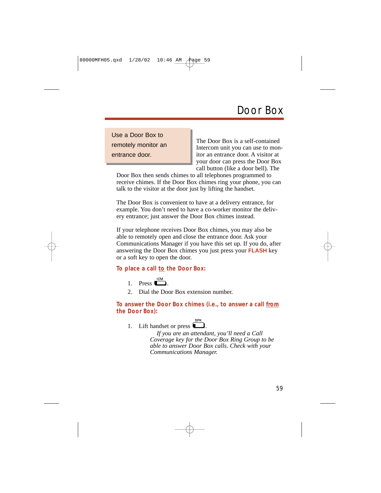Use a Door Box to remotely monitor an entrance door. **Entrance the office** 

The Door Box is a self-contained Intercom unit you can use to monitor an entrance door. A visitor at your door can press the Door Box call button (like a door bell). The

Door Box then sends chimes to all telephones programmed to receive chimes. If the Door Box chimes ring your phone, you can talk to the visitor at the door just by lifting the handset.

The Door Box is convenient to have at a delivery entrance, for example. You don't need to have a co-worker monitor the delivery entrance; just answer the Door Box chimes instead.

If your telephone receives Door Box chimes, you may also be able to remotely open and close the entrance door. Ask your Communications Manager if you have this set up. If you do, after answering the Door Box chimes you just press your **FLASH** key or a soft key to open the door.

### **To place a call to the Door Box:**

- 1 Press  $\Box$
- 2. Dial the Door Box extension number.

**To answer the Door Box chimes (i.e., to answer a call from the Door Box):**

$$
\overset{\text{SPK}}{\blacksquare}
$$

1. Lift handset or press  $\Box$ .

*If you are an attendant, you'll need a Call Coverage key for the Door Box Ring Group to be able to answer Door Box calls. Check with your Communications Manager.*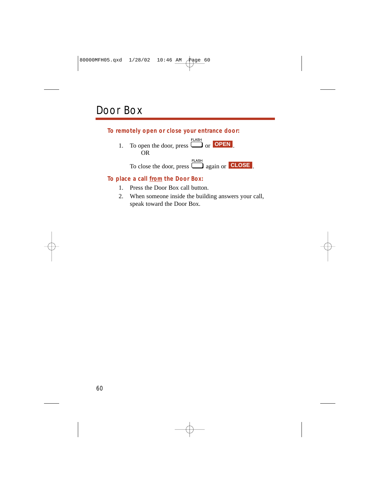#### **To remotely open or close your entrance door:**

1. To open the door, press  $\Box$  or **OPEN**. OR

To close the door, press  $\Box$  again or **CLOSE**.

### **To place a call from the Door Box:**

- 1. Press the Door Box call button.
- 2. When someone inside the building answers your call, speak toward the Door Box.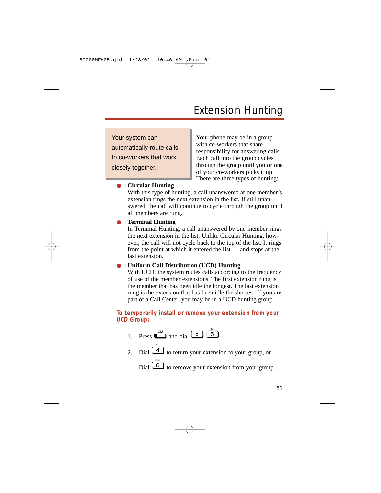Your system can automatically route calls to co-workers that work closely together.

Your phone may be in a group with co-workers that share responsibility for answering calls. Each call into the group cycles through the group until you or one of your co-workers picks it up. There are three types of hunting:

#### ● **Circular Hunting**

With this type of hunting, a call unanswered at one member's extension rings the next extension in the list. If still unanswered, the call will continue to cycle through the group until all members are rung.

#### ● **Terminal Hunting**

In Terminal Hunting, a call unanswered by one member rings the next extension in the list. Unlike Circular Hunting, however, the call will not cycle back to the top of the list. It rings from the point at which it entered the list — and stops at the last extension.

#### ● **Uniform Call Distribution (UCD) Hunting**

With UCD, the system routes calls according to the frequency of use of the member extensions. The first extension rung is the member that has been idle the longest. The last extension rung is the extension that has been idle the shortest. If you are part of a Call Center, you may be in a UCD hunting group.

#### **To temporarily install or remove your extension from your UCD Group:**

- 1. Press  $\overline{\bullet}$  and dial  $\overline{\ast}$  5.
- 2. Dial  $\left(4\right)$  to return your extension to your group, or

Dial  $\boxed{6}$  to remove your extension from your group.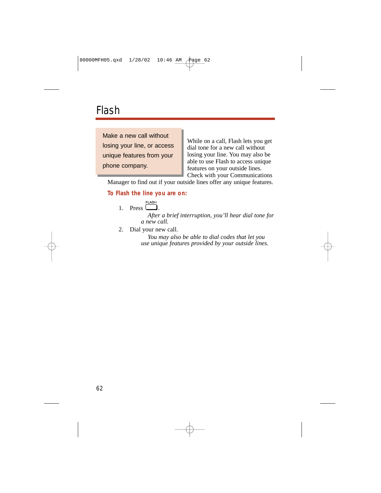### Flash

Make a new call without losing your line, or access unique features from your phone company.

While on a call, Flash lets you get dial tone for a new call without losing your line. You may also be able to use Flash to access unique features on your outside lines. Check with your Communications

Manager to find out if your outside lines offer any unique features.

#### **To Flash the line you are on:**

1. Press 
$$
\square
$$

*After a brief interruption, you'll hear dial tone for a new call.*

2. Dial your new call.

*You may also be able to dial codes that let you use unique features provided by your outside lines.*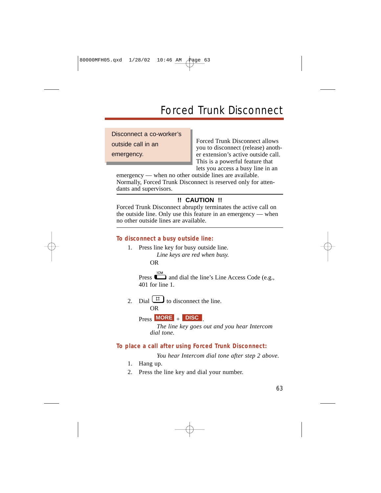# Forced Trunk Disconnect

Disconnect a co-worker's outside call in an

emergency.

Forced Trunk Disconnect allows you to disconnect (release) another extension's active outside call. This is a powerful feature that lets you access a busy line in an

emergency — when no other outside lines are available. Normally, Forced Trunk Disconnect is reserved only for attendants and supervisors.

#### **!! CAUTION !!**

Forced Trunk Disconnect abruptly terminates the active call on the outside line. Only use this feature in an emergency — when no other outside lines are available.

#### **To disconnect a busy outside line:**

1. Press line key for busy outside line. *Line keys are red when busy.* OR

Press  $\Box$  and dial the line's Line Access Code (e.g., 401 for line 1.

2. Dial  $\left(\begin{array}{c} \pm \end{array}\right)$  to disconnect the line. OR

 $\frac{1}{2}$  **MORE**  $\frac{1}{2}$  **DISC** 

*The line key goes out and you hear Intercom dial tone.*

#### **To place a call after using Forced Trunk Disconnect:**

*You hear Intercom dial tone after step 2 above.*

- 1. Hang up.
- 2. Press the line key and dial your number.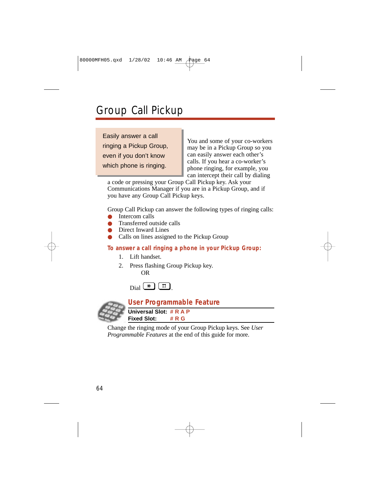# Group Call Pickup

Easily answer a call ringing a Pickup Group, even if you don't know which phone is ringing.

You and some of your co-workers may be in a Pickup Group so you can easily answer each other's calls. If you hear a co-worker's phone ringing, for example, you can intercept their call by dialing

a code or pressing your Group Call Pickup key. Ask your Communications Manager if you are in a Pickup Group, and if you have any Group Call Pickup keys.

Group Call Pickup can answer the following types of ringing calls:

- Intercom calls
- Transferred outside calls
- Direct Inward Lines
- Calls on lines assigned to the Pickup Group

#### **To answer a call ringing a phone in your Pickup Group:**

- 1. Lift handset.
- 2. Press flashing Group Pickup key. OR

**User Programmable Feature**

**Universal Slot: # R A P Fixed Slot: # R G**

Change the ringing mode of your Group Pickup keys. See *User Programmable Features* at the end of this guide for more.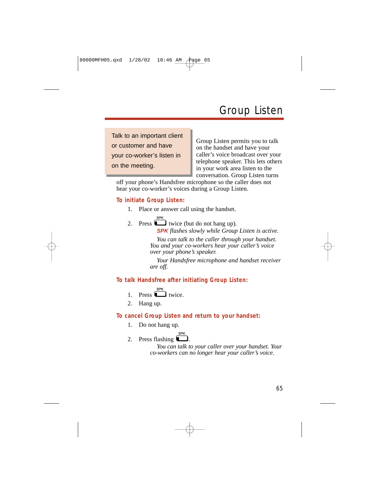# Group Listen

Talk to an important client or customer and have your co-worker's listen in on the meeting.

Group Listen permits you to talk on the handset and have your caller's voice broadcast over your telephone speaker. This lets others in your work area listen to the conversation. Group Listen turns

off your phone's Handsfree microphone so the caller does not hear your co-worker's voices during a Group Listen.

#### **To initiate Group Listen:**

1. Place or answer call using the handset.

**SPK** 

2. Press  $\Box$  twice (but do not hang up).

**SPK** *flashes slowly while Group Listen is active.*

*You can talk to the caller through your handset. You and your co-workers hear your caller's voice over your phone's speaker.*

*Your Handsfree microphone and handset receiver are off.*

#### **To talk Handsfree after initiating Group Listen:**

1. Press 
$$
\overset{\text{SPK}}{\bullet}
$$
 twice.

2. Hang up.

### **To cancel Group Listen and return to your handset:**

1. Do not hang up.

#### **SPK** 2. Press flashing  $\Box$ .

*You can talk to your caller over your handset. Your co-workers can no longer hear your caller's voice.*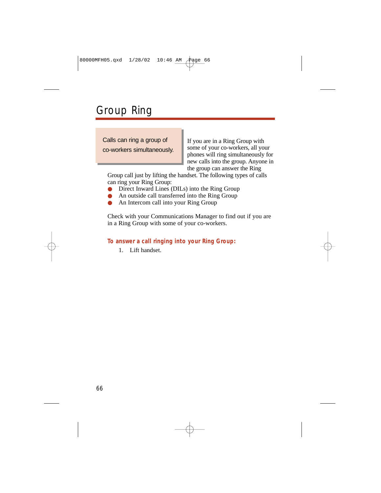# Group Ring

 $\mathbf{S}$  up a multiple-party in the party of  $\mathbf{S}$ telephone meeting of the state of the state of the state of the state of the state of the state of the state o<br>The state of the state of the state of the state of the state of the state of the state of the state of the st with leaving the office of the office. Calls can ring a group of co-workers simultaneously.

If you are in a Ring Group with some of your co-workers, all your phones will ring simultaneously for new calls into the group. Anyone in the group can answer the Ring

Group call just by lifting the handset. The following types of calls can ring your Ring Group:

- Direct Inward Lines (DILs) into the Ring Group
- An outside call transferred into the Ring Group
- An Intercom call into your Ring Group

Check with your Communications Manager to find out if you are in a Ring Group with some of your co-workers.

#### **To answer a call ringing into your Ring Group:**

1. Lift handset.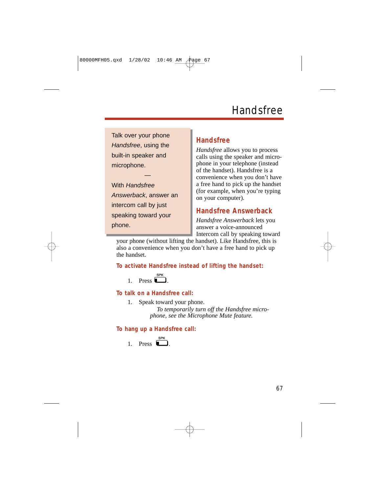## **Handsfree**

Talk over your phone Handsfree, using the built-in speaker and microphone.

With Handsfree Answerback, answer an intercom call by just speaking toward your phone.

—

### **Handsfree**

*Handsfree* allows you to process calls using the speaker and microphone in your telephone (instead of the handset). Handsfree is a convenience when you don't have a free hand to pick up the handset (for example, when you're typing on your computer).

### **Handsfree Answerback**

*Handsfree Answerback* lets you answer a voice-announced Intercom call by speaking toward

your phone (without lifting the handset). Like Handsfree, this is also a convenience when you don't have a free hand to pick up the handset.

### **To activate Handsfree instead of lifting the handset:**

1. Press  $\overline{\mathbf{L}}$ 

#### **To talk on a Handsfree call:**

1. Speak toward your phone.

*To temporarily turn off the Handsfree microphone, see the Microphone Mute feature.*

### **To hang up a Handsfree call:**

1. Press 
$$
\overline{\bullet}
$$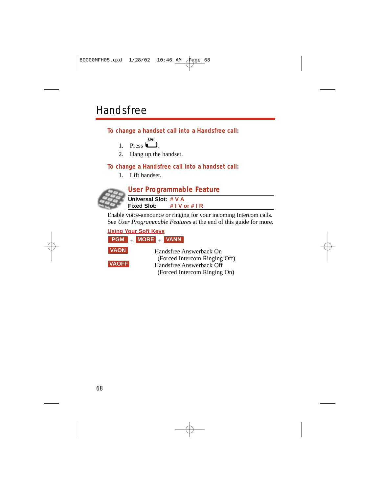## **Handsfree**

**To change a handset call into a Handsfree call:**

- **SPK** 1. Press  $\blacksquare$
- 2. Hang up the handset.

**To change a Handsfree call into a handset call:**

1. Lift handset.



### **User Programmable Feature Universal Slot: # V A Fixed Slot: # I V or # I R**

Enable voice-announce or ringing for your incoming Intercom calls. See *User Programmable Features* at the end of this guide for more.

**Using Your Soft Keys**

|  | <b>MORF</b> | - 11 | <b>VANN</b> |
|--|-------------|------|-------------|
|  |             |      |             |



**VAOFF**

Handsfree Answerback On (Forced Intercom Ringing Off) Handsfree Answerback Off (Forced Intercom Ringing On)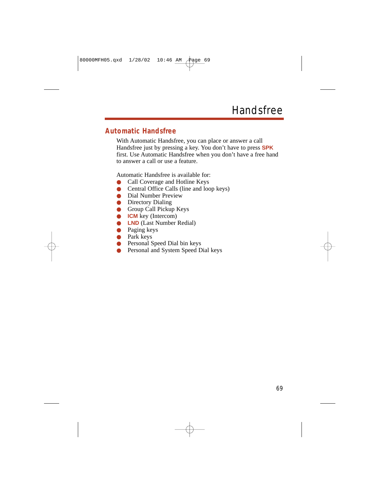### **Automatic Handsfree**

With Automatic Handsfree, you can place or answer a call Handsfree just by pressing a key. You don't have to press **SPK** first. Use Automatic Handsfree when you don't have a free hand to answer a call or use a feature.

Automatic Handsfree is available for:

- Call Coverage and Hotline Keys
- Central Office Calls (line and loop keys)
- Dial Number Preview
- Directory Dialing
- Group Call Pickup Keys
- **ICM** key (Intercom)
- **LND** (Last Number Redial)
- Paging keys
- Park keys
- Personal Speed Dial bin keys
- Personal and System Speed Dial keys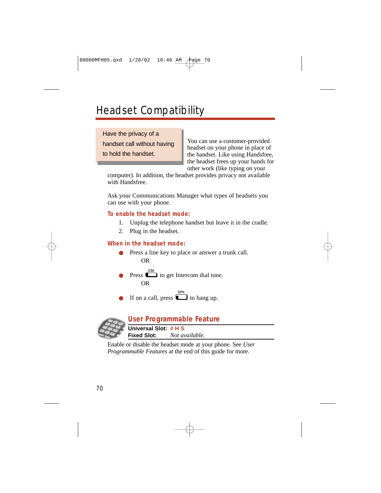## Headset Compatibility

Have the privacy of a handset call without having to hold the handset.

You can use a customer-provided headset on your phone in place of the handset. Like using Handsfree, the headset frees up your hands for other work (like typing on your

computer). In addition, the headset provides privacy not available with Handsfree.

Ask your Communications Manager what types of headsets you can use with your phone.

### **To enable the headset mode:**

- 1. Unplug the telephone handset but leave it in the cradle.
- 2. Plug in the headset.

#### **When in the headset mode:**

- Press a line key to place or answer a trunk call. OR
- Press  $\overline{\mathbb{C}}$  to get Intercom dial tone. OR
	- If on a call, press  $\Box$  to hang up.



### **User Programmable Feature**

**Universal Slot: # H S Fixed Slot:** *Not available.*

Enable or disable the headset mode at your phone. See *User Programmable Features* at the end of this guide for more.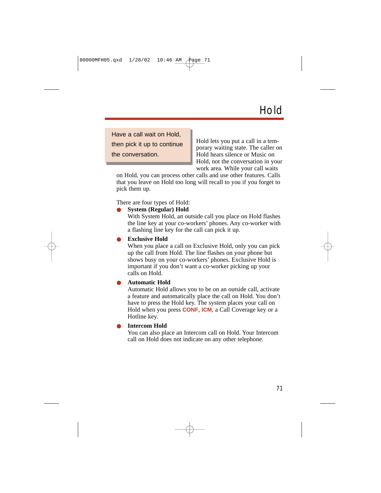Have a call wait on Hold, then pick it up to continue the conversation.

Hold lets you put a call in a temporary waiting state. The caller on Hold hears silence or Music on Hold, not the conversation in your work area. While your call waits

on Hold, you can process other calls and use other features. Calls that you leave on Hold too long will recall to you if you forget to pick them up.

There are four types of Hold:

**System (Regular) Hold** 

With System Hold, an outside call you place on Hold flashes the line key at your co-workers' phones. Any co-worker with a flashing line key for the call can pick it up.

#### **Exclusive Hold**

When you place a call on Exclusive Hold, only you can pick up the call from Hold. The line flashes on your phone but shows busy on your co-workers' phones. Exclusive Hold is important if you don't want a co-worker picking up your calls on Hold.

#### ● **Automatic Hold**

Automatic Hold allows you to be on an outside call, activate a feature and automatically place the call on Hold. You don't have to press the Hold key. The system places your call on Hold when you press **CONF**, **ICM**, a Call Coverage key or a Hotline key.

#### **Intercom Hold**

You can also place an Intercom call on Hold. Your Intercom call on Hold does not indicate on any other telephone.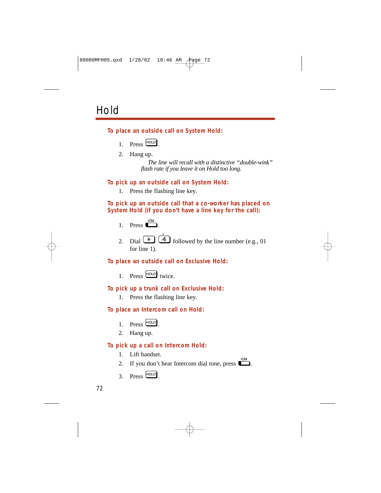## Hold

**To place an outside call on System Hold:**

- $1.$  Press  $HOLD$
- 2. Hang up.

*The line will recall with a distinctive "double-wink" flash rate if you leave it on Hold too long.*

**To pick up an outside call on System Hold:**

1. Press the flashing line key.

**To pick up an outside call that a co-worker has placed on System Hold (if you don't have a line key for the call):**

- 1. Press  $\overline{\phantom{a}}$  .
- 2. Dial  $\left( \frac{\ast}{\ast} \right)$   $\left( \frac{4}{\ast} \right)$  followed by the line number (e.g., 01) for line 1).

**To place an outside call on Exclusive Hold:**

 $1.$  Press  $\boxed{\text{HOLD}}$  twice.

### **To pick up a trunk call on Exclusive Hold:**

1. Press the flashing line key.

### **To place an Intercom call on Hold:**

- $1$  Press  $HOLD$
- 2. Hang up.

### **To pick up a call on Intercom Hold:**

- 1. Lift handset.
- 2. If you don't hear Intercom dial tone, press  $\Box$ .
- $3.$  Press  $rac{\text{HOLD}}{2}$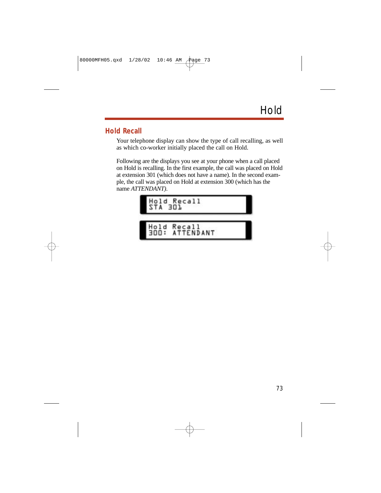### **Hold Recall**

Your telephone display can show the type of call recalling, as well as which co-worker initially placed the call on Hold.

Following are the displays you see at your phone when a call placed on Hold is recalling. In the first example, the call was placed on Hold at extension 301 (which does not have a name). In the second example, the call was placed on Hold at extension 300 (which has the name *ATTENDANT)*.

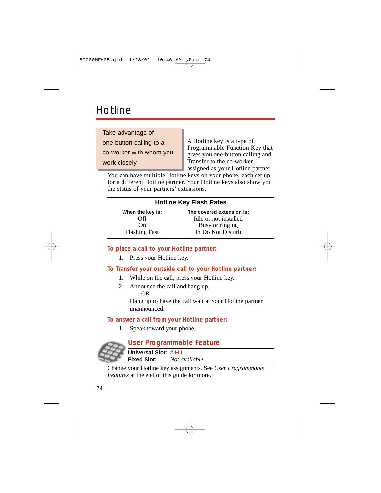## **Hotline**

Take advantage of one-button calling to a co-worker with whom you work closely.

A Hotline key is a type of Programmable Function Key that gives you one-button calling and Transfer to the co-worker assigned as your Hotline partner.

You can have multiple Hotline keys on your phone, each set up for a different Hotline partner. Your Hotline keys also show you the status of your partners' extensions.

### **Hotline Key Flash Rates**

**When the key is: The covered extension is:** Off Idle or not installed On Busy or ringing<br>Flashing Fast In Do Not Distur In Do Not Disturb

#### **To place a call to your Hotline partner:**

1. Press your Hotline key.

### **To Transfer your outside call to your Hotline partner:**

- 1. While on the call, press your Hotline key.
- 2. Announce the call and hang up.

OR

Hang up to have the call wait at your Hotline partner unannounced.

### **To answer a call from your Hotline partner:**

1. Speak toward your phone.



### **User Programmable Feature**

**Universal Slot: # H L Fixed Slot:** *Not available.*

Change your Hotline key assignments. See *User Programmable Features* at the end of this guide for more.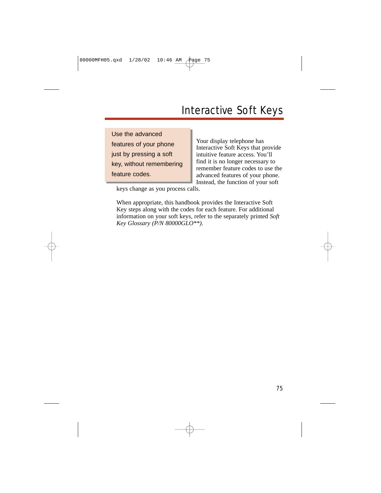Use the advanced features of your phone just by pressing a soft key, without remembering feature codes.

Your display telephone has Interactive Soft Keys that provide intuitive feature access. You'll find it is no longer necessary to remember feature codes to use the advanced features of your phone. Instead, the function of your soft

keys change as you process calls.

When appropriate, this handbook provides the Interactive Soft Key steps along with the codes for each feature. For additional information on your soft keys, refer to the separately printed *Soft Key Glossary (P/N 80000GLO\*\*)*.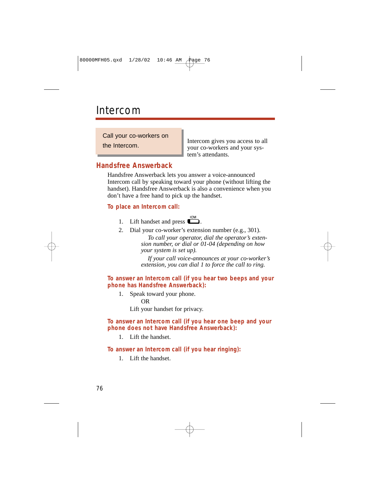## Intercom

Call your co-workers on

the Intercom.

Intercom gives you access to all your co-workers and your system's attendants.

### **Handsfree Answerback**

Handsfree Answerback lets you answer a voice-announced Intercom call by speaking toward your phone (without lifting the handset). Handsfree Answerback is also a convenience when you don't have a free hand to pick up the handset.

### **To place an Intercom call:**

#### **ICM** 1. Lift handset and press  $\Box$ .

2. Dial your co-worker's extension number (e.g., 301).

*To call your operator, dial the operator's extension number, or dial or 01-04 (depending on how your system is set up).*

*If your call voice-announces at your co-worker's extension, you can dial 1 to force the call to ring.*

**To answer an Intercom call (if you hear two beeps and your phone has Handsfree Answerback):**

1. Speak toward your phone.

OR

Lift your handset for privacy.

#### **To answer an Intercom call (if you hear one beep and your phone does not have Handsfree Answerback):**

1. Lift the handset.

### **To answer an Intercom call (if you hear ringing):**

1. Lift the handset.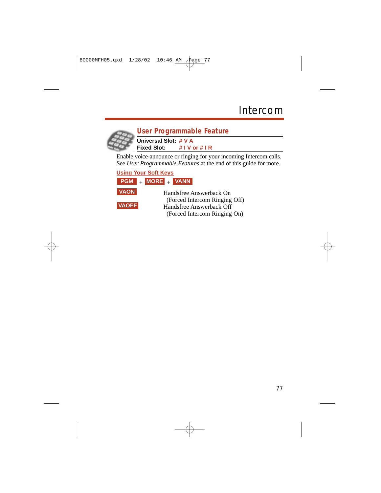

### **User Programmable Feature**

**Universal Slot: # V A Fixed Slot: # I V or # I R**

Enable voice-announce or ringing for your incoming Intercom calls. See *User Programmable Features* at the end of this guide for more.

**Using Your Soft Keys**

 $PGM + MORE + VAN$ 



Handsfree Answerback On (Forced Intercom Ringing Off) Handsfree Answerback Off (Forced Intercom Ringing On)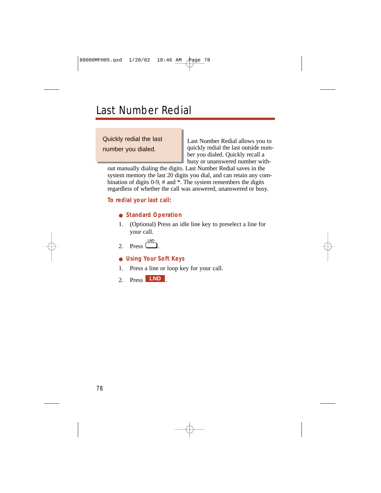Quickly redial the last number you dialed.

Last Number Redial allows you to quickly redial the last outside number you dialed. Quickly recall a busy or unanswered number with-

out manually dialing the digits. Last Number Redial saves in the system memory the last 20 digits you dial, and can retain any combination of digits 0-9, # and \*. The system remembers the digits regardless of whether the call was answered, unanswered or busy.

### **To redial your last call:**

### ● **Standard Operation**

- 1. (Optional) Press an idle line key to preselect a line for your call.
- LND 2. Press  $\overline{\phantom{a}}$

### ● **Using Your Soft Keys**

- 1. Press a line or loop key for your call.
- 2. Press **LND**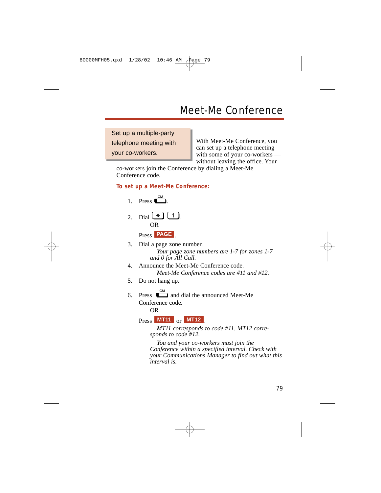## Meet-Me Conference

Set up a multiple-party telephone meeting with your co-workers.

With Meet-Me Conference, you can set up a telephone meeting with some of your co-workers without leaving the office. Your

co-workers join the Conference by dialing a Meet-Me Conference code.

#### **To set up a Meet-Me Conference:**



2. Dial  $\left(\frac{1}{2}\right)$   $\left($ OR

Press **PAGE**.

- 3. Dial a page zone number. *Your page zone numbers are 1-7 for zones 1-7 and 0 for All Call.*
- 4. Announce the Meet-Me Conference code. *Meet-Me Conference codes are #11 and #12.*
- 5. Do not hang up.
- **ICM** 6. Press  $\Box$  and dial the announced Meet-Me Conference code.

OR

### **Press MT11** or MT12.

*MT11 corresponds to code #11. MT12 corresponds to code #12.*

*You and your co-workers must join the Conference within a specified interval. Check with your Communications Manager to find out what this interval is.*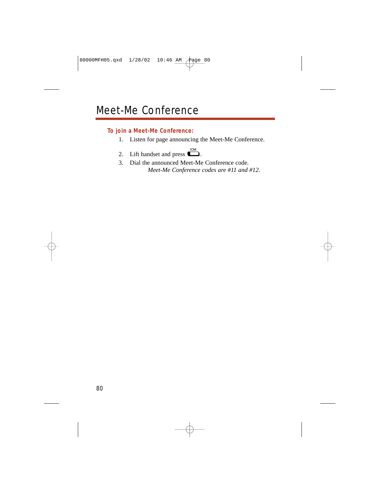### **To join a Meet-Me Conference:**

- 1. Listen for page announcing the Meet-Me Conference.
- **ICM** 2. Lift handset and press  $\Box$ .
- 3. Dial the announced Meet-Me Conference code. *Meet-Me Conference codes are #11 and #12.*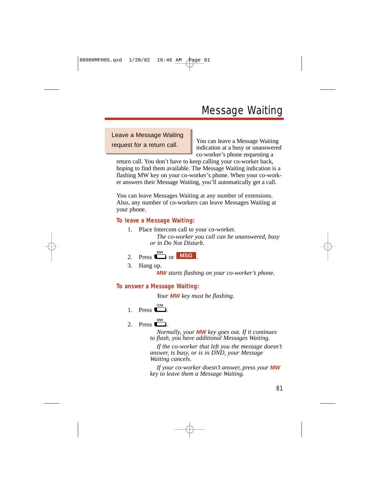Message Waiting

Leave a Message Waiting request for a return call.

You can leave a Message Waiting indication at a busy or unanswered co-worker's phone requesting a

return call. You don't have to keep calling your co-worker back, hoping to find them available. The Message Waiting indication is a flashing MW key on your co-worker's phone. When your co-worker answers their Message Waiting, you'll automatically get a call.

You can leave Messages Waiting at any number of extensions. Also, any number of co-workers can leave Messages Waiting at your phone.

#### **To leave a Message Waiting:**

1. Place Intercom call to your co-worker.

*The co-worker you call can be unanswered, busy or in Do Not Disturb.*

- 2. Press  $\Box$  or **MSG**
- 3. Hang up.

**MW** *starts flashing on your co-worker's phone.*

### **To answer a Message Waiting:**

*Your* **MW** *key must be flashing.*

1. Press 
$$
\square
$$

2. Press 
$$
\overset{\text{MW}}{\bullet}
$$

*Normally, your* **MW** *key goes out. If it continues to flash, you have additional Messages Waiting.*

*If the co-worker that left you the message doesn't answer, is busy, or is in DND, your Message Waiting cancels.*

*If your co-worker doesn't answer, press your* **MW** *key to leave them a Message Waiting.*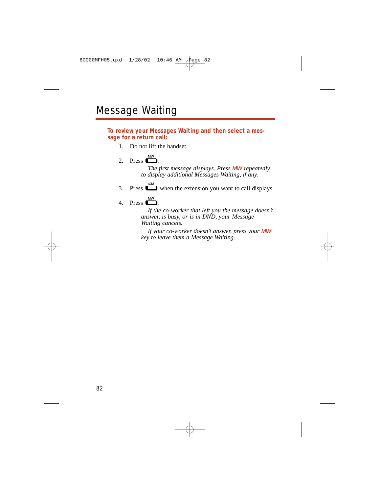**To review your Messages Waiting and then select a message for a return call:**

1. Do not lift the handset.

2. Press 
$$
\bullet
$$

*The first message displays. Press* **MW** *repeatedly to display additional Messages Waiting, if any.*

- 3. Press  $\sum_{n=1}^{\infty}$  when the extension you want to call displays.
- MW 4. Press  $\overline{\phantom{a}}$ .

*If the co-worker that left you the message doesn't answer, is busy, or is in DND, your Message Waiting cancels.*

*If your co-worker doesn't answer, press your* **MW** *key to leave them a Message Waiting.*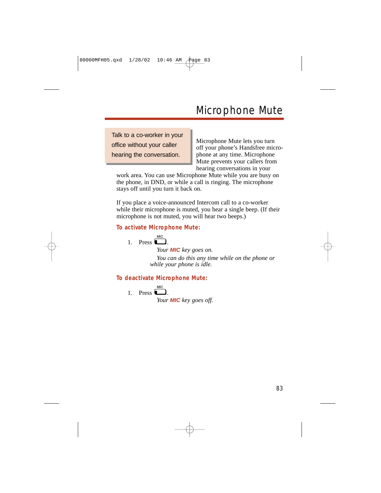## Microphone Mute

Talk to a co-worker in your office without your caller hearing the conversation.

Microphone Mute lets you turn off your phone's Handsfree microphone at any time. Microphone Mute prevents your callers from hearing conversations in your

work area. You can use Microphone Mute while you are busy on the phone, in DND, or while a call is ringing. The microphone stays off until you turn it back on.

If you place a voice-announced Intercom call to a co-worker while their microphone is muted, you hear a single beep. (If their microphone is not muted, you will hear two beeps.)

#### **To activate Microphone Mute:**

1. Press 
$$
\square
$$

*Your* **MIC** *key goes on.*

*You can do this any time while on the phone or while your phone is idle.*

### **To deactivate Microphone Mute:**

1. Press 
$$
\bullet
$$

*Your* **MIC** *key goes off.*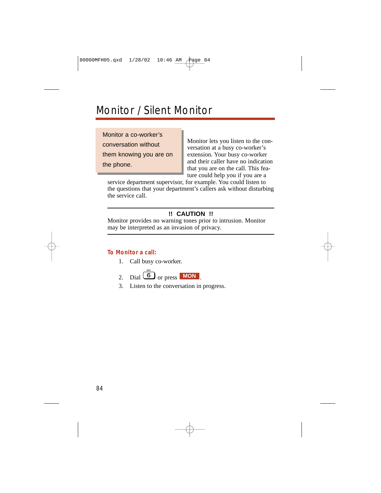## Monitor / Silent Monitor

Monitor a co-worker's conversation without them knowing you are on the phone.

Monitor lets you listen to the conversation at a busy co-worker's extension. Your busy co-worker and their caller have no indication that you are on the call. This feature could help you if you are a

service department supervisor, for example. You could listen to the questions that your department's callers ask without disturbing the service call.

### **!! CAUTION !!**

Monitor provides no warning tones prior to intrusion. Monitor may be interpreted as an invasion of privacy.

#### **To Monitor a call:**

- 1. Call busy co-worker.
- 2. Dial  $\boxed{6}$  or press **MON**.
- 3. Listen to the conversation in progress.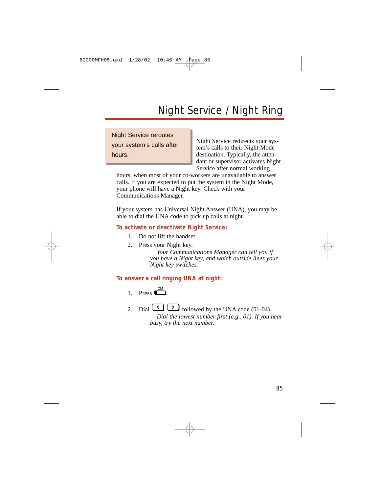## Night Service / Night Ring

Night Service reroutes your system's calls after hours.

Night Service redirects your system's calls to their Night Mode destination. Typically, the attendant or supervisor activates Night Service after normal working

hours, when most of your co-workers are unavailable to answer calls. If you are expected to put the system in the Night Mode, your phone will have a Night key. Check with your Communications Manager.

If your system has Universal Night Answer (UNA), you may be able to dial the UNA code to pick up calls at night.

#### **To activate or deactivate Night Service:**

- 1. Do not lift the handset.
- 2. Press your Night key.

*Your Communications Manager can tell you if you have a Night key, and which outside lines your Night key switches.*

### **To answer a call ringing UNA at night:**

1. Press 
$$
\Box
$$

2. Dial  $\mathbb{R}$   $\mathbb{R}$  followed by the UNA code (01-04).

*Dial the lowest number first (e.g., 01). If you hear busy, try the next number.*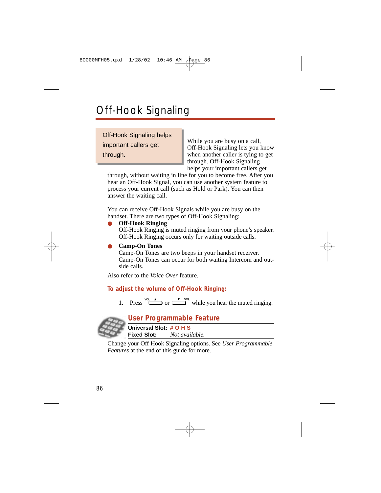## Off-Hook Signaling

Off-Hook Signaling helps important callers get through.

While you are busy on a call, Off-Hook Signaling lets you know when another caller is tying to get through. Off-Hook Signaling helps your important callers get

through, without waiting in line for you to become free. After you hear an Off-Hook Signal, you can use another system feature to process your current call (such as Hold or Park). You can then answer the waiting call.

You can receive Off-Hook Signals while you are busy on the handset. There are two types of Off-Hook Signaling:

#### ● **Off-Hook Ringing**

Off-Hook Ringing is muted ringing from your phone's speaker. Off-Hook Ringing occurs only for waiting outside calls.

### ● **Camp-On Tones**

Camp-On Tones are two beeps in your handset receiver. Camp-On Tones can occur for both waiting Intercom and outside calls.

Also refer to the *Voice Over* feature.

### **To adjust the volume of Off-Hook Ringing:**

1. Press  $\overline{ }$  or  $\overline{ }$  while you hear the muted ringing.



### **User Programmable Feature**

**Universal Slot: # O H S Fixed Slot:** *Not available.*

Change your Off Hook Signaling options. See *User Programmable Features* at the end of this guide for more.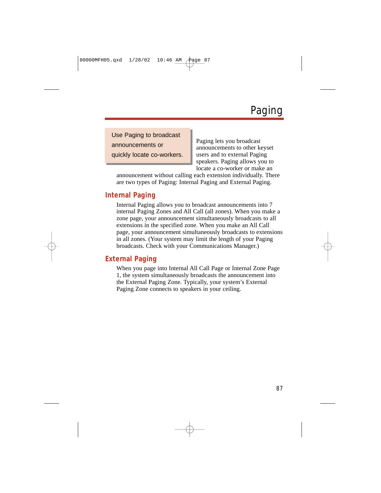Use Paging to broadcast announcements or quickly locate co-workers.

Paging lets you broadcast announcements to other keyset users and to external Paging speakers. Paging allows you to locate a co-worker or make an

announcement without calling each extension individually. There are two types of Paging: Internal Paging and External Paging.

### **Internal Paging**

Internal Paging allows you to broadcast announcements into 7 internal Paging Zones and All Call (all zones). When you make a zone page, your announcement simultaneously broadcasts to all extensions in the specified zone. When you make an All Call page, your announcement simultaneously broadcasts to extensions in all zones. (Your system may limit the length of your Paging broadcasts. Check with your Communications Manager.)

### **External Paging**

When you page into Internal All Call Page or Internal Zone Page 1, the system simultaneously broadcasts the announcement into the External Paging Zone. Typically, your system's External Paging Zone connects to speakers in your ceiling.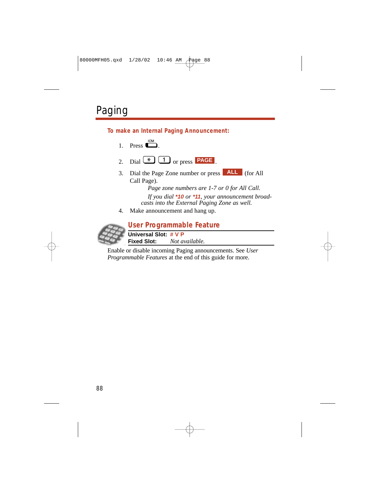# Paging

**To make an Internal Paging Announcement:**

- 1. Press  $\overline{\phantom{a}}$  .
- 2. Dial  $\begin{array}{c} \hline \star \end{array}$   $\begin{array}{c} \hline \end{array}$  or press **PAGE**.
- 3. Dial the Page Zone number or press **ALL** (for All Call Page).

*Page zone numbers are 1-7 or 0 for All Call.*

*If you dial* **\*10** *or* **\*11***, your announcement broadcasts into the External Paging Zone as well.*

4. Make announcement and hang up.



Enable or disable incoming Paging announcements. See *User Programmable Features* at the end of this guide for more.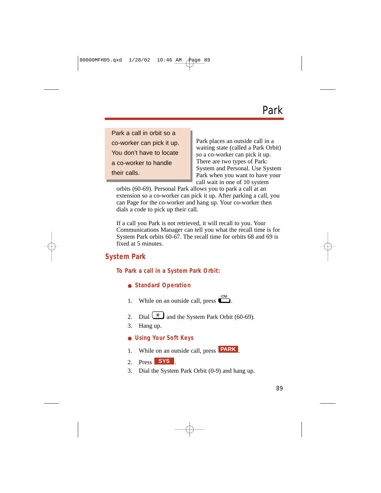Park a call in orbit so a co-worker can pick it up. You don't have to locate a co-worker to handle their calls.

Park places an outside call in a waiting state (called a Park Orbit) so a co-worker can pick it up. There are two types of Park: System and Personal. Use System Park when you want to have your call wait in one of 10 system

orbits (60-69). Personal Park allows you to park a call at an extension so a co-worker can pick it up. After parking a call, you can Page for the co-worker and hang up. Your co-worker then dials a code to pick up their call.

If a call you Park is not retrieved, it will recall to you. Your Communications Manager can tell you what the recall time is for System Park orbits 60-67. The recall time for orbits 68 and 69 is fixed at 5 minutes.

### **System Park**

**To Park a call in a System Park Orbit:**

- **Standard Operation**
- 1. While on an outside call, press  $\Box$ .
- 2. Dial  $\mathcal{L}$  and the System Park Orbit (60-69).
- 3. Hang up.
- **Using Your Soft Keys**
- 1. While on an outside call, press **PARK**
- 2. Press **SYS**
- 3. Dial the System Park Orbit (0-9) and hang up.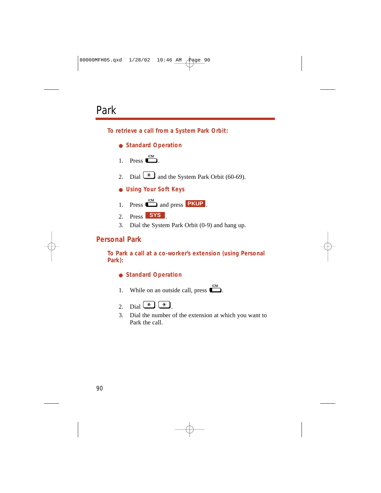**To retrieve a call from a System Park Orbit:**

● **Standard Operation**



- 2. Dial  $\overline{\mathcal{L}}$  and the System Park Orbit (60-69).
- **Using Your Soft Keys**
- 1. Press  $\Box$  and press **PKUP**.
- 2. Press SYS
- 3. Dial the System Park Orbit (0-9) and hang up.

### **Personal Park**

**To Park a call at a co-worker's extension (using Personal Park):**

- **Standard Operation**
- 1. While on an outside call, press  $\sum_{n=1}^{\infty}$ .

2. Dial 
$$
\rightarrow
$$
  $\rightarrow$   $\rightarrow$ 

3. Dial the number of the extension at which you want to Park the call.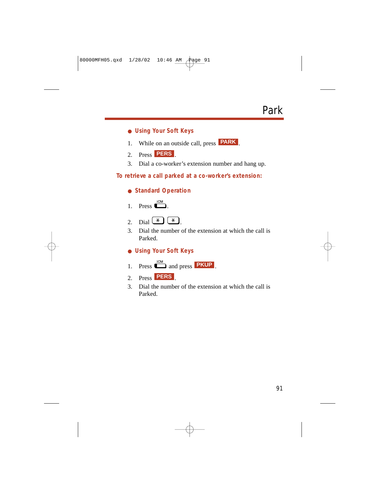- **Using Your Soft Keys**
- 1. While on an outside call, press **PARK**
- 2. Press **PERS**
- 3. Dial a co-worker's extension number and hang up.

#### **To retrieve a call parked at a co-worker's extension:**

● **Standard Operation**

1. Press 
$$
\square
$$

- 2. Dial  $\overline{(*)}$   $\overline{(*)}$
- 3. Dial the number of the extension at which the call is Parked.
- **Using Your Soft Keys**
- 1. Press **in the and press PKUP**.
- 2. Press **PERS**
- 3. Dial the number of the extension at which the call is Parked.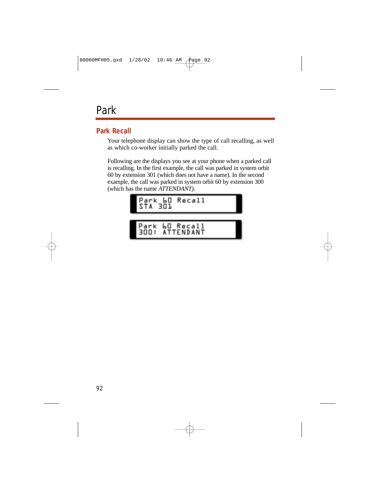## Park

### **Park Recall**

Your telephone display can show the type of call recalling, as well as which co-worker initially parked the call.

Following are the displays you see at your phone when a parked call is recalling. In the first example, the call was parked in system orbit 60 by extension 301 (which does not have a name). In the second example, the call was parked in system orbit 60 by extension 300 (which has the name *ATTENDANT)*.



**bD** Recall<br>ATTENDANT ark aп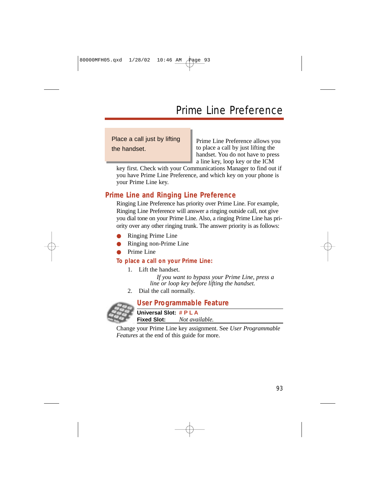## Prime Line Preference

Place a call just by lifting the handset.

Prime Line Preference allows you to place a call by just lifting the handset. You do not have to press a line key, loop key or the ICM

key first. Check with your Communications Manager to find out if you have Prime Line Preference, and which key on your phone is your Prime Line key.

### **Prime Line and Ringing Line Preference**

Ringing Line Preference has priority over Prime Line. For example, Ringing Line Preference will answer a ringing outside call, not give you dial tone on your Prime Line. Also, a ringing Prime Line has priority over any other ringing trunk. The answer priority is as follows:

- **Ringing Prime Line**
- Ringing non-Prime Line
- **Prime Line**

**To place a call on your Prime Line:**

1. Lift the handset.

*If you want to bypass your Prime Line, press a line or loop key before lifting the handset.*

2. Dial the call normally.



### **User Programmable Feature**

**Universal Slot: # P L A** *Not available.* 

Change your Prime Line key assignment. See *User Programmable Features* at the end of this guide for more.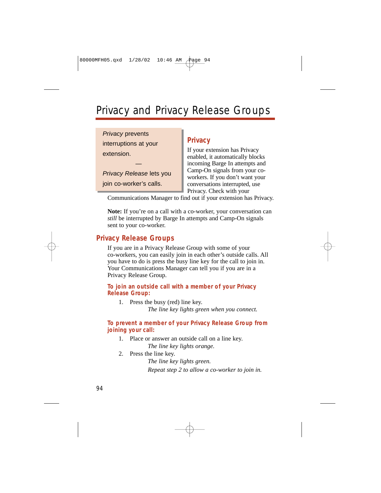## Privacy and Privacy Release Groups

Privacy prevents interruptions at your extension.

Privacy Release lets you join co-worker's calls.

—

### **Privacy**

If your extension has Privacy enabled, it automatically blocks incoming Barge In attempts and Camp-On signals from your coworkers. If you don't want your conversations interrupted, use Privacy. Check with your

Communications Manager to find out if your extension has Privacy.

Note: If you're on a call with a co-worker, your conversation can *still* be interrupted by Barge In attempts and Camp-On signals sent to your co-worker.

### **Privacy Release Groups**

If you are in a Privacy Release Group with some of your co-workers, you can easily join in each other's outside calls. All you have to do is press the busy line key for the call to join in. Your Communications Manager can tell you if you are in a Privacy Release Group.

**To join an outside call with a member of your Privacy Release Group:**

1. Press the busy (red) line key.

*The line key lights green when you connect.*

#### **To prevent a member of your Privacy Release Group from joining your call:**

- 1. Place or answer an outside call on a line key. *The line key lights orange.*
- 2. Press the line key.

*The line key lights green. Repeat step 2 to allow a co-worker to join in.*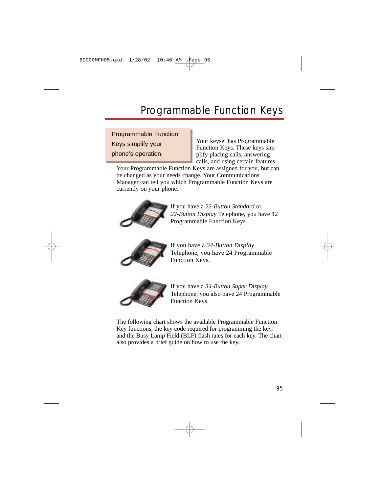Programmable Function Keys simplify your phone's operation.

Your keyset has Programmable Function Keys. These keys simplify placing calls, answering calls, and using certain features.

Your Programmable Function Keys are assigned for you, but can be changed as your needs change. Your Communications Manager can tell you which Programmable Function Keys are currently on your phone.



If you have a *22-Button Standard* or *22-Button Display* Telephone, you have 12 Programmable Function Keys.



If you have a *34-Button Display* Telephone, you have 24 Programmable Function Keys.



If you have a *34-Button Super Display* Telephone, you also have 24 Programmable Function Keys.

The following chart shows the available Programmable Function Key functions, the key code required for programming the key, and the Busy Lamp Field (BLF) flash rates for each key. The chart also provides a brief guide on how to use the key.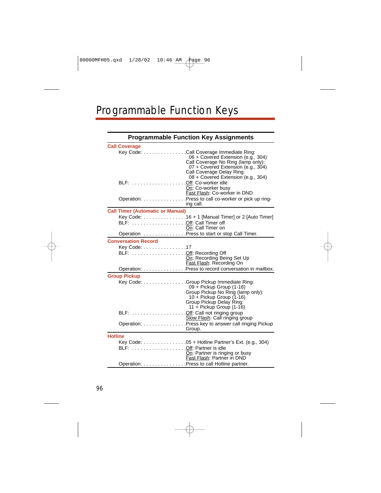|                      |                                         | <b>Programmable Function Rey Assignments</b>                                                                                                                                                                                 |
|----------------------|-----------------------------------------|------------------------------------------------------------------------------------------------------------------------------------------------------------------------------------------------------------------------------|
| <b>Call Coverage</b> |                                         |                                                                                                                                                                                                                              |
|                      |                                         | Key Code: Call Coverage Immediate Ring:<br>06 + Covered Extension (e.g., 304)<br>Call Coverage No Ring (lamp only):<br>07 + Covered Extension (e.g., 304)<br>Call Coverage Delay Ring:<br>08 + Covered Extension (e.g., 304) |
|                      |                                         | On: Co-worker busy<br>Fast Flash: Co-worker in DND                                                                                                                                                                           |
|                      |                                         | Operation:  Press to call co-worker or pick up ring-<br>ing call.                                                                                                                                                            |
|                      | <b>Call Timer (Automatic or Manual)</b> |                                                                                                                                                                                                                              |
|                      |                                         | Key Code: 16 + 1 [Manual Timer] or 2 [Auto Timer]<br>On: Call Timer on                                                                                                                                                       |
|                      |                                         | Operation Press to start or stop Call Timer.                                                                                                                                                                                 |
|                      | <b>Conversation Record</b>              |                                                                                                                                                                                                                              |
|                      | Key Code: 17                            |                                                                                                                                                                                                                              |
|                      | BLF: Off: Recording Off                 | On: Recording Being Set Up<br>Fast Flash: Recording On                                                                                                                                                                       |
|                      |                                         | Operation:  Press to record conversation in mailbox.                                                                                                                                                                         |
| <b>Group Pickup</b>  |                                         |                                                                                                                                                                                                                              |
|                      |                                         | Key Code: Group Pickup Immediate Ring:<br>09 + Pickup Group $(1-16)$<br>Group Pickup No Ring (lamp only):<br>10 + Pickup Group (1-16)<br>Group Pickup Delay Ring:<br>$11 +$ Pickup Group (1-16)                              |
|                      |                                         | .Off: Call not ringing group<br>Slow Flash: Call ringing group                                                                                                                                                               |
|                      |                                         | Operation:  Press key to answer call ringing Pickup<br>Group.                                                                                                                                                                |
| <b>Hotline</b>       |                                         |                                                                                                                                                                                                                              |
|                      | BLF: Off: Partner is idle               | Key Code: 05 + Hotline Partner's Ext. (e.g., 304)<br>On: Partner is ringing or busy<br>Fast Flash: Partner in DND<br>Operation: Press to call Hotline partner.                                                               |
|                      |                                         |                                                                                                                                                                                                                              |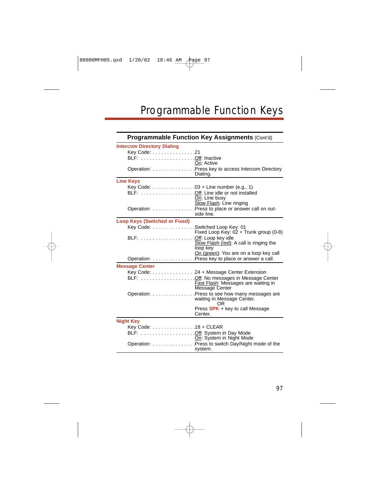| Programmable Function Key Assignments (Cont'd)                                            |                                                                                                                                                                                              |  |
|-------------------------------------------------------------------------------------------|----------------------------------------------------------------------------------------------------------------------------------------------------------------------------------------------|--|
| <b>Intercom Directory Dialing</b><br>Key Code: 21                                         | On: Active                                                                                                                                                                                   |  |
|                                                                                           | Operation: Press key to access Intercom Directory<br>Dialing.                                                                                                                                |  |
| <b>Line Keys</b>                                                                          |                                                                                                                                                                                              |  |
| Key Code: $\dots$ , $\dots$ , $\dots$ , $\dots$ , $\ldots$ , $03 +$ Line number (e.g., 1) | BLF: Off: Line idle or not installed<br>On: Line busy<br>Slow Flash: Line ringing                                                                                                            |  |
|                                                                                           | Operation: Press to place or answer call on out-<br>side line.                                                                                                                               |  |
| <b>Loop Keys (Switched or Fixed)</b>                                                      |                                                                                                                                                                                              |  |
| Key Code: Switched Loop Key: 01                                                           | Fixed Loop Key: 02 + Trunk group (0-8)                                                                                                                                                       |  |
| BLF: Off: Loop key idle                                                                   | Slow Flash (red): A call is ringing the<br>loop key<br>On (green): You are on a loop key call                                                                                                |  |
|                                                                                           | Operation:  Press key to place or answer a call.                                                                                                                                             |  |
| <b>Message Center</b>                                                                     | Key Code: 24 + Message Center Extension<br>BLF: Off: No messages in Message Center<br>Fast Flash: Messages are waiting in<br>Message Center<br>Operation: Press to see how many messages are |  |
|                                                                                           | waiting in Message Center.<br><b>OR</b><br>Press $SPK + key$ to call Message<br>Center.                                                                                                      |  |
| <b>Night Key</b>                                                                          |                                                                                                                                                                                              |  |
| Key Code: 18 + CLEAR<br>BLF: Off: System in Day Mode                                      |                                                                                                                                                                                              |  |
|                                                                                           | On: System in Night Mode<br>Operation:  Press to switch Day/Night mode of the<br>system.                                                                                                     |  |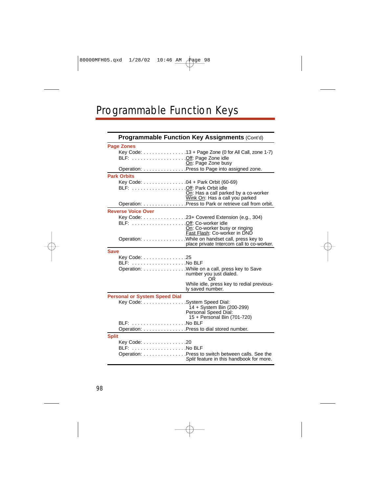| Programmable Function Key Assignments (Cont'd) |                                                               |  |
|------------------------------------------------|---------------------------------------------------------------|--|
| <b>Page Zones</b>                              |                                                               |  |
|                                                | Key Code: 13 + Page Zone (0 for All Call, zone 1-7)           |  |
| BLF: Off: Page Zone idle                       |                                                               |  |
|                                                | On: Page Zone busy                                            |  |
|                                                | Operation:  Press to Page into assigned zone.                 |  |
| <b>Park Orbits</b>                             |                                                               |  |
|                                                |                                                               |  |
|                                                | On: Has a call parked by a co-worker                          |  |
|                                                | Wink On: Has a call you parked                                |  |
|                                                | Operation:  Press to Park or retrieve call from orbit.        |  |
| <b>Reverse Voice Over</b>                      |                                                               |  |
|                                                | Key Code: 23+ Covered Extension (e.g., 304)                   |  |
|                                                |                                                               |  |
|                                                | On: Co-worker busy or ringing<br>Fast Flash: Co-worker in DND |  |
|                                                | Operation: While on handset call, press key to                |  |
|                                                | place private Intercom call to co-worker.                     |  |
| <b>Save</b>                                    |                                                               |  |
| Key Code: 25                                   |                                                               |  |
|                                                |                                                               |  |
|                                                | Operation: While on a call, press key to Save                 |  |
|                                                | number you just dialed.                                       |  |
|                                                | ΩR<br>While idle, press key to redial previous-               |  |
|                                                | ly saved number.                                              |  |
| <b>Personal or System Speed Dial</b>           |                                                               |  |
| Key Code: System Speed Dial:                   |                                                               |  |
|                                                | 14 + System Bin (200-299)                                     |  |
|                                                | Personal Speed Dial:<br>15 + Personal Bin (701-720)           |  |
|                                                |                                                               |  |
|                                                | Operation: Press to dial stored number.                       |  |
| <b>Split</b>                                   |                                                               |  |
| Key Code: 20                                   |                                                               |  |
|                                                |                                                               |  |
|                                                | Operation:  Press to switch between calls. See the            |  |
|                                                | Split feature in this handbook for more.                      |  |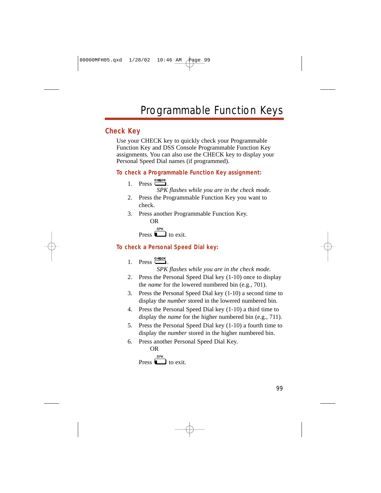### **Check Key**

Use your CHECK key to quickly check your Programmable Function Key and DSS Console Programmable Function Key assignments. You can also use the CHECK key to display your Personal Speed Dial names (if programmed).

**To check a Programmable Function Key assignment:**

 $1.$  Press  $\Box$ 

*SPK flashes while you are in the check mode.*

- 2. Press the Programmable Function Key you want to check.
- 3. Press another Programmable Function Key. OR Press  $\sum_{k=1}^{SPK}$  to exit.

### **To check a Personal Speed Dial key:**

1. Press 
$$
\overline{\phantom{a}}
$$

*SPK flashes while you are in the check mode.*

- 2. Press the Personal Speed Dial key (1-10) once to display the *name* for the lowered numbered bin (e.g., 701).
- 3. Press the Personal Speed Dial key (1-10) a second time to display the *number* stored in the lowered numbered bin.
- 4. Press the Personal Speed Dial key (1-10) a third time to display the *name* for the higher numbered bin (e.g., 711).
- 5. Press the Personal Speed Dial key (1-10) a fourth time to display the *number* stored in the higher numbered bin.
- 6. Press another Personal Speed Dial Key.

OR Press  $\Box$  to exit.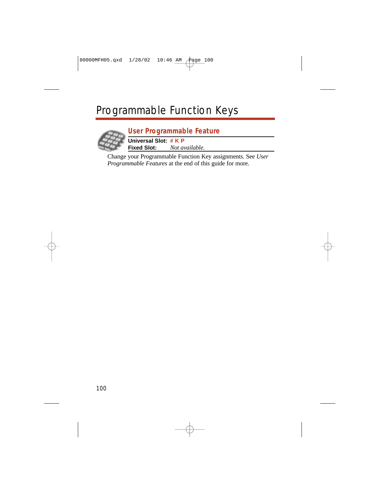

### **User Programmable Feature**

**Universal Slot: # K P Fixed Slot:** *Not available.*

Change your Programmable Function Key assignments. See *User Programmable Features* at the end of this guide for more.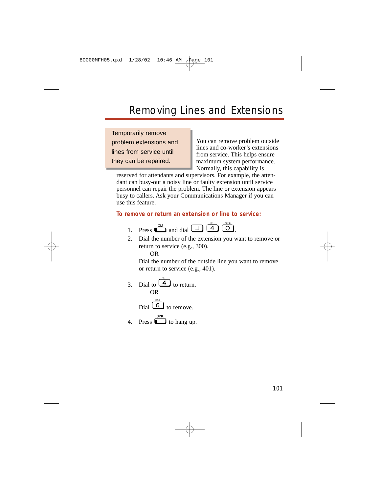## Removing Lines and Extensions

Temporarily remove problem extensions and lines from service until they can be repaired.

You can remove problem outside lines and co-worker's extensions from service. This helps ensure maximum system performance. Normally, this capability is

reserved for attendants and supervisors. For example, the attendant can busy-out a noisy line or faulty extension until service personnel can repair the problem. The line or extension appears busy to callers. Ask your Communications Manager if you can use this feature.

#### **To remove or return an extension or line to service:**

- 1. Press  $\overline{\mathbb{C}}$  and dial  $\overline{\mathbb{H}}$   $\overline{\mathbb{C}}$   $\overline{\mathbb{C}}$
- 2. Dial the number of the extension you want to remove or return to service (e.g., 300).

OR

Dial the number of the outside line you want to remove or return to service (e.g., 401).

3. Dial to  $\boxed{4}$  to return. OR

 $\text{Dial} \quad \text{6}$  to remove.

4. Press  $\Box$  to hang up.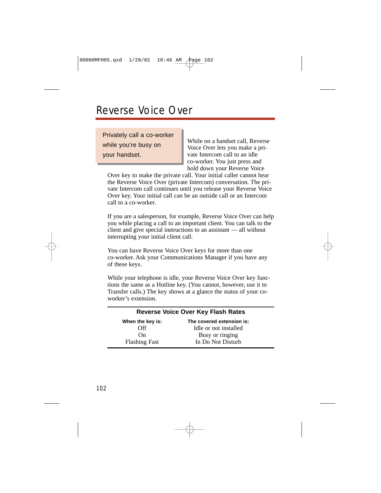## Reverse Voice Over

Privately call a co-worker while you're busy on your handset.

While on a handset call, Reverse Voice Over lets you make a private Intercom call to an idle co-worker. You just press and hold down your Reverse Voice

Over key to make the private call. Your initial caller cannot hear the Reverse Voice Over (private Intercom) conversation. The private Intercom call continues until you release your Reverse Voice Over key. Your initial call can be an outside call or an Intercom call to a co-worker.

If you are a salesperson, for example, Reverse Voice Over can help you while placing a call to an important client. You can talk to the client and give special instructions to an assistant — all without interrupting your initial client call.

You can have Reverse Voice Over keys for more than one co-worker. Ask your Communications Manager if you have any of these keys.

While your telephone is idle, your Reverse Voice Over key functions the same as a Hotline key. (You cannot, however, use it to Transfer calls.) The key shows at a glance the status of your coworker's extension.

| <b>Reverse Voice Over Key Flash Rates</b> |                           |  |  |  |
|-------------------------------------------|---------------------------|--|--|--|
| When the key is:                          | The covered extension is: |  |  |  |
| Off                                       | Idle or not installed     |  |  |  |
| On.                                       | Busy or ringing           |  |  |  |
| <b>Flashing Fast</b>                      | In Do Not Disturb         |  |  |  |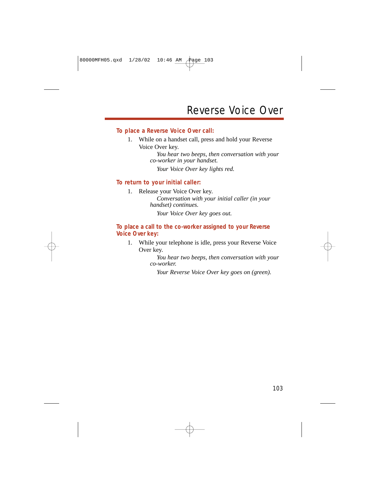#### **To place a Reverse Voice Over call:**

1. While on a handset call, press and hold your Reverse Voice Over key.

> *You hear two beeps, then conversation with your co-worker in your handset.*

*Your Voice Over key lights red.*

#### **To return to your initial caller:**

1. Release your Voice Over key. *Conversation with your initial caller (in your handset) continues. Your Voice Over key goes out.*

**To place a call to the co-worker assigned to your Reverse Voice Over key:**

1. While your telephone is idle, press your Reverse Voice Over key.

> *You hear two beeps, then conversation with your co-worker.*

*Your Reverse Voice Over key goes on (green).*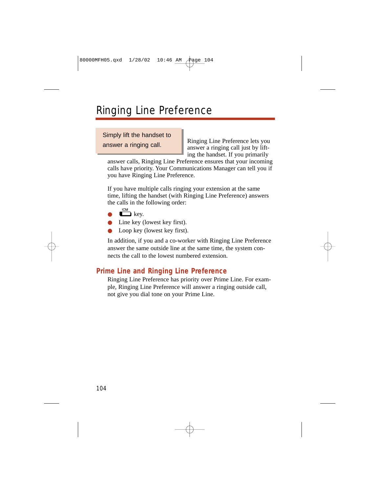# Ringing Line Preference

Simply lift the handset to answer a ringing call.

Ringing Line Preference lets you answer a ringing call just by lifting the handset. If you primarily

answer calls, Ringing Line Preference ensures that your incoming calls have priority. Your Communications Manager can tell you if you have Ringing Line Preference.

If you have multiple calls ringing your extension at the same time, lifting the handset (with Ringing Line Preference) answers the calls in the following order:

- **ICM**  $\Box$  key.
- Line key (lowest key first).
- Loop key (lowest key first).

In addition, if you and a co-worker with Ringing Line Preference answer the same outside line at the same time, the system connects the call to the lowest numbered extension.

## **Prime Line and Ringing Line Preference**

Ringing Line Preference has priority over Prime Line. For example, Ringing Line Preference will answer a ringing outside call, not give you dial tone on your Prime Line.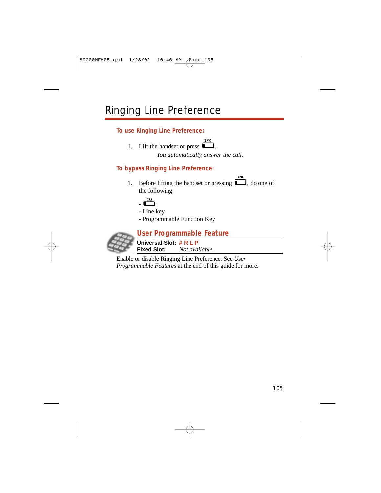# Ringing Line Preference

### **To use Ringing Line Preference:**

1. Lift the handset or press  $\Box$ . *You automatically answer the call.*

### **To bypass Ringing Line Preference:**

1. Before lifting the handset or pressing  $\Box$ , do one of the following:



- Line key
- Programmable Function Key



Enable or disable Ringing Line Preference. See *User Programmable Features* at the end of this guide for more.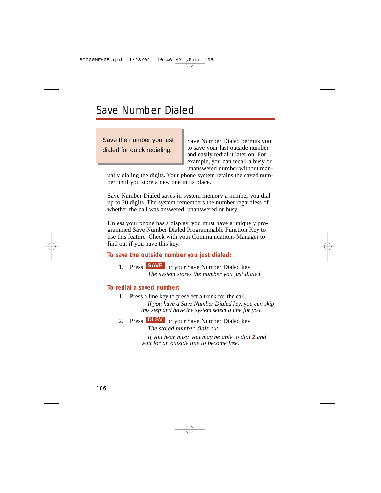# Save Number Dialed

Save the number you just dialed for quick redialing.

Save Number Dialed permits you to save your last outside number and easily redial it later on. For example, you can recall a busy or unanswered number without man-

ually dialing the digits. Your phone system retains the saved number until you store a new one in its place.

Save Number Dialed saves in system memory a number you dial up to 20 digits. The system remembers the number regardless of whether the call was answered, unanswered or busy.

Unless your phone has a display, you must have a uniquely programmed Save Number Dialed Programmable Function Key to use this feature. Check with your Communications Manager to find out if you have this key.

#### **To save the outside number you just dialed:**

1. Press **SAVE** or your Save Number Dialed key. *The system stores the number you just dialed.*

#### **To redial a saved number:**

- 1. Press a line key to preselect a trunk for the call. *If you have a Save Number Dialed key, you can skip*
	- *this step and have the system select a line for you.*
- 2. Press **DLSV** or your Save Number Dialed key. *The stored number dials out.*

*If you hear busy, you may be able to dial* **2** *and wait for an outside line to become free.*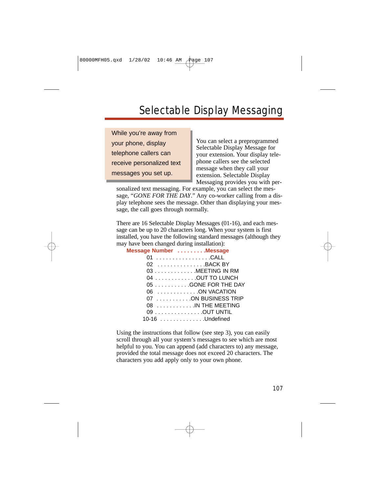# Selectable Display Messaging

While you're away from your phone, display telephone callers can receive personalized text messages you set up.

You can select a preprogrammed Selectable Display Message for your extension. Your display telephone callers see the selected message when they call your extension. Selectable Display Messaging provides you with per-

sonalized text messaging. For example, you can select the message, "*GONE FOR THE DAY*." Any co-worker calling from a display telephone sees the message. Other than displaying your message, the call goes through normally.

There are 16 Selectable Display Messages (01-16), and each message can be up to 20 characters long. When your system is first installed, you have the following standard messages (although they may have been changed during installation):

| Message Number Message |
|------------------------|
| 01 CALL                |
| 02 BACK BY             |
| 03 MEETING IN RM       |
| 04 OUT TO LUNCH        |
| 05 GONE FOR THE DAY    |
| 06 ON VACATION         |
| 07 ON BUSINESS TRIP    |
| 08 IN THE MEETING      |
| 09 OUT UNTIL           |
| 10-16 Undefined        |

Using the instructions that follow (see step 3), you can easily scroll through all your system's messages to see which are most helpful to you. You can append (add characters to) any message, provided the total message does not exceed 20 characters. The characters you add apply only to your own phone.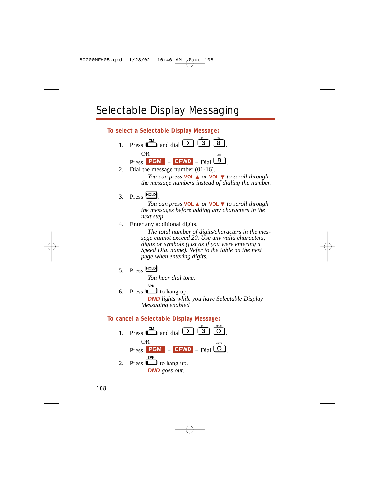# Selectable Display Messaging

### **To select a Selectable Display Message:**

1. Press  $\sum_{n=1}^{\infty}$  and dial  $\left(\frac{\ast}{\cdot}\right)$  3 8 OR

 $\text{Press}$  **PGM** + **CFWD** + Dial  $\frac{B}{C}$ . 2. Dial the message number (01-16).

> *You can press* **VOL** ▲ *or* **VOL** ▼ *to scroll through the message numbers instead of dialing the number.*

 $3.$  Press  $HOD$ 

*You can press* **VOL** ▲ *or* **VOL** ▼ *to scroll through the messages before adding any characters in the next step.*

4. Enter any additional digits.

*The total number of digits/characters in the message cannot exceed 20. Use any valid characters, digits or symbols (just as if you were entering a Speed Dial name). Refer to the table on the next page when entering digits.*

 $5.$  Press  $HOD$ 

*You hear dial tone.*

6. Press  $\Box$  to hang up. **DND** *lights while you have Selectable Display Messaging enabled.*

### **To cancel a Selectable Display Message:**

1. Press  $\sum_{n=1}^{\infty}$  and dial  $\overline{(*)}$  3 0 OR  $\text{Press}$  **PGM** + **CFWD** + Dial  $\textcircled{O}$ . **SPK** 2. Press  $\Box$  to hang up. **DND** *goes out.*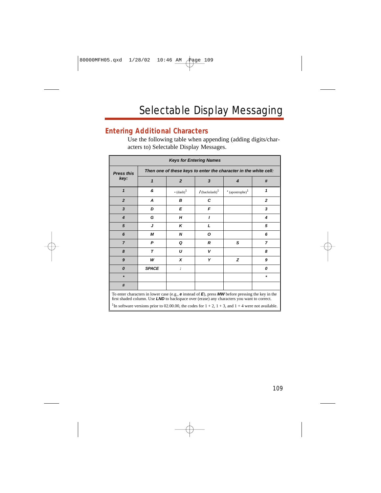## **Entering Additional Characters**

Use the following table when appending (adding digits/characters to) Selectable Display Messages.

| <b>Keys for Entering Names</b>                                                                                                                                                                                                                                                                                                               |                                                                  |                    |                              |                                       |                |  |  |
|----------------------------------------------------------------------------------------------------------------------------------------------------------------------------------------------------------------------------------------------------------------------------------------------------------------------------------------------|------------------------------------------------------------------|--------------------|------------------------------|---------------------------------------|----------------|--|--|
| <b>Press this</b>                                                                                                                                                                                                                                                                                                                            | Then one of these keys to enter the character in the white cell: |                    |                              |                                       |                |  |  |
| key:                                                                                                                                                                                                                                                                                                                                         | 1                                                                | $\overline{2}$     | 3                            | 4                                     | #              |  |  |
| $\mathbf{1}$                                                                                                                                                                                                                                                                                                                                 | &                                                                | $-(\text{dash})^1$ | $/$ (backslash) <sup>1</sup> | $^{\prime}$ (apostrophe) <sup>1</sup> | 1              |  |  |
| $\overline{2}$                                                                                                                                                                                                                                                                                                                               | A                                                                | В                  | С                            |                                       | $\mathbf{2}$   |  |  |
| 3                                                                                                                                                                                                                                                                                                                                            | D                                                                | Е                  | F                            |                                       | 3              |  |  |
| $\overline{\mathbf{4}}$                                                                                                                                                                                                                                                                                                                      | G                                                                | н                  | ,                            |                                       | 4              |  |  |
| 5                                                                                                                                                                                                                                                                                                                                            | J                                                                | ĸ                  | L                            |                                       | 5              |  |  |
| 6                                                                                                                                                                                                                                                                                                                                            | М                                                                | N                  | Ο                            |                                       | 6              |  |  |
| $\overline{7}$                                                                                                                                                                                                                                                                                                                               | P                                                                | Q                  | R                            | S                                     | $\overline{z}$ |  |  |
| 8                                                                                                                                                                                                                                                                                                                                            | T                                                                | U                  | v                            |                                       | 8              |  |  |
| 9                                                                                                                                                                                                                                                                                                                                            | w                                                                | x                  | Y                            | z                                     | 9              |  |  |
| 0                                                                                                                                                                                                                                                                                                                                            | <b>SPACE</b>                                                     | :                  |                              |                                       | 0              |  |  |
| $\star$                                                                                                                                                                                                                                                                                                                                      |                                                                  |                    |                              |                                       | $\star$        |  |  |
| #                                                                                                                                                                                                                                                                                                                                            |                                                                  |                    |                              |                                       |                |  |  |
| To enter characters in lower case (e.g., $e$ instead of $E$ ), press <b>MW</b> before pressing the key in the<br>first shaded column. Use <b>LND</b> to backspace over (erase) any characters you want to correct.<br><sup>1</sup> In software versions prior to 02.00.00, the codes for $1 + 2$ , $1 + 3$ , and $1 + 4$ were not available. |                                                                  |                    |                              |                                       |                |  |  |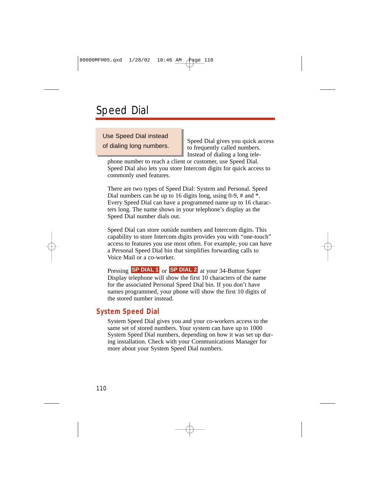# Speed Dial

## Use Speed Dial instead of dialing long numbers.

Speed Dial gives you quick access to frequently called numbers. Instead of dialing a long tele-

phone number to reach a client or customer, use Speed Dial. Speed Dial also lets you store Intercom digits for quick access to commonly used features.

There are two types of Speed Dial: System and Personal. Speed Dial numbers can be up to 16 digits long, using 0-9, # and  $*$ . Every Speed Dial can have a programmed name up to 16 characters long. The name shows in your telephone's display as the Speed Dial number dials out.

Speed Dial can store outside numbers and Intercom digits. This capability to store Intercom digits provides you with "one-touch" access to features you use most often. For example, you can have a Personal Speed Dial bin that simplifies forwarding calls to Voice Mail or a co-worker.

Pressing **SP DIAL 1** or **SP DIAL 2** at your 34-Button Super Display telephone will show the first 10 characters of the name for the associated Personal Speed Dial bin. If you don't have names programmed, your phone will show the first 10 digits of the stored number instead.

## **System Speed Dial**

System Speed Dial gives you and your co-workers access to the same set of stored numbers. Your system can have up to 1000 System Speed Dial numbers, depending on how it was set up during installation. Check with your Communications Manager for more about your System Speed Dial numbers.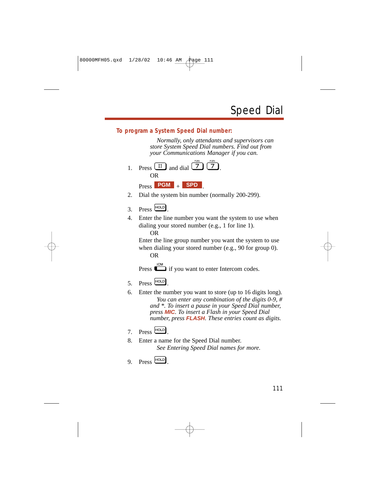#### **To program a System Speed Dial number:**

*Normally, only attendants and supervisors can store System Speed Dial numbers. Find out from your Communications Manager if you can.*

- 1. Press  $\boxed{\pm 1}$  and dial  $\boxed{7}$   $\boxed{7}$ OR  $\begin{bmatrix} \text{Press} & \text{PGM} \\ \text{Press} & \text{SPD} \end{bmatrix}$
- 2. Dial the system bin number (normally 200-299).

$$
3. \quad \text{Press} \quad \boxed{\text{HOLD}}.
$$

4. Enter the line number you want the system to use when dialing your stored number (e.g., 1 for line 1).

OR

Enter the line group number you want the system to use when dialing your stored number (e.g., 90 for group 0). OR

Press  $\sum_{n=1}^{\infty}$  if you want to enter Intercom codes.

- $5.$  Press  $\boxed{\text{HOLD}}$
- 6. Enter the number you want to store (up to 16 digits long). *You can enter any combination of the digits 0-9, # and \*. To insert a pause in your Speed Dial number, press* **MIC***. To insert a Flash in your Speed Dial number, press* **FLASH***. These entries count as digits.*
- 7. Press **HOLD**
- 8. Enter a name for the Speed Dial number. *See Entering Speed Dial names for more.*
- $9.$  Press  $HOLD$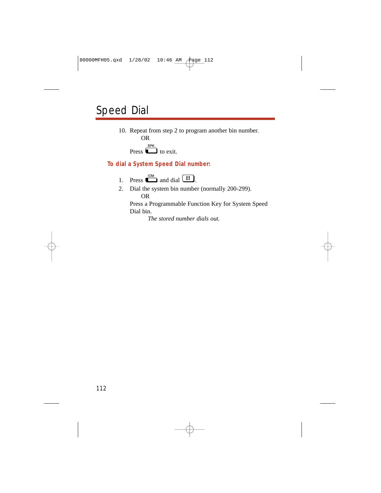# Speed Dial

10. Repeat from step 2 to program another bin number. OR

Press  $\sum_{k=1}^{SPK}$  to exit.

**To dial a System Speed Dial number:**

1. Press 
$$
\overline{\bullet}
$$
 and dial  $\overline{\bullet}$ .

2. Dial the system bin number (normally 200-299). OR

Press a Programmable Function Key for System Speed Dial bin.

*The stored number dials out.*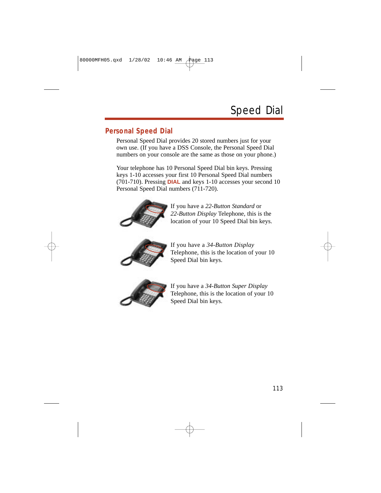## **Personal Speed Dial**

Personal Speed Dial provides 20 stored numbers just for your own use. (If you have a DSS Console, the Personal Speed Dial numbers on your console are the same as those on your phone.)

Your telephone has 10 Personal Speed Dial bin keys. Pressing keys 1-10 accesses your first 10 Personal Speed Dial numbers (701-710). Pressing **DIAL** and keys 1-10 accesses your second 10 Personal Speed Dial numbers (711-720).



If you have a *22-Button Standard* or *22-Button Display* Telephone, this is the location of your 10 Speed Dial bin keys.



If you have a *34-Button Display* Telephone, this is the location of your 10 Speed Dial bin keys.



If you have a *34-Button Super Display* Telephone, this is the location of your 10 Speed Dial bin keys.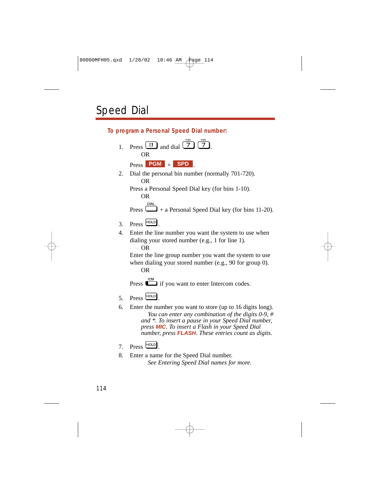**To program a Personal Speed Dial number:**



2. Dial the personal bin number (normally 701-720). OR

Press a Personal Speed Dial key (for bins 1-10).

OR

Press  $\Box$  + a Personal Speed Dial key (for bins 11-20).

- $P_{\text{recc}}$   $HOLD$
- 4. Enter the line number you want the system to use when dialing your stored number (e.g., 1 for line 1).

OR

Enter the line group number you want the system to use when dialing your stored number (e.g., 90 for group 0).

OR

Press  $\sum_{n=1}^{\infty}$  if you want to enter Intercom codes.

- $5.$  Press  $HOLD$
- 6. Enter the number you want to store (up to 16 digits long). *You can enter any combination of the digits 0-9, # and \*. To insert a pause in your Speed Dial number, press* **MIC***. To insert a Flash in your Speed Dial number, press* **FLASH***. These entries count as digits.*
- $7.$  Press  $HOLD$
- 8. Enter a name for the Speed Dial number. *See Entering Speed Dial names for more.*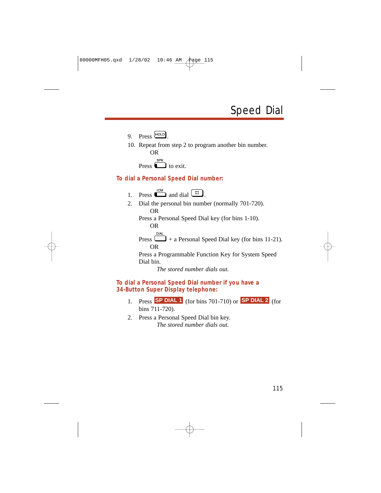- $9$  Press  $HOLD$
- 10. Repeat from step 2 to program another bin number. OR **SPK** Press  $\Box$  to exit.

#### **To dial a Personal Speed Dial number:**

- 1. Press  $\sum_{n=1}^{\infty}$  and dial  $\boxed{1}$ .
- 2. Dial the personal bin number (normally 701-720). OR

Press a Personal Speed Dial key (for bins 1-10). OR

DIAI

Press  $\Box$  + a Personal Speed Dial key (for bins 11-21). OR

Press a Programmable Function Key for System Speed Dial bin.

*The stored number dials out.*

#### **To dial a Personal Speed Dial number if you have a 34-Button Super Display telephone:**

- 1. Press **SP DIAL 1** (for bins 701-710) or **SP DIAL 2** (for bins 711-720).
- 2. Press a Personal Speed Dial bin key. *The stored number dials out.*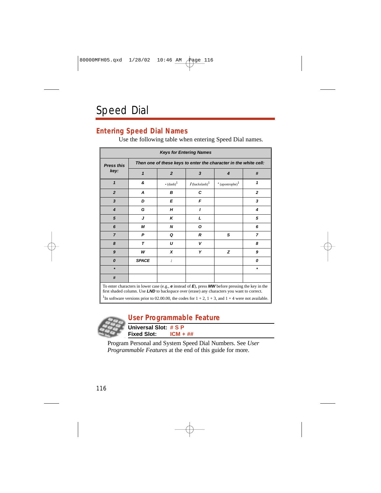## **Entering Speed Dial Names**

Use the following table when entering Speed Dial names.

| <b>Keys for Entering Names</b> |                                                                  |                       |                              |                                       |                         |  |  |
|--------------------------------|------------------------------------------------------------------|-----------------------|------------------------------|---------------------------------------|-------------------------|--|--|
| <b>Press this</b><br>key:      | Then one of these keys to enter the character in the white cell: |                       |                              |                                       |                         |  |  |
|                                | $\mathbf{1}$                                                     | $\overline{2}$        | 3                            | 4                                     | #                       |  |  |
| $\mathbf{1}$                   | &                                                                | $-(\text{dash})^1$    | $/$ (backslash) <sup>1</sup> | $^{\prime}$ (apostrophe) <sup>1</sup> | 1                       |  |  |
| $\overline{2}$                 | A                                                                | В                     | С                            |                                       | $\overline{2}$          |  |  |
| 3                              | D                                                                | E                     | F                            |                                       | 3                       |  |  |
| $\overline{\mathbf{4}}$        | G                                                                | H                     | $\mathbf{I}$                 |                                       | $\overline{\mathbf{4}}$ |  |  |
| 5                              | J                                                                | ĸ                     | L                            |                                       | 5                       |  |  |
| 6                              | M                                                                | N                     | ο                            |                                       | 6                       |  |  |
| $\overline{7}$                 | P                                                                | Q                     | $\mathcal{R}$                | s                                     | $\overline{7}$          |  |  |
| 8                              | $\tau$                                                           | U                     | v                            |                                       | 8                       |  |  |
| 9                              | W                                                                | x                     | Υ                            | z                                     | 9                       |  |  |
| 0                              | <b>SPACE</b>                                                     | $\tilde{\phantom{a}}$ |                              |                                       | 0                       |  |  |
| $\star$                        |                                                                  |                       |                              |                                       | $\star$                 |  |  |
| #                              |                                                                  |                       |                              |                                       |                         |  |  |

To enter characters in lower case (e.g., **e** instead of **E**), press **MW** before pressing the key in the first shaded column. Use **LND** to backspace over (erase) any characters you want to correct.

<sup>1</sup>In software versions prior to 02.00.00, the codes for  $1 + 2$ ,  $1 + 3$ , and  $1 + 4$  were not available.



## **User Programmable Feature**

**Universal Slot: # S P Fixed Slot: ICM + ##**

Program Personal and System Speed Dial Numbers. See *User Programmable Features* at the end of this guide for more.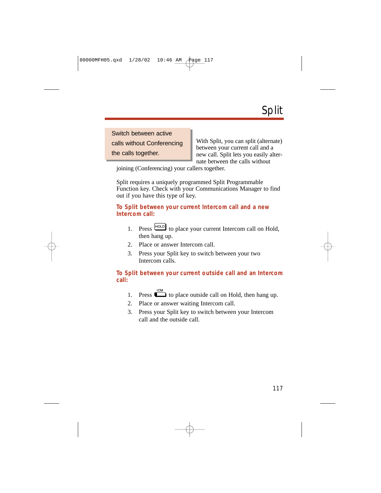Switch between active calls without Conferencing the calls together.

With Split, you can split (alternate) between your current call and a new call. Split lets you easily alternate between the calls without

joining (Conferencing) your callers together.

Split requires a uniquely programmed Split Programmable Function key. Check with your Communications Manager to find out if you have this type of key.

#### **To Split between your current Intercom call and a new Intercom call:**

- 1. Press  $\frac{[HOLD]}{[HOLD]}$  to place your current Intercom call on Hold, then hang up.
- 2. Place or answer Intercom call.
- 3. Press your Split key to switch between your two Intercom calls.

#### **To Split between your current outside call and an Intercom call:**

- 1. Press  $\Box$  to place outside call on Hold, then hang up.
- 2. Place or answer waiting Intercom call.
- 3. Press your Split key to switch between your Intercom call and the outside call.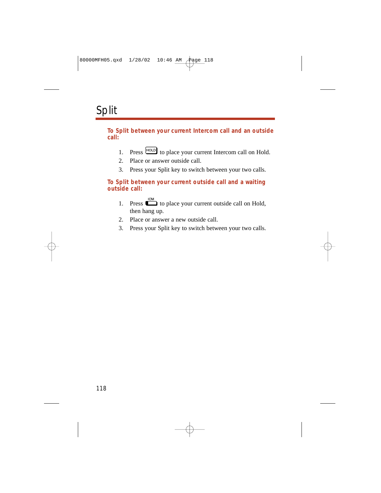**To Split between your current Intercom call and an outside call:**

- 1. Press  $\frac{HOLD}{HOLD}$  to place your current Intercom call on Hold.
- 2. Place or answer outside call.
- 3. Press your Split key to switch between your two calls.

#### **To Split between your current outside call and a waiting outside call:**

- 1. Press  $\sum_{n=1}^{\infty}$  to place your current outside call on Hold, then hang up.
- 2. Place or answer a new outside call.
- 3. Press your Split key to switch between your two calls.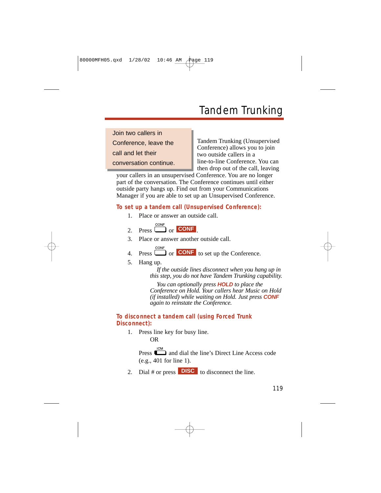# Tandem Trunking

Join two callers in Conference, leave the call and let their conversation continue.

Tandem Trunking (Unsupervised Conference) allows you to join two outside callers in a line-to-line Conference. You can then drop out of the call, leaving

your callers in an unsupervised Conference. You are no longer part of the conversation. The Conference continues until either outside party hangs up. Find out from your Communications Manager if you are able to set up an Unsupervised Conference.

### **To set up a tandem call (Unsupervised Conference):**

- 1. Place or answer an outside call.
- 2. Press  $\Box$  or **CONF**
- 3. Place or answer another outside call.
- 4. Press  $\Box$  or **CONF** to set up the Conference.
- 5. Hang up.

*If the outside lines disconnect when you hang up in this step, you do not have Tandem Trunking capability.*

*You can optionally press* **HOLD** *to place the Conference on Hold. Your callers hear Music on Hold (if installed) while waiting on Hold. Just press* **CONF** *again to reinstate the Conference.*

#### **To disconnect a tandem call (using Forced Trunk Disconnect):**

1. Press line key for busy line.

OR

Press  $\Box$  and dial the line's Direct Line Access code (e.g., 401 for line 1).

2. Dial  $\#$  or press **DISC** to disconnect the line.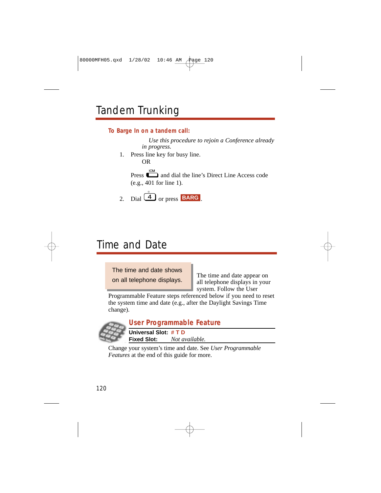### **To Barge In on a tandem call:**

*Use this procedure to rejoin a Conference already in progress.*

1. Press line key for busy line. OR

> **ICM Press**  $\Box$  and dial the line's Direct Line Access code (e.g., 401 for line 1).

2. Dial  $\left(4\right)$  or press **BARG** 

# Time and Date

The time and date shows on all telephone displays.

The time and date appear on all telephone displays in your system. Follow the User

Programmable Feature steps referenced below if you need to reset the system time and date (e.g., after the Daylight Savings Time change).



## **User Programmable Feature**

**Universal Slot: # T D Fixed Slot:** *Not available.*

Change your system's time and date. See *User Programmable Features* at the end of this guide for more.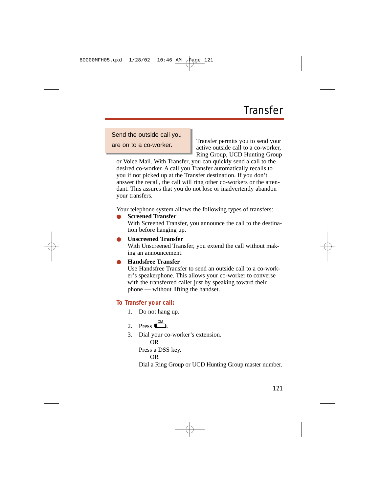# **Transfer**

Send the outside call you are on to a co-worker.

Transfer permits you to send your active outside call to a co-worker, Ring Group, UCD Hunting Group

or Voice Mail. With Transfer, you can quickly send a call to the desired co-worker. A call you Transfer automatically recalls to you if not picked up at the Transfer destination. If you don't answer the recall, the call will ring other co-workers or the attendant. This assures that you do not lose or inadvertently abandon your transfers.

Your telephone system allows the following types of transfers:

**Screened Transfer** 

With Screened Transfer, you announce the call to the destination before hanging up.

### ● **Unscreened Transfer**

With Unscreened Transfer, you extend the call without making an announcement.

### ● **Handsfree Transfer**

Use Handsfree Transfer to send an outside call to a co-worker's speakerphone. This allows your co-worker to converse with the transferred caller just by speaking toward their phone — without lifting the handset.

### **To Transfer your call:**

- 1. Do not hang up.
- 2. Press  $\Box$ .
- 3. Dial your co-worker's extension.

OR

Press a DSS key.

OR

Dial a Ring Group or UCD Hunting Group master number.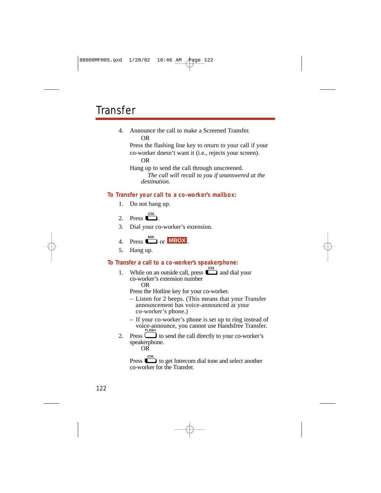# **Transfer**

4. Announce the call to make a Screened Transfer. OR

Press the flashing line key to return to your call if your co-worker doesn't want it (i.e., rejects your screen). OR

Hang up to send the call through unscreened.

*The call will recall to you if unanswered at the destination.*

#### **To Transfer your call to a co-worker's mailbox:**

- 1. Do not hang up.
- 2. Press  $\Box$
- 3. Dial your co-worker's extension.

4. Press 
$$
\bullet
$$
 or **MBox**

5. Hang up.

#### **To Transfer a call to a co-worker's speakerphone:**

1. While on an outside call, press  $\Box$  and dial your co-worker's extension number OR

Press the Hotline key for your co-worker.

- Listen for 2 beeps. (This means that your Transfer announcement has voice-announced at your co-worker's phone.)
- If your co-worker's phone is set up to ring instead of voice-announce, you cannot use Handsfree Transfer.
- 2. Press  $\Box$  to send the call directly to your co-worker's speakerphone. OR

**Press** to get Intercom dial tone and select another co-worker for the Transfer.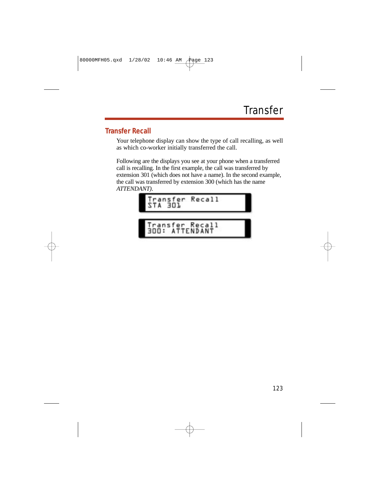## **Transfer Recall**

Your telephone display can show the type of call recalling, as well as which co-worker initially transferred the call.

Following are the displays you see at your phone when a transferred call is recalling. In the first example, the call was transferred by extension 301 (which does not have a name). In the second example, the call was transferred by extension 300 (which has the name *ATTENDANT)*.

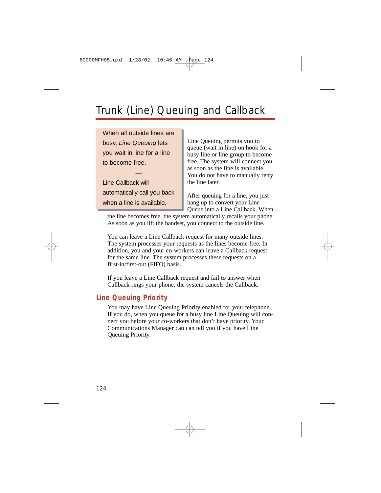# Trunk (Line) Queuing and Callback

When all outside lines are busy, Line Queuing lets you wait in line for a line to become free.

Line Callback will automatically call you back when a line is available.

—

Line Queuing permits you to queue (wait in line) on hook for a busy line or line group to become free. The system will connect you as soon as the line is available. You do not have to manually retry the line later.

After queuing for a line, you just hang up to convert your Line Queue into a Line Callback. When

the line becomes free, the system automatically recalls your phone. As soon as you lift the handset, you connect to the outside line.

You can leave a Line Callback request for many outside lines. The system processes your requests as the lines become free. In addition, you and your co-workers can leave a Callback request for the same line. The system processes these requests on a first-in/first-out (FIFO) basis.

If you leave a Line Callback request and fail to answer when Callback rings your phone, the system cancels the Callback.

## **Line Queuing Priority**

You may have Line Queuing Priority enabled for your telephone. If you do, when you queue for a busy line Line Queuing will connect you before your co-workers that don't have priority. Your Communications Manager can can tell you if you have Line Queuing Priority.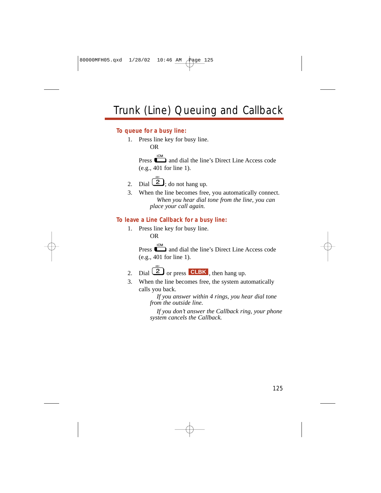#### **To queue for a busy line:**

1. Press line key for busy line. OR

> Press  $\Box$  and dial the line's Direct Line Access code (e.g., 401 for line 1).

- 2. Dial  $\boxed{2}$ ; do not hang up.
- 3. When the line becomes free, you automatically connect. *When you hear dial tone from the line, you can place your call again.*

#### **To leave a Line Callback for a busy line:**

1. Press line key for busy line. OR

> **ICM Press**  $\Box$  and dial the line's Direct Line Access code (e.g., 401 for line 1).

- 2. Dial  $\boxed{2}$  or press **CLBK**, then hang up.
- 3. When the line becomes free, the system automatically calls you back.

*If you answer within 4 rings, you hear dial tone from the outside line.*

*If you don't answer the Callback ring, your phone system cancels the Callback.*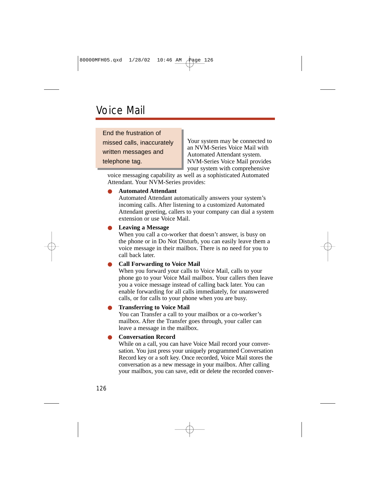# Voice Mail

End the frustration of missed calls, inaccurately written messages and telephone tag.

Your system may be connected to an NVM-Series Voice Mail with Automated Attendant system. NVM-Series Voice Mail provides your system with comprehensive

voice messaging capability as well as a sophisticated Automated Attendant. Your NVM-Series provides:

#### ● **Automated Attendant**

Automated Attendant automatically answers your system's incoming calls. After listening to a customized Automated Attendant greeting, callers to your company can dial a system extension or use Voice Mail.

#### ● **Leaving a Message**

When you call a co-worker that doesn't answer, is busy on the phone or in Do Not Disturb, you can easily leave them a voice message in their mailbox. There is no need for you to call back later.

#### **Call Forwarding to Voice Mail**

When you forward your calls to Voice Mail, calls to your phone go to your Voice Mail mailbox. Your callers then leave you a voice message instead of calling back later. You can enable forwarding for all calls immediately, for unanswered calls, or for calls to your phone when you are busy.

#### **Transferring to Voice Mail**

You can Transfer a call to your mailbox or a co-worker's mailbox. After the Transfer goes through, your caller can leave a message in the mailbox.

#### **Conversation Record**

While on a call, you can have Voice Mail record your conversation. You just press your uniquely programmed Conversation Record key or a soft key. Once recorded, Voice Mail stores the conversation as a new message in your mailbox. After calling your mailbox, you can save, edit or delete the recorded conver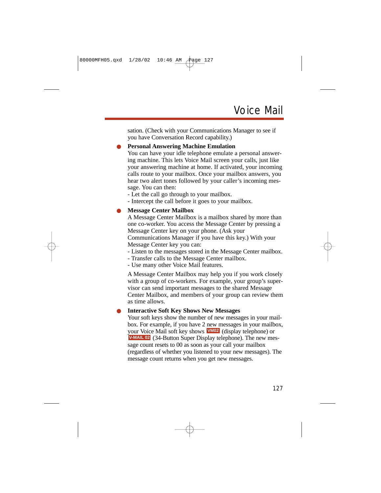sation. (Check with your Communications Manager to see if you have Conversation Record capability.)

#### ● **Personal Answering Machine Emulation**

You can have your idle telephone emulate a personal answering machine. This lets Voice Mail screen your calls, just like your answering machine at home. If activated, your incoming calls route to your mailbox. Once your mailbox answers, you hear two alert tones followed by your caller's incoming message. You can then:

- Let the call go through to your mailbox.

- Intercept the call before it goes to your mailbox.

#### **Message Center Mailbox**

A Message Center Mailbox is a mailbox shared by more than one co-worker. You access the Message Center by pressing a Message Center key on your phone. (Ask your

Communications Manager if you have this key.) With your Message Center key you can:

- Listen to the messages stored in the Message Center mailbox.
- Transfer calls to the Message Center mailbox.
- Use many other Voice Mail features.

A Message Center Mailbox may help you if you work closely with a group of co-workers. For example, your group's supervisor can send important messages to the shared Message Center Mailbox, and members of your group can review them as time allows.

● **Interactive Soft Key Shows New Messages**

Your soft keys show the number of new messages in your mailbox. For example, if you have 2 new messages in your mailbox, your Voice Mail soft key shows **VM02** (display telephone) or (34-Button Super Display telephone). The new mes-**V-MAIL 02** sage count resets to 00 as soon as your call your mailbox (regardless of whether you listened to your new messages). The message count returns when you get new messages.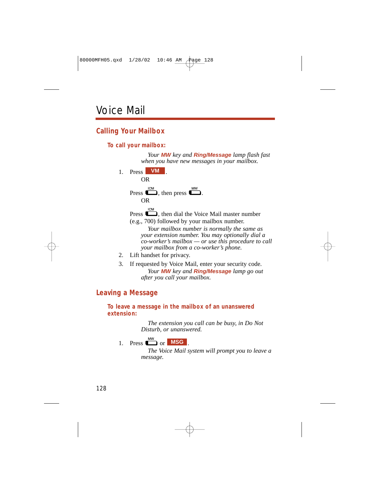## **Calling Your Mailbox**

### **To call your mailbox:**

*Your* **MW** *key and* **Ring/Message** *lamp flash fast when you have new messages in your mailbox.*

1. Press **VM** OR Press  $\sum_{n=1}^{\text{ICM}}$ , then press  $\sum_{n=1}^{\text{MW}}$ . OR **ICM** 

**Press**  $\Box$ **, then dial the Voice Mail master number** (e.g., 700) followed by your mailbox number.

*Your mailbox number is normally the same as your extension number. You may optionally dial a co-worker's mailbox — or use this procedure to call your mailbox from a co-worker's phone.*

- 2. Lift handset for privacy.
- 3. If requested by Voice Mail, enter your security code. *Your* **MW** *key and* **Ring/Message** *lamp go out after you call your mailbox.*

## **Leaving a Message**

#### **To leave a message in the mailbox of an unanswered extension:**

*The extension you call can be busy, in Do Not Disturb, or unanswered.*

**MW** 1. Press  $\overline{\bullet}$  or **MSG**.

*The Voice Mail system will prompt you to leave a message.*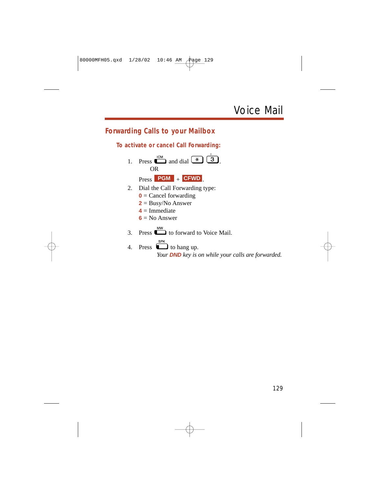## **Forwarding Calls to your Mailbox**

#### **To activate or cancel Call Forwarding:**

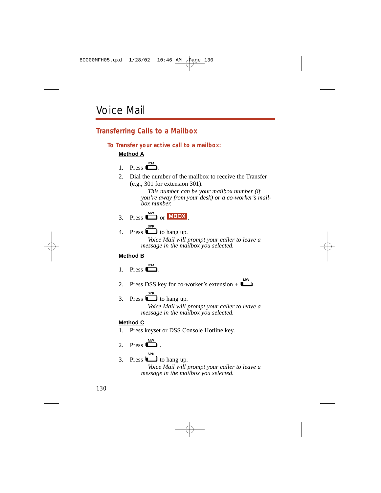## **Transferring Calls to a Mailbox**

#### **To Transfer your active call to a mailbox:**

### **Method A**

1. Press 
$$
\square
$$

2. Dial the number of the mailbox to receive the Transfer (e.g., 301 for extension 301).

> *This number can be your mailbox number (if you're away from your desk) or a co-worker's mailbox number.*

3. Press 
$$
\bullet
$$
 or **MBox**

**SPK** 4. Press  $\Box$  to hang up.

> *Voice Mail will prompt your caller to leave a message in the mailbox you selected.*

#### **Method B**

- **ICM** 1. Press  $\Box$
- 2. Press DSS key for co-worker's extension  $+ \Box$ .
	-
- 3. Press  $\Box$  to hang up.

*Voice Mail will prompt your caller to leave a message in the mailbox you selected.*

#### **Method C**

- 1. Press keyset or DSS Console Hotline key.
- **MW** 2. Press  $\overline{\phantom{a}}$ .
- 3. Press  $\Box$  to hang up. *Voice Mail will prompt your caller to leave a message in the mailbox you selected.*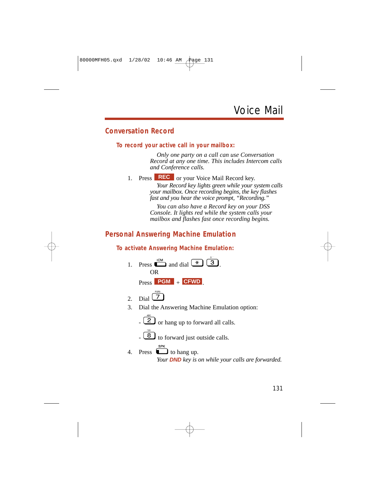## **Conversation Record**

#### **To record your active call in your mailbox:**

*Only one party on a call can use Conversation Record at any one time. This includes Intercom calls and Conference calls.*

1. Press **REC** or your Voice Mail Record key.

*Your Record key lights green while your system calls your mailbox. Once recording begins, the key flashes fast and you hear the voice prompt, "Recording."*

*You can also have a Record key on your DSS Console. It lights red while the system calls your mailbox and flashes fast once recording begins.*

## **Personal Answering Machine Emulation**

#### **To activate Answering Machine Emulation:**

1. Press  $\sum_{n=1}^{\infty}$  and dial  $\boxed{\ast}$   $\boxed{3}$ . OR  $\text{Press}$  **PGM** + CFWD 2. Dial  $\boxed{7}$ 3. Dial the Answering Machine Emulation option:  $\begin{bmatrix} 2 \\ \end{bmatrix}$  or hang up to forward all calls.  $\mathbf{8}$  to forward just outside calls. 4. Press  $\Box$  to hang up. *Your* **DND** *key is on while your calls are forwarded.*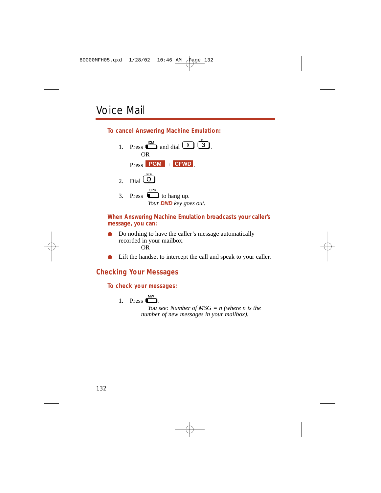**To cancel Answering Machine Emulation:**

|         | <b>HER</b><br><b>ICM</b><br>Press $\Box$ and dial $\pm$ $\boxed{3}$<br>OR |
|---------|---------------------------------------------------------------------------|
|         | $Press$ PGM $+$ CFWD                                                      |
| $2^{1}$ | $_{\rm Dial}$ (O)                                                         |
| 3.      | <b>SPK</b><br>Press $\Box$ to hang up.                                    |
|         | Your <b>DND</b> key goes out.                                             |

**When Answering Machine Emulation broadcasts your caller's message, you can:**

- Do nothing to have the caller's message automatically recorded in your mailbox. OR
- Lift the handset to intercept the call and speak to your caller.

**Checking Your Messages**

**To check your messages:**

1. Press  $\overset{MW}{\bullet}$ .

*You see: Number of MSG = n (where n is the number of new messages in your mailbox).*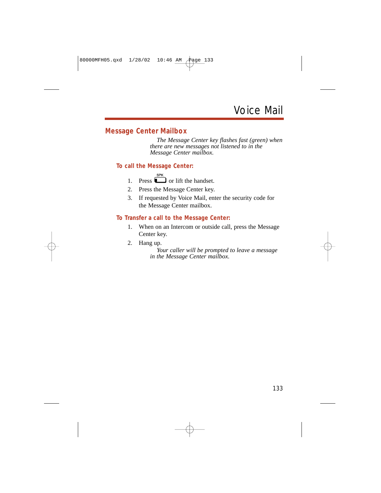### **Message Center Mailbox**

*The Message Center key flashes fast (green) when there are new messages not listened to in the Message Center mailbox.*

#### **To call the Message Center:**

- 1. Press  $\sum_{n=1}^{\text{SPK}}$  or lift the handset.
- 2. Press the Message Center key.
- 3. If requested by Voice Mail, enter the security code for the Message Center mailbox.

#### **To Transfer a call to the Message Center:**

- 1. When on an Intercom or outside call, press the Message Center key.
- 2. Hang up.

*Your caller will be prompted to leave a message in the Message Center mailbox.*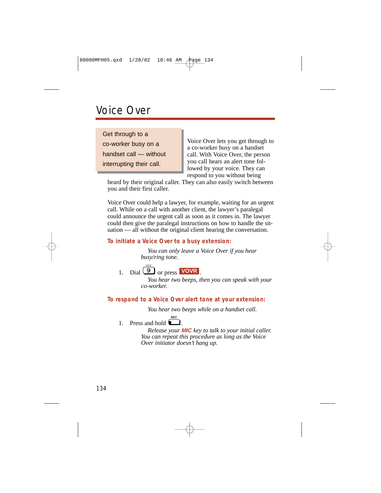## Voice Over

Get through to a co-worker busy on a handset call — without interrupting their call.

Voice Over lets you get through to a co-worker busy on a handset call. With Voice Over, the person you call hears an alert tone followed by your voice. They can respond to you without being

heard by their original caller. They can also easily switch between you and their first caller.

Voice Over could help a lawyer, for example, waiting for an urgent call. While on a call with another client, the lawyer's paralegal could announce the urgent call as soon as it comes in. The lawyer could then give the paralegal instructions on how to handle the situation — all without the original client hearing the conversation.

#### **To initiate a Voice Over to a busy extension:**

*You can only leave a Voice Over if you hear busy/ring tone.*

1. Dial  $\boxed{9}$  or press **VOVR**.

*You hear two beeps, then you can speak with your co-worker.*

#### **To respond to a Voice Over alert tone at your extension:**

*You hear two beeps while on a handset call.*

**MIC** 1. Press and hold  $\Box$ 

> *Release your* **MIC** *key to talk to your initial caller. You can repeat this procedure as long as the Voice Over initiator doesn't hang up.*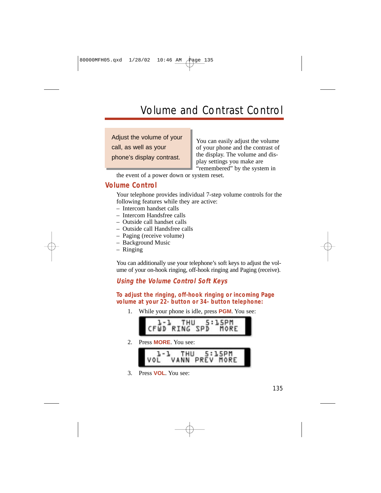# Volume and Contrast Control

Adjust the volume of your call, as well as your phone's display contrast.

You can easily adjust the volume of your phone and the contrast of the display. The volume and display settings you make are "remembered" by the system in

the event of a power down or system reset.

## **Volume Control**

Your telephone provides individual 7-step volume controls for the following features while they are active:

- Intercom handset calls
- Intercom Handsfree calls
- Outside call handset calls
- Outside call Handsfree calls
- Paging (receive volume)
- Background Music
- Ringing

You can additionally use your telephone's soft keys to adjust the volume of your on-hook ringing, off-hook ringing and Paging (receive).

## **Using the Volume Control Soft Keys**

#### **To adjust the ringing, off-hook ringing or incoming Page volume at your 22- button or 34- button telephone:**

1. While your phone is idle, press **PGM**. You see:



2. Press **MORE**. You see:



3. Press **VOL**. You see: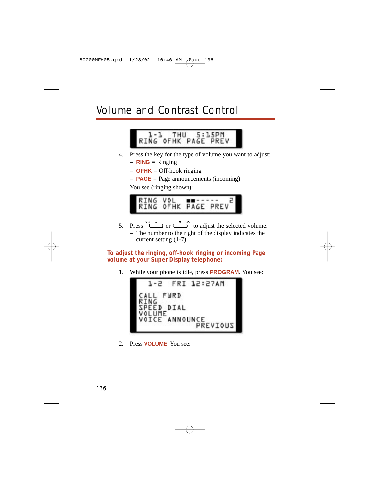# Volume and Contrast Control



- 5. Press  $\sqrt[10]{\begin{array}{c} \hline \blacksquare \\ \hline \end{array}}$  or  $\frac{\sqrt[10]{\begin{array}{c} \hline \blacksquare \\ \hline \end{array}}}{\begin{array}{c} \hline \blacksquare \end{array}}$  to adjust the selected volume.
	- The number to the right of the display indicates the current setting (1-7).

**To adjust the ringing, off-hook ringing or incoming Page volume at your Super Display telephone:**

1. While your phone is idle, press **PROGRAM**. You see:



2. Press **VOLUME**. You see: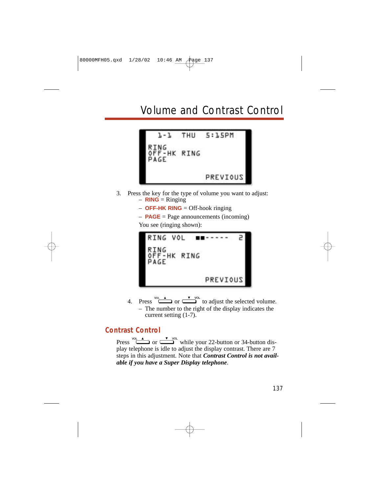## Volume and Contrast Control



- 3. Press the key for the type of volume you want to adjust:  $-$ **RING** = Ringing
	- **OFF-HK RING** = Off-hook ringing
	- **PAGE** = Page announcements (incoming)

You see (ringing shown):



4. Press  $\sqrt[3]{\begin{array}{c} \hline \longrightarrow \\ \hline \longrightarrow \end{array}}$  or  $\frac{\sqrt{3}}{2}$  to adjust the selected volume. – The number to the right of the display indicates the current setting (1-7).

### **Contrast Control**

Press  $\sqrt[8]{\begin{array}{c} \hline \longrightarrow \\ \hline \end{array}}$  or  $\frac{\sqrt[8]{\begin{array}{c} \hline \longrightarrow \\ \hline \end{array}}}{}$  while your 22-button or 34-button display telephone is idle to adjust the display contrast. There are 7 steps in this adjustment. Note that *Contrast Control is not available if you have a Super Display telephone*.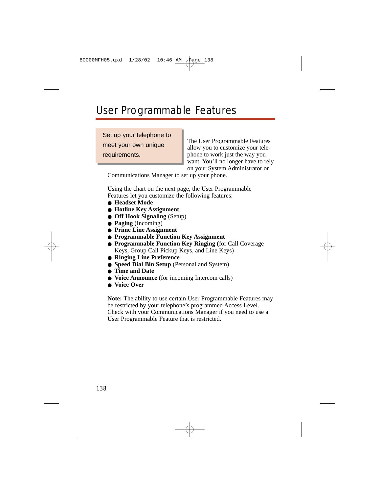# User Programmable Features

Set up your telephone to meet your own unique requirements.

The User Programmable Features allow you to customize your telephone to work just the way you want. You'll no longer have to rely on your System Administrator or

Communications Manager to set up your phone.

Using the chart on the next page, the User Programmable Features let you customize the following features:

- **Headset Mode**
- **Hotline Key Assignment**
- **Off Hook Signaling** (Setup)
- **Paging** (Incoming)
- **Prime Line Assignment**
- **Programmable Function Key Assignment**
- **Programmable Function Key Ringing** (for Call Coverage Keys, Group Call Pickup Keys, and Line Keys)
- **Ringing Line Preference**
- **Speed Dial Bin Setup** (Personal and System)
- **Time and Date**
- **Voice Announce** (for incoming Intercom calls)
- **Voice Over**

**Note:** The ability to use certain User Programmable Features may be restricted by your telephone's programmed Access Level. Check with your Communications Manager if you need to use a User Programmable Feature that is restricted.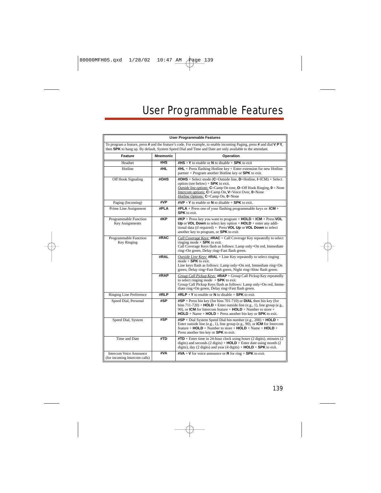## User Programmable Features

| <b>User Programmable Features</b>                                                                                                                                                                                                |                 |                                                                                                                                                                                                                                                                                                                           |
|----------------------------------------------------------------------------------------------------------------------------------------------------------------------------------------------------------------------------------|-----------------|---------------------------------------------------------------------------------------------------------------------------------------------------------------------------------------------------------------------------------------------------------------------------------------------------------------------------|
| To program a feature, press # and the feature's code. For example, to enable incoming Paging, press # and dial VPY,<br>then SPK to hang up. By default, System Speed Dial and Time and Date are only available to the attendant. |                 |                                                                                                                                                                                                                                                                                                                           |
| Feature                                                                                                                                                                                                                          | <b>Mnemonic</b> | Operation                                                                                                                                                                                                                                                                                                                 |
| Headset                                                                                                                                                                                                                          | #HS             | $#HS + Y$ to enable or N to disable $+$ SPK to exit                                                                                                                                                                                                                                                                       |
| Hotline                                                                                                                                                                                                                          | #HL             | $\#HL$ + Press flashing Hotline key + Enter extension for new Hotline<br>partner $+$ Program another Hotline key or SPK to exit.                                                                                                                                                                                          |
| Off Hook Signaling                                                                                                                                                                                                               | #OHS            | $\textsf{\#OHS} +$ Select mode (C=Outside line, D=Hotline, I=ICM) + Select<br>option (see below) $+$ SPK to exit.<br><i>Outside line options:</i> $C = Camp On tone, O = Off Hook Ringing, O = None$<br>Intercom options: C=Camp On, V=Voice Over, 0=None<br>Hotline Options: C=Camp On, 0=None                           |
| Paging (Incoming)                                                                                                                                                                                                                | #VP             | $\textsf{HVP} + \textsf{Y}$ to enable or <b>N</b> to disable + <b>SPK</b> to exit.                                                                                                                                                                                                                                        |
| Prime Line Assignment                                                                                                                                                                                                            | #PLA            | <b>#PLA</b> + Press one of your flashing programmable keys or $ICM +$<br><b>SPK</b> to exit.                                                                                                                                                                                                                              |
| Programmable Function<br>Key Assignments                                                                                                                                                                                         | #KP             | $\#KP$ + Press key you want to program + HOLD + ICM + Press VOL<br>Up or VOL Down to select key option $+$ HOLD $+$ enter any addi-<br>tional data (if required) + Press $VOL$ Up or $VOL$ Down to select<br>another key to program, or SPK to exit.                                                                      |
| Programmable Function<br>Key Ringing                                                                                                                                                                                             | #RAC            | Call Coverage Keys: $\#RAC +$ Call Coverage Key repeatedly to select<br>ringing mode $+$ SPK to exit.<br>Call Coverage Keys flash as follows: Lamp only=On red, Immediate<br>ring=On green, Delay ring=Fast flash green.                                                                                                  |
|                                                                                                                                                                                                                                  | #RAL            | <i>Outside Line Keys:</i> $\#RAL + Line$ Key repeatedly to select ringing<br>mode $+$ SPK to exit.<br>Line keys flash as follows: Lamp only=On red, Immediate ring=On<br>green, Delay ring=Fast flash green, Night ring=Slow flash green.                                                                                 |
|                                                                                                                                                                                                                                  | #RAP            | Group Call Pickup Keys: #RAP + Group Call Pickup Key repeatedly<br>to select ringing mode $+$ SPK to exit.<br>Group Call Pickup Keys flash as follows: Lamp only=On red, Imme-<br>diate ring=On green, Delay ring=Fast flash green.                                                                                       |
| Ringing Line Preference                                                                                                                                                                                                          | #RLP            | $\#RLP + Y$ to enable or N to disable $+$ SPK to exit.                                                                                                                                                                                                                                                                    |
| Speed Dial, Personal                                                                                                                                                                                                             | #SP             | $\textsf{#SP}$ + Press bin key (for bins 701-710) or <b>DIAL</b> then bin key (for<br>bins $711-720$ ) + <b>HOLD</b> + Enter outside line (e.g., 1), line group (e.g.,<br>90), or <b>ICM</b> for Intercom feature $+$ <b>HOLD</b> $+$ Number to store $+$<br>$HOLD + Name + HOLD + Press$ another bin key or SPK to exit. |
| Speed Dial, System                                                                                                                                                                                                               | #SP             | $\textsf{#SP}$ + Dial System Speed Dial bin number (e.g., 200) + <b>HOLD</b> +<br>Enter outside line (e.g., 1), line group (e.g., 90), or <b>ICM</b> for Intercom<br>$feature + HOLD + Number to store + HOLD + Name + HOLD +$<br>Press another bin key or <b>SPK</b> to exit.                                            |
| Time and Date                                                                                                                                                                                                                    | #TD             | $\text{HTD}$ + Enter time in 24-hour clock using hours (2 digits), minutes (2)<br>digits) and seconds $(2 \text{ digits}) + \text{HOLD} + \text{Enter}$ date using month $(2 \text{ digits})$<br>digits), day (2 digits) and year (4 digits) $+$ <b>HOLD</b> $+$ <b>SPK</b> to exit.                                      |
| Intercom Voice Announce<br>(for incoming Intercom calls)                                                                                                                                                                         | #VA             | $\textsf{HVA} + \textsf{V}$ for voice announce or <b>R</b> for ring + <b>SPK</b> to exit.                                                                                                                                                                                                                                 |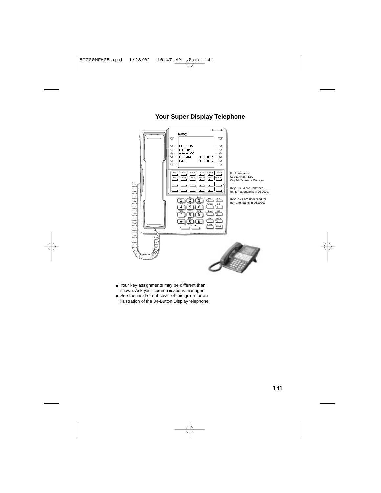## **Your Super Display Telephone**



- Your key assignments may be different than shown. Ask your communications manager.
- See the inside front cover of this quide for an illustration of the 34-Button Display telephone.